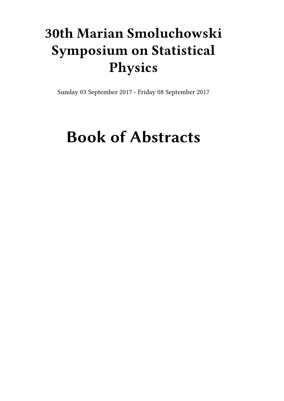## **30th Marian Smoluchowski Symposium on Statistical Physics**

Sunday 03 September 2017 - Friday 08 September 2017

# **Book of Abstracts**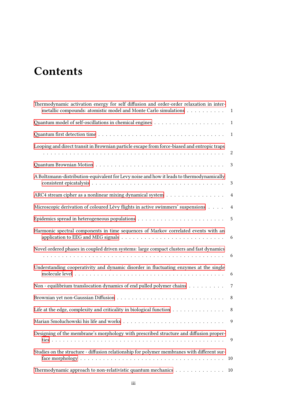## **Contents**

| Thermodynamic activation energy for self diffusion and order-order relaxation in inter-<br>metallic compounds: atomistic model and Monte Carlo simulations | $\mathbf{1}$     |
|------------------------------------------------------------------------------------------------------------------------------------------------------------|------------------|
|                                                                                                                                                            | $\mathbf{1}$     |
|                                                                                                                                                            | $\mathbf{1}$     |
| Looping and direct transit in Brownian particle escape from force-biased and entropic traps                                                                | $\boldsymbol{2}$ |
|                                                                                                                                                            | 3                |
| A Boltzmann-distribution-equivalent for Levy noise and how it leads to thermodynamically                                                                   | $\mathfrak{Z}$   |
| ARC4 stream cipher as a nonlinear mixing dynamical system                                                                                                  | $\overline{4}$   |
| Microscopic derivation of coloured Lévy flights in active swimmers' suspensions                                                                            | $\overline{4}$   |
|                                                                                                                                                            | $\sqrt{5}$       |
| Harmonic spectral components in time sequences of Markov correlated events with an                                                                         | 6                |
| Novel ordered phases in coupled driven systems: large compact clusters and fast dynamics                                                                   | 6                |
| Understanding cooperativity and dynamic disorder in fluctuating enzymes at the single                                                                      | 6                |
| Non - equilibrium translocation dynamics of end pulled polymer chains                                                                                      | 7                |
|                                                                                                                                                            | 8                |
| Life at the edge, complexity and criticality in biological function $\dots \dots \dots \dots \dots$                                                        | $\,8\,$          |
|                                                                                                                                                            | 9                |
| Designing of the membrane's morphology with prescribed structure and diffusion proper-                                                                     | 9                |
| Studies on the structure - diffusion relationship for polymer membranes with different sur-                                                                | 10               |
| Thermodynamic approach to non-relativistic quantum mechanics                                                                                               | 10               |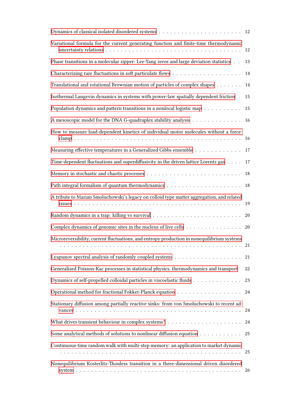| Variational formula for the current generating function and finite-time thermodynamic                                                                                                                               | 12 |
|---------------------------------------------------------------------------------------------------------------------------------------------------------------------------------------------------------------------|----|
| Phase transitions in a molecular zipper: Lee-Yang zeros and large deviation statistics                                                                                                                              | 13 |
|                                                                                                                                                                                                                     | 14 |
| Translational and rotational Brownian motion of particles of complex shapes                                                                                                                                         | 14 |
| Isothermal Langevin dynamics in systems with power-law spatially dependent friction.                                                                                                                                | 15 |
| Population dynamics and pattern transitions in a nonlocal logistic map                                                                                                                                              | 15 |
| A mesoscopic model for the DNA G-quadruplex stability analysis                                                                                                                                                      | 16 |
| How to measure load-dependent kinetics of individual motor molecules without a force-                                                                                                                               | 16 |
| Measuring effective temperatures in a Generalized Gibbs ensemble                                                                                                                                                    | 17 |
| Time-dependent fluctuations and superdiffusivity in the driven lattice Lorentz gas                                                                                                                                  | 17 |
|                                                                                                                                                                                                                     | 18 |
|                                                                                                                                                                                                                     | 18 |
| A tribute to Marian Smoluchowski's legacy on colloid type matter aggregation, and related                                                                                                                           |    |
|                                                                                                                                                                                                                     |    |
| Complex dynamics of genomic sites in the nucleus of live cells 20                                                                                                                                                   |    |
| Microreversibility, current fluctuations, and entropy production in nonequilibrium systems<br>المتحاج والمتحاولة والمتحاولة والمتحاولة والمتحاولة والمتحاولة والمتحاولة والمتحاولة والمتحاولة والمتحاولة والمتحاولة | 21 |
|                                                                                                                                                                                                                     | 21 |
| Generalized Poisson-Kac processes in statistical physics, thermodynamics and transport                                                                                                                              | 22 |
| Dynamics of self-propelled colloidal particles in viscoelastic fluids                                                                                                                                               | 23 |
|                                                                                                                                                                                                                     | 24 |
| Stationary diffusion among partially reactive sinks: from von Smoluchowski to recent ad-                                                                                                                            | 24 |
|                                                                                                                                                                                                                     |    |
| Some analytical methods of solutions to nonlinear diffusion equation $\dots \dots \dots \dots$ 25                                                                                                                   |    |
| Continuous-time random walk with multi-step memory: an application to market dynamic                                                                                                                                |    |
| Nonequilibrium Kosterlitz-Thouless transition in a three-dimensional driven disordered                                                                                                                              |    |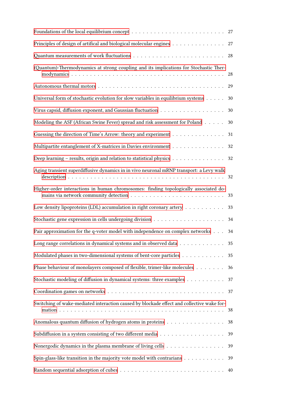| Principles of design of artifical and biological molecular engines                                               | 27 |
|------------------------------------------------------------------------------------------------------------------|----|
|                                                                                                                  | 28 |
| (Quantum)-Thermodynamics at strong coupling and its implications for Stochastic Ther-                            | 28 |
|                                                                                                                  | 29 |
| Universal form of stochastic evolution for slow variables in equilibrium systems                                 | 30 |
|                                                                                                                  | 30 |
| Modeling the ASF (African Swine Fever) spread and risk assessment for Poland                                     | 30 |
| Guessing the direction of Time's Arrow: theory and experiment                                                    | 31 |
| Multipartite entanglement of X-matrices in Davies environment                                                    | 32 |
| Deep learning – results, origin and relation to statistical physics 32                                           |    |
| Aging transient superdiffusive dynamics in in vivo neuronal mRNP transport: a Levy walk                          |    |
| Higher-order interactions in human chromosomes: finding topologically associated do-                             |    |
| Low density lipoproteins (LDL) accumulation in right coronary artery $\dots \dots \dots$                         | 33 |
|                                                                                                                  | 34 |
| Pair approximation for the q-voter model with independence on complex networks                                   | 34 |
| Long range correlations in dynamical systems and in observed data 35                                             |    |
| Modulated phases in two-dimensional systems of bent-core particles                                               | 35 |
| Phase behaviour of monolayers composed of flexible, trimer-like molecules                                        | 36 |
| Stochastic modeling of diffusion in dynamical systems: three examples                                            | 37 |
| Coordination games on networks $\ldots \ldots \ldots \ldots \ldots \ldots \ldots \ldots \ldots \ldots \ldots 37$ |    |
| Switching of wake-mediated interaction caused by blockade effect and collective wake for-                        |    |
| Anomalous quantum diffusion of hydrogen atoms in proteins 38                                                     |    |
|                                                                                                                  | 39 |
| Nonergodic dynamics in the plasma membrane of living cells                                                       | 39 |
| Spin-glass-like transition in the majority vote model with contrarians                                           | 39 |
|                                                                                                                  | 40 |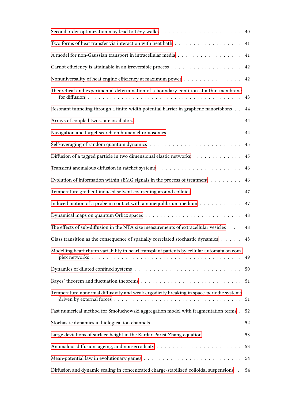| Two forms of heat transfer via interaction with heat bath $\ldots \ldots \ldots \ldots \ldots \ldots$                                                                                                          | 41 |
|----------------------------------------------------------------------------------------------------------------------------------------------------------------------------------------------------------------|----|
|                                                                                                                                                                                                                | 41 |
|                                                                                                                                                                                                                | 42 |
| Nonuniversality of heat engine efficiency at maximum power 42                                                                                                                                                  |    |
| Theoretical and experimental determination of a boundary contition at a thin membrane                                                                                                                          | 43 |
| Resonant tunneling through a finite-width potential barrier in graphene nanoribbons                                                                                                                            | 44 |
|                                                                                                                                                                                                                | 44 |
|                                                                                                                                                                                                                |    |
| Self-averaging of random quantum dynamics $\dots \dots \dots \dots \dots \dots \dots \dots \dots \dots \dots$                                                                                                  |    |
| Diffusion of a tagged particle in two dimensional elastic networks 45                                                                                                                                          |    |
|                                                                                                                                                                                                                |    |
| Evolution of information within sEMG signals in the process of treatment $\dots \dots \dots$                                                                                                                   | 46 |
| Temperature gradient induced solvent coarsening around colloids 47                                                                                                                                             |    |
| Induced motion of a probe in contact with a nonequilibrium medium $\dots \dots \dots \dots$                                                                                                                    | 47 |
|                                                                                                                                                                                                                |    |
| The effects of sub-diffusion in the NTA size measurements of extracellular vesicles                                                                                                                            | 48 |
| Glass transition as the consequence of spatially correlated stochastic dynamics 48                                                                                                                             |    |
| Modelling heart rhytm variability in heart transplant patients by cellular automata on com-<br>plex networks $\dots \dots \dots \dots \dots \dots \dots \dots \dots \dots \dots \dots \dots \dots \dots \dots$ | 49 |
|                                                                                                                                                                                                                | 50 |
|                                                                                                                                                                                                                |    |
| Temperature-abnormal diffusivity and weak ergodicity breaking in space-periodic systems                                                                                                                        | 51 |
| Fast numerical method for Smoluchowski aggregation model with fragmentation terms.                                                                                                                             | 52 |
|                                                                                                                                                                                                                | 52 |
| Large deviations of surface height in the Kardar-Parisi-Zhang equation                                                                                                                                         | 53 |
|                                                                                                                                                                                                                | 53 |
|                                                                                                                                                                                                                | 54 |
| Diffusion and dynamic scaling in concentrated charge-stabilized colloidal suspensions                                                                                                                          | 54 |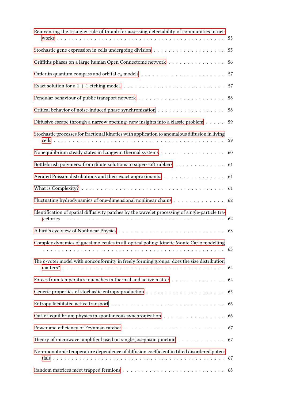| Reinventing the triangle: rule of thumb for assessing detectability of communities in net-      |    |
|-------------------------------------------------------------------------------------------------|----|
|                                                                                                 | 55 |
| Griffiths phases on a large human Open Connectome network                                       | 56 |
|                                                                                                 | 57 |
|                                                                                                 | 57 |
|                                                                                                 | 58 |
|                                                                                                 | 58 |
| Diffusive escape through a narrow opening: new insights into a classic problem                  | 59 |
| Stochastic processes for fractional kinetics with application to anomalous diffusion in living  |    |
| Nonequilibrium steady states in Langevin thermal systems 60                                     |    |
| Bottlebrush polymers: from dilute solutions to super-soft rubbers                               | 61 |
| Aerated Poisson distributions and their exact approximants.                                     | 61 |
|                                                                                                 |    |
| Fluctuating hydrodynamics of one-dimensional nonlinear chains 62                                |    |
| Identification of spatial diffusivity patches by the wavelet processing of single-particle tra- |    |
|                                                                                                 |    |
| Complex dynamics of guest molecules in all-optical poling: kinetic Monte Carlo modelling        |    |
| The q-voter model with nonconformity in freely forming groups: does the size distribution       |    |
| Forces from temperature quenches in thermal and active matter 64                                |    |
|                                                                                                 | 65 |
|                                                                                                 | 66 |
| Out-of-equilibrium physics in spontaneous synchronization                                       | 66 |
|                                                                                                 |    |
| Theory of microwave amplifier based on single Josephson junction 67                             |    |
| Non-monotonic temperature dependence of diffusion coefficient in tilted disordered poten-       |    |
|                                                                                                 |    |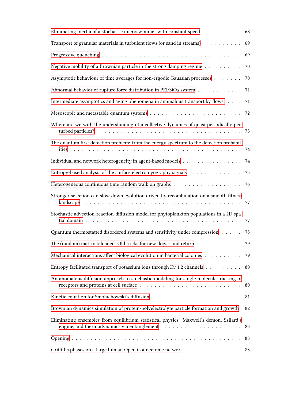| Eliminating inertia of a stochastic microswimmer with constant speed $\dots$                           | 68 |
|--------------------------------------------------------------------------------------------------------|----|
| Transport of granular materials in turbulent flows (or sand in streams)                                | 69 |
|                                                                                                        | 69 |
| Negative mobility of a Brownian particle in the strong damping regime $\dots \dots \dots$              | 70 |
| Asymptotic behaviour of time averages for non-ergodic Gaussian processes                               | 70 |
| Abnormal behavior of rupture force distribution in PEI/SiO <sub>2</sub> system $\dots$                 | 71 |
| Intermediate asymptotics and aging phenomena in anomalous transport by flows.                          | 71 |
|                                                                                                        |    |
| Where are we with the understanding of a collective dynamics of quasi-periodically per-                |    |
| The quantum first detection problem: from the energy spectrum to the detection probabil-               |    |
|                                                                                                        | 74 |
| Entropy-based analysis of the surface electromyography signals                                         | 75 |
| Heterogeneous continuous time random walk on graphs $\ldots \ldots \ldots \ldots \ldots \ldots \ldots$ |    |
| Stronger selection can slow down evolution driven by recombination on a smooth fitness                 | 77 |
| Stochastic advection-reaction-diffusion model for phytoplankton populations in a 2D spa-               |    |
| Quantum thermostatted disordered systems and sensitivity under compression                             | 78 |
| The (random) matrix reloaded. Old tricks for new dogs - and return $\dots \dots \dots \dots \dots$ 79  |    |
| Mechanical interactions affect biological evolution in bacterial colonies 79                           |    |
| Entropy facilitated transport of potassium ions through Kv 1.2 channels 80                             |    |
| An anomalous diffusion approach to stochastic modeling for single molecule tracking of                 |    |
|                                                                                                        |    |
| Brownian dynamics simulation of protein-polyelectrolyte particle formation and growth                  | 82 |
| Eliminating ensembles from equilibrium statistical physics: Maxwell's demon, Szilard's                 | 83 |
|                                                                                                        | 83 |
| Griffiths phases on a large human Open Connectome network 83                                           |    |
|                                                                                                        |    |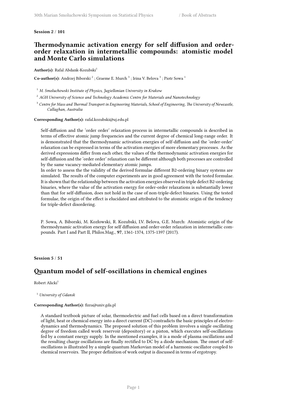#### <span id="page-8-0"></span>**Session 2** / **101**

## **Thermodynamic activation energy for self diffusion and orderorder relaxation in intermetallic compounds: atomistic model and Monte Carlo simulations**

Author(s): Rafal Abdank-Kozubski<sup>1</sup>

**Co-author(s):** Andrzej Biborski  $^2$  ; Graeme E. Murch  $^3$  ; Irina V. Belova  $^3$  ; Piotr Sowa  $^1$ 

<sup>1</sup> *M. Smoluchowski Institute of Physics, Jagiellonian University in Krakow*

- <sup>2</sup> *AGH University of Science and Technology Academic Centre for Materials and Nanotechnology*
- <sup>3</sup> *Centre for Mass and Thermal Transport in Engineering Materials, School of Engineering, The University of Newcastle, Callaghan, Australia*

#### **Corresponding Author(s):** rafal.kozubski@uj.edu.pl

Self-diffusion and the 'order order' relaxation process in intermetallic compounds is described in terms of effective atomic jump frequencies and the current degree of chemical long-range order. It is demonstrated that the thermodynamic activation energies of self-diffusion and the 'order-order' relaxation can be expressed in terms of the activation energies of more elementary processes. As the derived expressions differ from each other, the values of the thermodynamic activation energies for self-diffusion and the 'order order' relaxation can be different although both processes are controlled by the same vacancy-mediated elementary atomic jumps.

In order to assess the the validity of the derived formulae different B2-ordering binary systems are simulated. The results of the computer experiments are in good agreement with the tested formulae. It is shown that the relationship between the activation energies observed in triple defect B2-ordering binaries, where the value of the activation energy for order-order relaxations is substantially lower than that for self-diffusion, does not hold in the case of non-triple-defect binaries. Using the tested formulae, the origin of the effect is elucidated and attributed to the atomistic origin of the tendency for triple-defect disordering.

P. Sowa, A. Biborski, M. Kozłowski, R. Kozubski, I.V. Belova, G.E. Murch: Atomistic origin of the thermodynamic activation energy for self diffusion and order-order relaxation in intermetallic compounds. Part I and Part II, Philos.Mag., **97**, 1361-1374, 1375-1397 (2017).

#### <span id="page-8-1"></span>**Session 5** / **51**

## **Quantum model of self-oscillations in chemical engines**

Robert Alicki<sup>1</sup>

<sup>1</sup> *University of Gdansk*

#### **Corresponding Author(s):** fizra@univ.gda.pl

<span id="page-8-2"></span>A standard textbook picture of solar, thermoelectric and fuel cells based on a direct transformation of light, heat or chemical energy into a direct current (DC) contradicts the basic principles of electrodynamics and thermodynamics. The proposed solution of this problem involves a single oscillating degree of freedom called work reservoir (depository) or a piston, which executes self-oscillations fed by a constant energy supply. In the mentioned examples, it is a mode of plasma oscillations and the resulting charge oscillations are finally rectified to DC by a diode mechanism. The onset of selfoscillations is illustrated by a simple quantum Markovian model of a harmonic oscillator coupled to chemical reservoirs. The proper definition of work output is discussed in terms of ergotropy.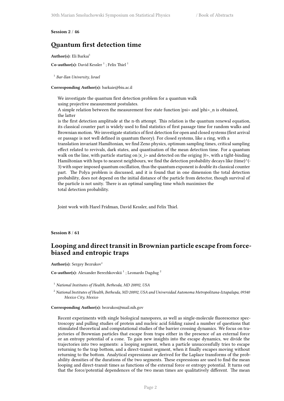#### **Session 2** / **46**

## **Quantum first detection time**

Author(s): Eli Barkai<sup>1</sup>

Co-author(s): David Kessler<sup>1</sup>; Felix Thiel<sup>1</sup>

1 *Bar-Ilan University, Israel*

**Corresponding Author(s):** barkaie@biu.ac.il

We investigate the quantum first detection problem for a quantum walk using projective measurement postulates. A simple relation between the measurement free state function  $|psi|$  and  $|phi|$  n is obtained,

the latter is the first detection amplitude at the n-th attempt. This relation is the quantum renewal equation,

its classical counter part is widely used to find statistics of first passage time for random walks and Brownian motion. We investigate statistics of first detection for open and closed systems (first arrival or passage is not well defined in quantum theory). For closed systems, like a ring, with a

translation invariant Hamiltonian, we find Zeno physics, optimum sampling times, critical sampling effect related to revivals, dark states, and quantisation of the mean detection time. For a quantum walk on the line, with particle starting on  $|x|$  is and detected on the origing  $|0\rangle$ , with a tight-binding Hamiltonian with hops to nearest neighbours, we find the detection probability decays like (time)^(-3) with super imposed quantum oscillation, thus the quantum exponent is double its classical counter part. The Polya problem is discussed, and it is found that in one dimension the total detection probability, does not depend on the initial distance of the particle from detector, though survival of the particle is not unity. There is an optimal sampling time which maximises the total detection probability.

Joint work with Harel Fridman, David Kessler, and Felix Thiel.

<span id="page-9-0"></span>**Session 8** / **61**

## **Looping and direct transit in Brownian particle escape from forcebiased and entropic traps**

Author(s): Sergey Bezrukov<sup>1</sup>

Co-author(s): Alexander Berezhkovskii<sup>1</sup>; Leonardo Dagdug<sup>2</sup>

- <sup>1</sup> *National Institutes of Health, Bethesda, MD 20892, USA*
- <sup>2</sup> *National Institutes of Health, Bethesda, MD 20892, USA and Universidad Autonoma Metropolitana-Iztapalapa, 09340 Mexico City, Mexico*

#### **Corresponding Author(s):** bezrukos@mail.nih.gov

Recent experiments with single biological nanopores, as well as single-molecule fluorescence spectroscopy and pulling studies of protein and nucleic acid folding raised a number of questions that stimulated theoretical and computational studies of the barrier crossing dynamics. We focus on trajectories of Brownian particles that escape from traps either in the presence of an external force or an entropy potential of a cone. To gain new insights into the escape dynamics, we divide the trajectories into two segments: a looping segment, when a particle unsuccessfully tries to escape returning to the trap bottom, and a direct-transit segment, when it finally escapes moving without returning to the bottom. Analytical expressions are derived for the Laplace transforms of the probability densities of the durations of the two segments. These expressions are used to find the mean looping and direct-transit times as functions of the external force or entropy potential. It turns out that the force/potential dependences of the two mean times are qualitatively different. The mean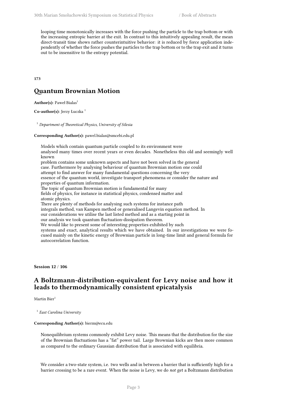looping time monotonically increases with the force pushing the particle to the trap bottom or with the increasing entropic barrier at the exit. In contrast to this intuitively appealing result, the mean direct-transit time shows rather counterintuitive behavior: it is reduced by force application independently of whether the force pushes the particles to the trap bottom or to the trap exit and it turns out to be insensitive to the entropy potential.

<span id="page-10-0"></span>**173**

## **Quantum Brownian Motion**

**Author(s):** Paweł Bialas<sup>1</sup>

Co-author(s): Jerzy Łuczka<sup>1</sup>

<sup>1</sup> *Department of Theoretical Physics, University of Silesia*

#### **Corresponding Author(s):** pawel.bialas@smcebi.edu.pl

Models which contain quantum particle coupled to its environment were analysed many times over recent years or even decades. Nonetheless this old and seemingly well known problem contains some unknown aspects and have not been solved in the general case. Furthermore by analysing behaviour of quantum Brownian motion one could attempt to find answer for many fundamental questions concerning the very essence of the quantum world, investigate transport phenomena or consider the nature and properties of quantum information. The topic of quantum Brownian motion is fundamental for many fields of physics, for instance in statistical physics, condensed matter and atomic physics. There are plenty of methods for analysing such systems for instance path integrals method, van Kampen method or generalised Langevin equation method. In our considerations we utilise the last listed method and as a starting point in our analysis we took quantum fluctuation-dissipation theorem. We would like to present some of interesting properties exhibited by such systems and exact, analytical results which we have obtained. In our investigations we were focused mainly on the kinetic energy of Brownian particle in long-time limit and general formula for autocorrelation function.

<span id="page-10-1"></span>**Session 12** / **106**

## **A Boltzmann-distribution-equivalent for Levy noise and how it leads to thermodynamically consistent epicatalysis**

Martin Bier<sup>1</sup>

1 *East Carolina University*

#### **Corresponding Author(s):** bierm@ecu.edu

Nonequilibrium systems commonly exhibit Levy noise. This means that the distribution for the size of the Brownian fluctuations has a "fat" power tail. Large Brownian kicks are then more common as compared to the ordinary Gaussian distribution that is associated with equilibria.

We consider a two-state system, i.e. two wells and in between a barrier that is sufficiently high for a barrier crossing to be a rare event. When the noise is Levy, we do *not* get a Boltzmann distribution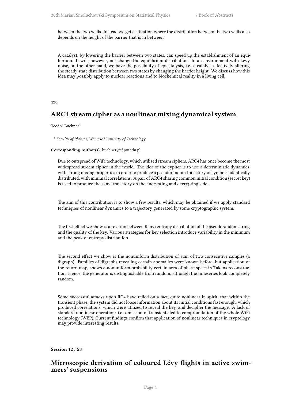between the two wells. Instead we get a situation where the distribution between the two wells also depends on the height of the barrier that is in between.

A catalyst, by lowering the barrier between two states, can speed up the establishment of an equilibrium. It will, however, not change the equilibrium distribution. In an environment with Levy noise, on the other hand, we have the possibility of epicatalysis, i.e. a catalyst effectively altering the steady state distribution between two states by changing the barrier height. We discuss how this idea may possibly apply to nuclear reactions and to biochemical reality in a living cell.

#### <span id="page-11-0"></span>**126**

## **ARC4 stream cipher as a nonlinear mixing dynamical system**

Teodor Buchner<sup>1</sup>

1 *Faculty of Physics, Warsaw University of Technology*

#### **Corresponding Author(s):** buchner@if.pw.edu.pl

Due to outspread of WiFi technology, which utilized stream ciphers, ARC4 has once become the most widespread stream cipher in the world. The idea of the cypher is to use a deterministic dynamics, with strong mixing properties in order to produce a pseudorandom trajectory of symbols, identically distributed, with minimal correlations. A pair of ARC4 sharing common initial condition (secret key) is used to produce the same trajectory on the encrypting and decrypting side.

The aim of this contribution is to show a few results, which may be obtained if we apply standard techniques of nonlinear dynamics to a trajectory generated by some cryptographic system.

The first effect we show is a relation between Renyi entropy distribution of the pseudorandom string and the quality of the key. Various strategies for key selection introduce variability in the minimum and the peak of entropy distribution.

The second effect we show is the nonuniform distribution of sum of two consecutive samples (a digraph). Families of digraphs revealing certain anomalies were known before, but application of the return map, shows a nonuniform probability certain area of phase space in Takens reconstruction. Hence, the generator is distinguishable from random, although the timeseries look completely random.

Some successful attacks upon RC4 have relied on a fact, quite nonlinear in spirit, that within the transient phase, the system did not loose information about its initial conditions fast enough, which produced correlations, which were utilized to reveal the key, and decipher the message. A lack of standard nonlinear operation: i.e. omission of transients led to compromitation of the whole WiFi technology (WEP). Current findings confirm that application of nonlinear techniques in cryptology may provide interesting results.

#### <span id="page-11-1"></span>**Session 12** / **58**

## **Microscopic derivation of coloured Lévy flights in active swimmers' suspensions**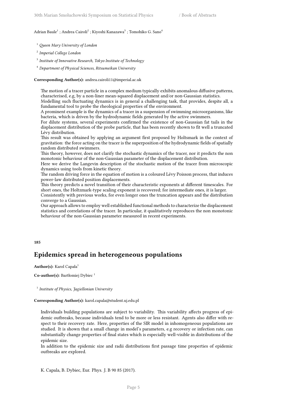#### Adrian Baule $^1$  ; Andrea Cairoli $^2$  ; Kiyoshi Kanazawa $^3$  ; Tomohiko G. Sano $^4$

- <sup>1</sup> *Queen Mary University of London*
- 2 *Imperial College London*
- 3 *Institute of Innovative Research, Tokyo Institute of Technology*
- <sup>4</sup> *Department of Physical Sciences, Ritsumeikan University*

#### **Corresponding Author(s):** andrea.cairoli11@imperial.ac.uk

The motion of a tracer particle in a complex medium typically exhibits anomalous diffusive patterns, characterised, e.g, by a non-liner mean-squared displacement and/or non-Gaussian statistics.

Modelling such fluctuating dynamics is in general a challenging task, that provides, despite all, a fundamental tool to probe the rheological properties of the environment.

A prominent example is the dynamics of a tracer in a suspension of swimming microorganisms, like bacteria, which is driven by the hydrodynamic fields generated by the active swimmers.

For dilute systems, several experiments confirmed the existence of non-Gaussian fat tails in the displacement distribution of the probe particle, that has been recently shown to fit well a truncated Lévy distribution.

This result was obtained by applying an argument first proposed by Holtsmark in the context of gravitation: the force acting on the tracer is the superposition of the hydrodynamic fields of spatially random distributed swimmers.

This theory, however, does not clarify the stochastic dynamics of the tracer, nor it predicts the non monotonic behaviour of the non-Gaussian parameter of the displacement distribution.

Here we derive the Langevin description of the stochastic motion of the tracer from microscopic dynamics using tools from kinetic theory.

The random driving force in the equation of motion is a coloured Lévy Poisson process, that induces power-law distributed position displacements.

This theory predicts a novel transition of their characteristic exponents at different timescales. For short ones, the Holtzmark-type scaling exponent is recovered; for intermediate ones, it is larger.

Consistently with previous works, for even longer ones the truncation appears and the distribution converge to a Gaussian.

Our approach allows to employ well established functional methods to characterize the displacement statistics and correlations of the tracer. In particular, it qualitatively reproduces the non monotonic behaviour of the non-Gaussian parameter measured in recent experiments.

#### <span id="page-12-0"></span>**185**

## **Epidemics spread in heterogeneous populations**

Author(s): Karol Capała<sup>1</sup>

Co-author(s): Bartłomiej Dybiec<sup>1</sup>

1 *Institute of Physics, Jagiellonian University*

#### **Corresponding Author(s):** karol.capala@student.uj.edu.pl

Individuals building populations are subject to variability. This variability affects progress of epidemic outbreaks, because individuals tend to be more or less resistant. Agents also differ with respect to their recovery rate. Here, properties of the SIR model in inhomogeneous populations are studied. It is shown that a small change in model's parameters, e.g recovery or infection rate, can substantially change properties of final states which is especially well-visible in distributions of the epidemic size.

In addition to the epidemic size and radii distributions first passage time properties of epidemic outbreaks are explored.

K. Capala, B. Dybiec, Eur. Phys. J. B 90 85 (2017).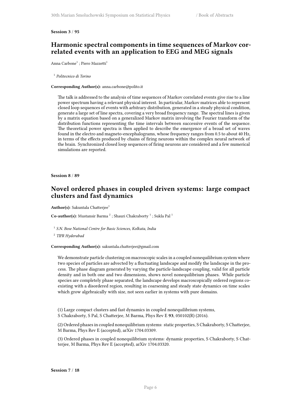#### <span id="page-13-0"></span>**Session 3** / **95**

## **Harmonic spectral components in time sequences of Markov correlated events with an application to EEG and MEG signals**

Anna Carbone<sup>1</sup> ; Piero Mazzetti<sup>1</sup>

1 *Politecnico di Torino*

#### **Corresponding Author(s):** anna.carbone@polito.it

The talk is addressed to the analysis of time sequences of Markov correlated events give rise to a line power spectrum having a relevant physical interest. In particular, Markov matrices able to represent closed loop sequences of events with arbitrary distribution, generated in a steady physical condition, generate a large set of line spectra, covering a very broad frequency range. The spectral lines is given by a matrix equation based on a generalized Markov matrix involving the Fourier transform of the distribution functions representing the time intervals between successive events of the sequence. The theoretical power spectra is then applied to describe the emergence of a broad set of waves found in the electro and magneto-encephalograms, whose frequency ranges from 0.5 to about 40 Hz, in terms of the effects produced by chains of firing neurons within the complex neural network of the brain. Synchronized closed loop sequences of firing neurons are considered and a few numerical simulations are reported.

<span id="page-13-1"></span>**Session 8** / **89**

## **Novel ordered phases in coupled driven systems: large compact clusters and fast dynamics**

Author(s): Sakuntala Chatterjee<sup>1</sup>

**Co-author(s):** Mustansir Barma<sup>2</sup>; Shauri Chakraborty<sup>1</sup>; Sukla Pal<sup>1</sup>

1 *S.N. Bose National Centre for Basic Sciences, Kolkata, India*

2 *TIFR Hyderabad*

#### **Corresponding Author(s):** sakuntala.chatterjee@gmail.com

We demonstrate particle clustering on macroscopic scales in a coupled nonequilibrium system where two species of particles are advected by a fluctuating landscape and modify the landscape in the process. The phase diagram generated by varying the particle-landscape coupling, valid for all particle density and in both one and two dimensions, shows novel nonequilibrium phases. While particle species are completely phase separated, the landscape develops macroscopically ordered regions coexisting with a disordered region, resulting in coarsening and steady state dynamics on time scales which grow algebraically with size, not seen earlier in systems with pure domains.

(1) Large compact clusters and fast dynamics in coupled nonequilibrium systems, S Chakraborty, S Pal, S Chatterjee, M Barma, Phys Rev E **93**, 050102(R) (2016).

(2) Ordered phases in coupled nonequilibrium systems: static properties, S Chakraborty, S Chatterjee, M Barma, Phys Rev E (accepted), arXiv 1704.03309.

<span id="page-13-2"></span>(3) Ordered phases in coupled nonequilibrium systems: dynamic properties, S Chakraborty, S Chatterjee, M Barma, Phys Rev E (accepted), arXiv 1704.03320.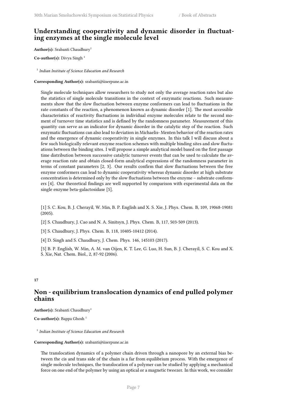## **Understanding cooperativity and dynamic disorder in fluctuating enzymes at the single molecule level**

**Author(s):** Srabanti Chaudhury<sup>1</sup>

**Co-author(s):** Divya Singh<sup>1</sup>

1 *Indian Institute of Science Education and Research*

**Corresponding Author(s):** srabanti@iiserpune.ac.in

Single molecule techniques allow researchers to study not only the average reaction rates but also the statistics of single molecule transitions in the context of enzymatic reactions. Such measurements show that the slow fluctuation between enzyme conformers can lead to fluctuations in the rate constants of the reaction, a phenomenon known as dynamic disorder [1]. The most accessible characteristics of reactivity fluctuations in individual enzyme molecules relate to the second moment of turnover time statistics and is defined by the randomness parameter. Measurement of this quantity can serve as an indicator for dynamic disorder in the catalytic step of the reaction. Such enzymatic fluctuations can also lead to deviation in Michaelis- Menten behavior of the reaction rates and the emergence of dynamic cooperativity in single enzymes. In this talk I will discuss about a few such biologically relevant enzyme reaction schemes with multiple binding sites and slow fluctuations between the binding sites. I will propose a simple analytical model based on the first passage time distribution between successive catalytic turnover events that can be used to calculate the average reaction rate and obtain closed-form analytical expressions of the randomness parameter in terms of constant parameters [2, 3]. Our results confirm that slow fluctuations between the free enzyme conformers can lead to dynamic cooperativity whereas dynamic disorder at high substrate concentration is determined only by the slow fluctuations between the enzyme – substrate conformers [4]. Our theoretical findings are well supported by comparison with experimental data on the single enzyme beta-galactosidase [5].

[1] S. C. Kou, B. J. Cherayil, W. Min, B. P. English and X. S. Xie, J. Phys. Chem. B, 109, 19068-19081 (2005).

[2] S. Chaudhury, J. Cao and N. A. Sinitsyn, J. Phys. Chem. B, 117, 503-509 (2013).

- [3] S. Chaudhury, J. Phys. Chem. B, 118, 10405-10412 (2014).
- [4] D. Singh and S. Chaudhury, J. Chem. Phys. 146, 145103 (2017).

[5] B. P. English, W. Min, A. M. van Oijen, K. T. Lee, G. Luo, H. Sun, B. J. Cherayil, S. C. Kou and X. S. Xie, Nat. Chem. Biol., 2, 87-92 (2006).

#### <span id="page-14-0"></span>**17**

## **Non - equilibrium translocation dynamics of end pulled polymer chains**

**Author(s):** Srabanti Chaudhury<sup>1</sup>

Co-author(s): Bappa Ghosh<sup>1</sup>

1 *Indian Institute of Science Education and Research*

#### **Corresponding Author(s):** srabanti@iiserpune.ac.in

The translocation dynamics of a polymer chain driven through a nanopore by an external bias between the cis and trans side of the chain is a far from equilibrium process. With the emergence of single molecule techniques, the translocation of a polymer can be studied by applying a mechanical force on one end of the polymer by using an optical or a magnetic tweezer. In this work, we consider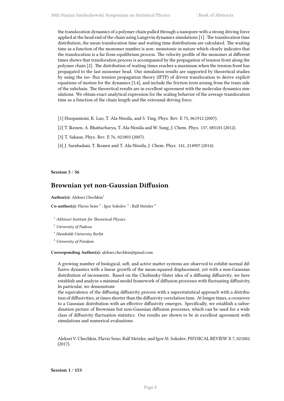the translocation dynamics of a polymer chain pulled through a nanopore with a strong driving force applied at the head end of the chain using Langevin dynamics simulations [1]. The translocation time distribution, the mean translocation time and waiting time distributions are calculated. The waiting time as a function of the monomer number is non- monotonic in nature which clearly indicates that the translocation is a far from equilibrium process. The velocity profile of the monomer at different times shows that translocation process is accompanied by the propagation of tension front along the polymer chain [2]. The distribution of waiting times reaches a maximum when the tension front has propagated to the last monomer bead. Our simulation results are supported by theoretical studies by using the iso- flux tension propagation theory (IFTP) of driven translocation to derive explicit equations of motion for the dynamics [3,4], and include the friction term arising from the trans side of the subchain. The theoretical results are in excellent agreement with the molecular dynamics simulations. We obtain exact analytical expression for the scaling behavior of the average translocation time as a function of the chain length and the exteranal driving force.

- [1] Huopaniemi, K. Luo, T. Ala-Nissila, and S. Ying, Phys. Rev. E 75, 061912 (2007).
- [2] T. Ikonen, A. Bhattacharya, T. Ala-Nissila and W. Sung, J. Chem. Phys. 137, 085101 (2012).
- [3] T. Sakaue, Phys. Rev. E 76, 021803 (2007).
- [4] J. Sarabadani, T. Ikonen and T. Ala-Nissila, J. Chem. Phys. 141, 214907 (2014).

<span id="page-15-0"></span>**Session 5** / **56**

### **Brownian yet non-Gaussian Diffusion**

Author(s): Aleksei Chechkin<sup>1</sup>

**Co-author(s):** Flavio Seno<sup>2</sup>; Igor Sokolov<sup>3</sup>; Ralf Metzler<sup>4</sup>

<sup>1</sup> *Akhiezer Institute for Theoretical Physics*

<sup>2</sup> *University of Padova*

<sup>3</sup> *Humboldt University Berlin*

<sup>4</sup> *University of Potsdam*

**Corresponding Author(s):** aleksei.chechkin@gmail.com

A growing number of biological, soft, and active matter systems are observed to exhibit normal diffusive dynamics with a linear growth of the mean-squared displacement, yet with a non-Gaussian distribution of increments. Based on the Chubinsky-Slater idea of a diffusing diffusivity, we here establish and analyze a minimal model framework of diffusion processes with fluctuating diffusivity. In particular, we demonstrate

the equivalence of the diffusing diffusivity process with a superstatistical approach with a distribution of diffusivities, at times shorter than the diffusivity correlation time. At longer times, a crossover to a Gaussian distribution with an effective diffusivity emerges. Specifically, we establish a subordination picture of Brownian but non-Gaussian diffusion processes, which can be used for a wide class of diffusivity fluctuation statistics. Our results are shown to be in excellent agreement with simulations and numerical evaluations.

<span id="page-15-1"></span>Aleksei V. Chechkin, Flavio Seno, Ralf Metzler, and Igor M. Sokolov, PHYSICAL REVIEW X 7, 021002 (2017).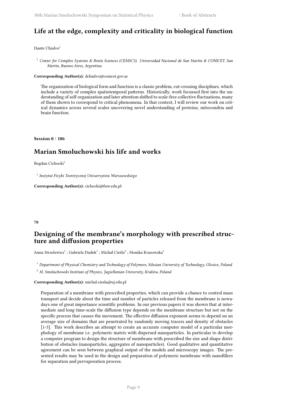## **Life at the edge, complexity and criticality in biological function**

#### Dante Chialvo<sup>1</sup>

<sup>1</sup> *Center for Complex Systems & Brain Sciences (CEMSC3). Universidad Nacional de San Martin & CONICET. San Martin, Buenos Aires, Argentina*

#### **Corresponding Author(s):** dchialvo@conicet.gov.ar

The organization of biological form and function is a classic problem, cut-crossing disciplines, which include a variety of complex spatiotemporal patterns. Historically, work focussed first into the understanding of self-organization and later attention shifted to scale-free collective fluctuations, many of them shown to correspond to critical phenomena. In that context, I will review our work on critical dynamics across several scales uncovering novel understanding of proteins, mitocondria and brain function.

<span id="page-16-0"></span>**Session 0** / **186**

## **Marian Smoluchowski his life and works**

#### Bogdan Cichocki<sup>1</sup>

1 *Instytut Fizyki Teoretycznej Uniwersytetu Warszawskiego*

**Corresponding Author(s):** cichocki@fuw.edu.pl

#### <span id="page-16-1"></span>**78**

## **Designing of the membrane's morphology with prescribed structure and diffusion properties**

Anna Strzelewicz $^1$  ; Gabriela Dudek $^1$  ; Michał Cieśla $^2$  ; Monika Krasowska $^1$ 

<sup>1</sup> *Department of Physical Chemistry and Technology of Polymers, Silesian University of Technology, Gliwice, Poland*

<sup>2</sup> *M. Smoluchowski Institute of Physics, Jagiellonian University, Kraków, Poland*

#### **Corresponding Author(s):** michal.ciesla@uj.edu.pl

Preparation of a membrane with prescribed properties, which can provide a chance to control mass transport and decide about the time and number of particles released from the membrane is nowadays one of great importance scientific problems. In our previous papers it was shown that at intermediate and long time-scale the diffusion type depends on the membrane structure but not on the specific process that causes the movement. The effective diffusion exponent seems to depend on an average size of domains that are penetrated by randomly moving tracers and density of obstacles [1-3]. This work describes an attempt to create an accurate computer model of a particular morphology of membrane i.e. polymeric matrix with dispersed nanoparticles. In particular to develop a computer program to design the structure of membrane with prescribed the size and shape distribution of obstacles (nanoparticles, aggregates of nanoparticles). Good qualitative and quantitative agreement can be seen between graphical output of the models and microscopy images. The presented results may be used in the design and preparation of polymeric membrane with nanofillers for separation and pervaporation process.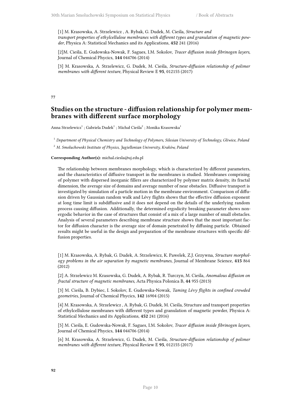[1] M. Krasowska, A. Strzelewicz , A. Rybak, G. Dudek, M. Cieśla, *Structure and transport properties of ethylcellulose membranes with different types and granulation of magnetic powder*, Physica A: Statistical Mechanics and its Applications, **452** 241 (2016)

[2]M. Cieśla, E. Gudowska-Nowak, F. Sagues, I.M. Sokolov, *Tracer diffusion inside fibrinogen layers*, Journal of Chemical Phycics, **144** 044706 (2014)

[3] M. Krasowska, A. Strzelewicz, G. Dudek, M. Cieśla, *Structure-diffusion relationship of polimer membranes with different texture*, Physical Review E **95**, 012155 (2017)

#### <span id="page-17-0"></span>**77**

## **Studies on the structure - diffusion relationship for polymer membranes with different surface morphology**

Anna Strzelewicz $^1$  ; Gabriela Dudek $^1$  ; Michał Cieśla $^2$  ; Monika Krasowska $^1$ 

<sup>1</sup> *Department of Physical Chemistry and Technology of Polymers, Silesian University of Technology, Gliwice, Poland*

<sup>2</sup> *M. Smoluchowski Institute of Physics, Jagiellonian University, Kraków, Poland*

#### **Corresponding Author(s):** michal.ciesla@uj.edu.pl

The relationship between membranes morphology, which is characterized by different parameters, and the characteristics of diffusive transport in the membranes is studied. Membranes comprising of polymer with dispersed inorganic fillers are characterized by polymer matrix density, its fractal dimension, the average size of domains and average number of near obstacles. Diffusive transport is investigated by simulation of a particle motion in the membrane environment. Comparison of diffusion driven by Gaussian random walk and Lévy flights shows that the effective diffusion exponent at long time limit is subdiffusive and it does not depend on the details of the underlying random process causing diffusion. Additionally, the determined ergodicity breaking parameter shows nonergodic behavior in the case of structures that consist of a mix of a large number of small obstacles. Analysis of several parameters describing membrane structure shows that the most important factor for diffusion character is the average size of domain penetrated by diffusing particle. Obtained results might be useful in the design and preparation of the membrane structures with specific diffusion properties.

[1] M. Krasowska, A. Rybak, G. Dudek, A. Strzelewicz, K. Pawelek, Z.J. Grzywna, *Structure morphology problems in the air separation by magnetic membranes*, Journal of Membrane Science, **415** 864 (2012)

[2] A. Strzelewicz M. Krasowska, G. Dudek, A. Rybak, R. Turczyn, M. Cieśla, *Anomalous diffusion on fractal structure of magnetic membranes*, Acta Physica Polonica B, **44** 955 (2013)

[3] M. Cieśla, B. Dybiec, I. Sokolov, E. Gudowska-Nowak, *Taming Lévy flights in confined crowded geometries*, Journal of Chemical Phycics, **142** 16904 (2015)

[4] M. Krasowska, A. Strzelewicz , A. Rybak, G. Dudek, M. Cieśla, Structure and transport properties of ethylcellulose membranes with different types and granulation of magnetic powder, Physica A: Statistical Mechanics and its Applications, **452** 241 (2016)

[5] M. Cieśla, E. Gudowska-Nowak, F. Sagues, I.M. Sokolov, *Tracer diffusion inside fibrinogen layers*, Journal of Chemical Phycics, **144** 044706 (2014)

[6] M. Krasowska, A. Strzelewicz, G. Dudek, M. Cieśla, *Structure-diffusion relationship of polimer membranes with different texture*, Physical Review E **95**, 012155 (2017)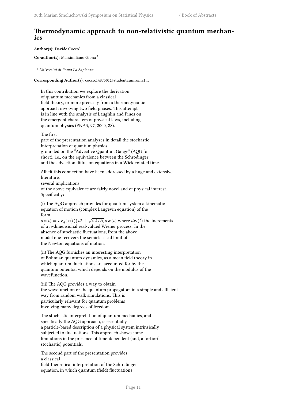## **Thermodynamic approach to non-relativistic quantum mechanics**

Author(s): Davide Cocco<sup>1</sup>

Co-author(s): Massimiliano Giona<sup>1</sup>

<sup>1</sup> *Università di Roma La Sapienza*

**Corresponding Author(s):** cocco.1487501@studenti.uniroma1.it

In this contribution we explore the derivation of quantum mechanics from a classical field theory, or more precisely from a thermodynamic approach involving two field phases. This attempt is in line with the analysis of Laughlin and Pines on the emergent characters of physical laws, including quantum physics (PNAS, 97, 2000, 28).

The first

part of the presentation analyzes in detail the stochastic interpretation of quantum physics grounded on the "Advective Quantum Gauge" (AQG for short), i.e., on the equivalence between the Schrodinger and the advection diffusion equations in a Wick-rotated time.

Albeit this connection have been addressed by a huge and extensive literature, several implications of the above equivalence are fairly novel and of physical interest.

Specifically:

(i) The AQG approach provides for quantum system a kinematic equation of motion (complex Langevin equation) of the form

 $d\mathbf{x}(t) = i\,\mathbf{v}_q(\mathbf{x}(t))\,dt + \sqrt{i\,2\,D_h}\,d\mathbf{w}(t)$  where  $d\mathbf{w}(t)$  the increments of a *n*-dimensional real-valued Wiener process. In the absence of stochastic fluctuations, from the above model one recovers the semiclassical limit of the Newton equations of motion.

(ii) The AQG furnishes an interesting interpretation of Bohmian quantum dynamics, as a mean field theory in which quantum fluctuations are accounted for by the quantum potential which depends on the modulus of the wavefunction.

(iii) The AQG provides a way to obtain the wavefunction or the quantum propagators in a simple and efficient way from random walk simulations. This is particularly relevant for quantum problems involving many degrees of freedom.

The stochastic interpretation of quantum mechanics, and specifically the AQG approach, is essentially a particle-based description of a physical system intrinsically subjected to fluctuations. This approach shows some limitations in the presence of time-dependent (and, a fortiori} stochastic) potentials.

The second part of the presentation provides a classical field-theoretical interpretation of the Schrodinger equation, in which quantum (field) fluctuations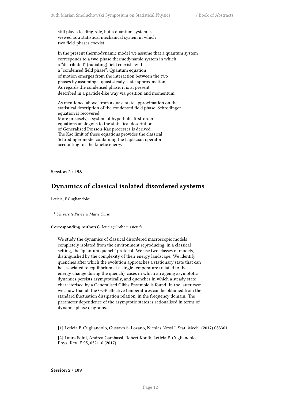still play a leading role, but a quantum system is viewed as a statistical mechanical system in which two field-phases coexist.

In the present thermodynamic model we assume that a quantum system corresponds to a two-phase thermodynamic system in which a "distributed" (radiating) field coexists with a "condensed field phase". Quantum equation of motion emerges from the interaction between the two phases by assuming a quasi steady-state approximation. As regards the condensed phase, it is at present described in a particle-like way via position and momentum.

As mentioned above, from a quasi-state approximation on the statistical description of the condensed field phase, Schrodinger equation is recovered. More precisely, a system of hyperbolic first-order equations analogous to the statistical description of Generalized Poisson-Kac processes is derived. The Kac limit of these equations provides the classical Schrodinger model containing the Laplacian operator accounting for the kinetic energy.

<span id="page-19-0"></span>**Session 2** / **158**

## **Dynamics of classical isolated disordered systems**

Leticia, F Cugliandolo $<sup>1</sup>$ </sup>

<sup>1</sup> *Universite Pierre et Marie Curie*

#### **Corresponding Author(s):** leticia@lpthe.jussieu.fr

We study the dynamics of classical disordered macroscopic models completely isolated from the environment reproducing, in a classical setting, the 'quantum quench' protocol. We use two classes of models, distinguished by the complexity of their energy landscape. We identify quenches after which the evolution approaches a stationary state that can be associated to equilibrium at a single temperature (related to the energy change during the quench), cases in which an ageing asymptotic dynamics persists asymptotically, and quenches in which a steady state characterised by a Generalised Gibbs Ensemble is found. In the latter case we show that all the GGE effective temperatures can be obtained from the standard fluctuation dissipation relation, in the frequency domain. The parameter dependence of the asymptotic states is rationalised in terms of dynamic phase diagrams.

[1] Leticia F. Cugliandolo, Gustavo S. Lozano, Nicolas Nessi J. Stat. Mech. (2017) 083301.

<span id="page-19-1"></span>[2] Laura Foini, Andrea Gambassi, Robert Konik, Leticia F. Cugliandolo Phys. Rev. E 95, 052116 (2017)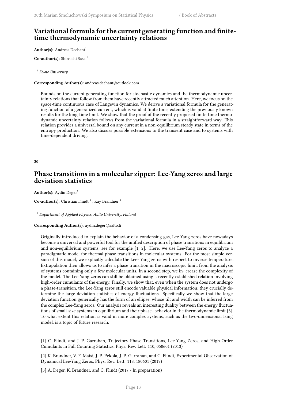## **Variational formula for the current generating function and finitetime thermodynamic uncertainty relations**

**Author(s):** Andreas Dechant<sup>1</sup>

Co-author(s): Shin-ichi Sasa<sup>1</sup>

<sup>1</sup> *Kyoto University*

**Corresponding Author(s):** andreas.dechant@outlook.com

Bounds on the current generating function for stochastic dynamics and the thermodynamic uncertainty relations that follow from them have recently attracted much attention. Here, we focus on the space-time continuous case of Langevin dynamics. We derive a variational formula for the generating function of a generalized current, which is valid at finite time, extending the previously known results for the long-time limit. We show that the proof of the recently proposed finite-time thermodynamic uncertainty relation follows from the variational formula in a straightforward way. This relation provides a universal bound on any current in a non-equilibrium steady state in terms of the entropy production. We also discuss possible extensions to the transient case and to systems with time-dependent driving.

#### <span id="page-20-0"></span>**30**

## **Phase transitions in a molecular zipper: Lee-Yang zeros and large deviation statistics**

Author(s): Aydin Deger<sup>1</sup>

**Co-author(s):** Christian Flindt <sup>1</sup>; Kay Brandner <sup>1</sup>

<sup>1</sup> *Department of Applied Physics, Aalto University, Finland*

#### **Corresponding Author(s):** aydin.deger@aalto.fi

Originally introduced to explain the behavior of a condensing gas, Lee-Yang zeros have nowadays become a universal and powerful tool for the unified description of phase transitions in equilibrium and non-equilibrium systems, see for example [1, 2]. Here, we use Lee-Yang zeros to analyze a paradigmatic model for thermal phase transitions in molecular systems. For the most simple version of this model, we explicitly calculate the Lee- Yang zeros with respect to inverse temperature. Extrapolation then allows us to infer a phase transition in the macroscopic limit, from the analysis of systems containing only a few molecular units. In a second step, we in- crease the complexity of the model. The Lee-Yang zeros can still be obtained using a recently established relation involving high-order cumulants of the energy. Finally, we show that, even when the system does not undergo a phase-transition, the Lee-Yang zeros still encode valuable physical information; they crucially determine the large deviation statistics of energy fluctuations. Specifically we show that the large deviation function generically has the form of an ellipse, whose tilt and width can be inferred from the complex Lee-Yang zeros. Our analysis reveals an interesting duality between the energy fluctuations of small-size systems in equilibrium and their phase- behavior in the thermodynamic limit [3]. To what extent this relation is valid in more complex systems, such as the two-dimensional Ising model, is a topic of future research.

[1] C. Flindt, and J. P. Garrahan, Trajectory Phase Transitions, Lee-Yang Zeros, and High-Order Cumulants in Full Counting Statistics, Phys. Rev. Lett. 110, 050601 (2013)

[2] K. Brandner, V. F. Maisi, J. P. Pekola, J. P. Garrahan, and C. Flindt, Experimental Observation of Dynamical Lee-Yang Zeros, Phys. Rev. Lett. 118, 180601 (2017)

[3] A. Deger, K. Brandner, and C. Flindt (2017 - In preparation)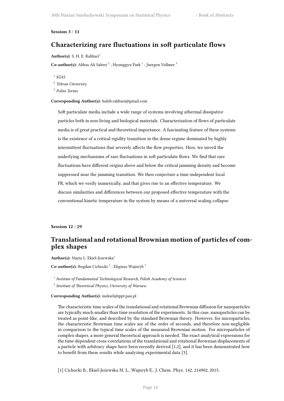#### <span id="page-21-0"></span>**Session 3** / **11**

## **Characterizing rare fluctuations in soft particulate flows**

#### Author(s): S. H. E. Rahbari<sup>1</sup>

Co-author(s): Abbas Ali Saberi<sup>2</sup>; Hyunggyu Park<sup>1</sup>; Juergen Vollmer<sup>3</sup>

<sup>1</sup> *KIAS*

2 *Tehran University*

3 *Polito Torino*

#### **Corresponding Author(s):** habib.rahbari@gmail.com

Soft particulate media include a wide range of systems involving athermal dissipative particles both in non-living and biological materials. Characterization of flows of particulate media is of great practical and theoretical importance. A fascinating feature of these systems is the existence of a critical rigidity transition in the dense regime dominated by highly intermittent fluctuations that severely affects the flow properties. Here, we unveil the underlying mechanisms of rare fluctuations in soft particulate flows. We find that rare fluctuations have different origins above and below the critical jamming density and become suppressed near the jamming transition. We then conjecture a time-independent local FR, which we verify numerically, and that gives rise to an effective temperature. We discuss similarities and differences between our proposed effective temperature with the conventional kinetic temperature in the system by means of a universal scaling collapse.

<span id="page-21-1"></span>**Session 12** / **29**

## **Translational and rotational Brownian motion of particles of complex shapes**

**Author(s):** Maria L. Ekiel-Jezewska<sup>1</sup>

Co-author(s): Bogdan Cichocki<sup>2</sup>; Eligiusz Wajnryb<sup>1</sup>

1 *Institute of Fundamental Technological Research, Polish Academy of Sciences*

2 *Institute of Theoretical Physics, University of Warsaw*

**Corresponding Author(s):** mekiel@ippt.pan.pl

The characteristic time scales of the translational and rotational Brownian diffusion for nanoparticles are typically much smaller than time resolution of the experiments. In this case, nanoparticles can be treated as point-like, and described by the standard Brownian theory. However, for microparticles, the characteristic Brownian time scales are of the order of seconds, and therefore non-negligible in comparison to the typical time scales of the measured Brownian motion. For microparticles of complex shapes, a more general theoretical approach is needed. The exact analytical expressions for the time-dependent cross-correlations of the translational and rotational Brownian displacements of a particle with arbitrary shape have been recently derived [1,2], and it has been demonstrated how to benefit from these results while analyzing experimental data [3].

[1] Cichocki B., Ekiel-Jeżewska M. L., Wajnryb E., J. Chem. Phys. 142, 214902, 2015.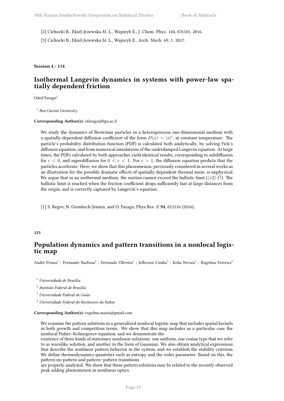[2] Cichocki B., Ekiel-Jeżewska M. L., Wajnryb E., J. Chem. Phys. 144, 076101, 2016.

[3] Cichocki B., Ekiel-Jeżewska M. L., Wajnryb E., Arch. Mech. 69, 1. 2017.

<span id="page-22-0"></span>**Session 4** / **114**

## **Isothermal Langevin dynamics in systems with power-law spatially dependent friction**

Oded Farago<sup>1</sup>

1 *Ben Gurion University*

**Corresponding Author(s):** ofarago@bgu.ac.il

We study the dynamics of Brownian particles in a heterogeneous one-dimensional medium with a spatially-dependent diffusion coefficient of the form  $D(x) \sim |x|^c$ , at constant temperature. The particle's probability distribution function (PDF) is calculated both analytically, by solving Fick's diffusion equation, and from numerical simulations of the underdamped Langevin equation. At large times, the PDFs calculated by both approaches yield identical results, corresponding to subdiffusion for  $c < 0$ , and superdiffusion for  $0 < c < 1$ . For  $c > 1$ , the diffusion equation predicts that the particles accelerate. Here, we show that this phenomenon, previously considered in several works as an illustration for the possible dramatic effects of spatially-dependent thermal noise, is unphysical. We argue that in an isothermal medium, the motion cannot exceed the ballistic limit  $(\langle x2 \rangle t^2)$ . The ballistic limit is reached when the friction coefficient drops sufficiently fast at large distances from the origin, and is correctly captured by Langevin's equation.

[1] S. Regev, N. Gronbech-Jensen, and O. Farago, Phys Rev. E **94**, 012116 (2016).

#### <span id="page-22-1"></span>**123**

## **Population dynamics and pattern transitions in a nonlocal logistic map**

André Penna<sup>1</sup> ; Fernando Barbosa<sup>2</sup> ; Fernando Oliveira<sup>1</sup> ; Jefferson Cunha<sup>3</sup> ; Keila Novais<sup>1</sup> ; Rogelma Ferreira<sup>4</sup>

<sup>1</sup> *Universidade de Brasília*

2 *Instituto Federal de Brasília*

<sup>3</sup> *Universidade Federal de Goiás*

<sup>4</sup> *Universidade Federal do Recôncavo da Bahia*

#### **Corresponding Author(s):** rogelma.maria@gmail.com

We examine the pattern solutions in a generalized nonlocal logistic map that includes spatial kernels in both growth and competition terms. We show that this map includes as a particular case the nonlocal Fisher–Kolmogorov equation, and we demonstrate the

existence of three kinds of stationary nonlinear solutions: one uniform, one cosine type that we refer to as wavelike solution, and another in the form of Gaussian. We also obtain analytical expressions that describe the nonlinear pattern behavior in the system, and we establish the stability criterion. We define thermodynamics quantities such as entropy and the order parameter. Based on this, the pattern-no-pattern and pattern–pattern transitions

are properly analyzed. We show that these pattern solutions may be related to the recently observed peak adding phenomenon in nonlinear optics.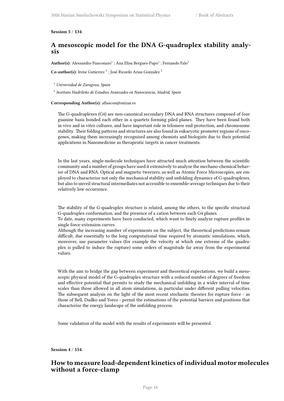#### <span id="page-23-0"></span>**Session 5** / **134**

## **A mesoscopic model for the DNA G-quadruplex stability analysis**

 $\mathbf{Author(s)}:\mathbf{A} \mathbf{les}$ sandro Fiasconaro $^1$  ; Ana Elisa Bergues-Pupo $^1$  ; Fernando Falo $^1$ 

Co-author(s): Irene Gutierrez<sup>2</sup>; José Ricardo Arias-Gonzalez<sup>2</sup>

<sup>1</sup> *Universidad de Zaragoza, Spain*

2 *Instituto Madrileño de Estudios Avanzados en Nanociencia, Madrid, Spain*

#### **Corresponding Author(s):** afiascon@unizar.es

The G-quadruplexes (G4) are non-canonical secondary DNA and RNA structures composed of four guanine basis bonded each other in a quartets forming piled planes. They have been found both in vivo and in vitro cultures, and have important role in telomere end-protection, and chromosome stability. Their folding patterns and structures are also found in eukaryotic promoter regions of oncogenes, making them increasingly recognized among chemists and biologists due to their potential applications in Nanomedicine as therapeutic targets in cancer treatments.

In the last years, single-molecule techniques have attracted much attention between the scientific community and a number of groups have used it extensively to analyze the mechano-chemical behavior of DNA and RNA. Optical and magnetic tweezers, as well as Atomic Force Microscopies, are employed to characterize not only the mechanical stability and unfolding dynamics of G-quadruplexes, but also to unveil structural intermediates not accessible to ensemble-average techniques due to their relatively low occurrence.

The stability of the G-quadruplex structure is related, among the others, to the specific structural G-quadruplex conformation, and the presence of a cation between each G4 planes.

To date, many experiments have been conducted, which want to finely analyze rupture profiles in single force-extension curves.

Although the increasing number of experiments on the subject, the theoretical predictions remain difficult, due essentially to the long computational time required by atomistic simulations, which, moreover, use parameter values (for example the velocity at which one extreme of the quadruplex is pulled to induce the rupture) some orders of magnitude far away from the experimental values.

With the aim to bridge the gap between experiment and theoretical expectations, we build a mesoscopic physical model of the G-quadruplex structure with a reduced number of degrees of freedom and effective potential that permits to study the mechanical unfolding in a wider interval of time scales than those allowed in all atom simulations, in particular under different pulling velocities. The subsequent analysis on the light of the most recent stochastic theories for rupture force - as those of Bell, Dudko and Yoreo - permit the estimations of the potential barriers and positions that characterize the energy landscape of the unfolding process.

Some validation of the model with the results of experiments will be presented.

#### <span id="page-23-1"></span>**Session 4** / **154**

## **How to measure load-dependent kinetics of individual motor molecules without a force-clamp**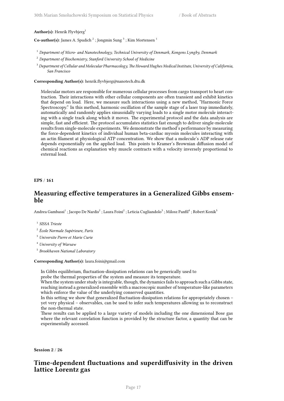#### Author(s): Henrik Flyvbjerg<sup>1</sup>

Co-author(s): James A. Spudich<sup>2</sup>; Jongmin Sung<sup>3</sup>; Kim Mortensen<sup>1</sup>

- <sup>1</sup> *Department of Micro- and Nanotechnology, Technical University of Denmark, Kongens Lyngby, Denmark*
- <sup>2</sup> *Department of Biochemistry, Stanford University School of Medicine*
- <sup>3</sup> *Department of Cellular and Molecular Pharmacology, The Howard Hughes Medical Institute, University of California, San Francisco*

**Corresponding Author(s):** henrik.flyvbjerg@nanotech.dtu.dk

Molecular motors are responsible for numerous cellular processes from cargo transport to heart contraction. Their interactions with other cellular components are often transient and exhibit kinetics that depend on load. Here, we measure such interactions using a new method, "Harmonic Force Spectroscopy." In this method, harmonic oscillation of the sample stage of a laser trap immediately, automatically and randomly applies sinusoidally varying loads to a single motor molecule interacting with a single track along which it moves. The experimental protocol and the data analysis are simple, fast and efficient. The protocol accumulates statistics fast enough to deliver single-molecule results from single-molecule experiments. We demonstrate the method's performance by measuring the force-dependent kinetics of individual human beta-cardiac myosin molecules interacting with an actin filament at physiological ATP concentration. We show that a molecule's ADP release rate depends exponentially on the applied load. This points to Kramer's Brownian diffusion model of chemical reactions as explanation why muscle contracts with a velocity inversely proportional to external load.

<span id="page-24-0"></span>**EPS** / **161**

### **Measuring effective temperatures in a Generalized Gibbs ensemble**

Andrea Gambassi<sup>1</sup> ; Jacopo De Nardis<sup>2</sup> ; Laura Foini<sup>2</sup> ; Leticia Cugliandolo<sup>3</sup> ; Milosz Panfil<sup>4</sup> ; Robert Konik<sup>5</sup>

- 1 *SISSA Trieste*
- 2 *École Normale Supérieure, Paris*
- <sup>3</sup> *Universite Pierre et Marie Curie*
- <sup>4</sup> *University of Warsaw*
- 5 *Brookhaven National Laboratory*

#### **Corresponding Author(s):** laura.foini@gmail.com

In Gibbs equilibrium, fluctuation-dissipation relations can be generically used to

probe the thermal properties of the system and measure its temperature.

When the system under study is integrable, though, the dynamics fails to approach such a Gibbs state, reaching instead a generalized ensemble with a macroscopic number of temperature-like parameters which enforce the value of the underlying conserved quantities.

In this setting we show that generalized fluctuation-dissipation relations for appropriately chosen – yet very physical – observables, can be used to infer such temperatures allowing us to reconstruct the non-thermal state.

These results can be applied to a large variety of models including the one dimensional Bose gas where the relevant correlation function is provided by the structure factor, a quantity that can be experimentally accessed.

<span id="page-24-1"></span>**Session 2** / **26**

## **Time-dependent fluctuations and superdiffusivity in the driven lattice Lorentz gas**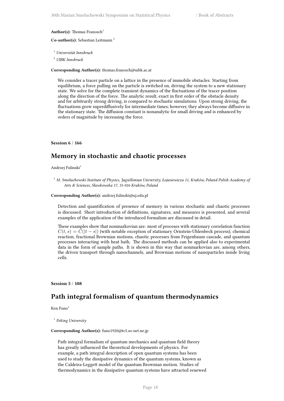#### **Author(s):** Thomas Franosch<sup>1</sup>

#### **Co-author(s):** Sebastian Leitmann <sup>2</sup>

<sup>1</sup> *Universität Innsbruck*

<sup>2</sup> *UIBK Innsbruck*

#### **Corresponding Author(s):** thomas.franosch@uibk.ac.at

We consider a tracer particle on a lattice in the presence of immobile obstacles. Starting from equilibrium, a force pulling on the particle is switched on, driving the system to a new stationary state. We solve for the complete transient dynamics of the fluctuations of the tracer position along the direction of the force. The analytic result, exact in first order of the obstacle density and for arbitrarily strong driving, is compared to stochastic simulations. Upon strong driving, the fluctuations grow superdiffusively for intermediate times; however, they always become diffusive in the stationary state. The diffusion constant is nonanalytic for small driving and is enhanced by orders of magnitude by increasing the force.

#### <span id="page-25-0"></span>**Session 6** / **166**

## **Memory in stochastic and chaotic processes**

Andrzej Fulinski<sup>1</sup>

<sup>1</sup> *M. Smoluchowski Institute of Physics, Jagiellonian University, Łojasiewicza 11, Kraków, Poland Polish Academy of Arts & Sciences, Sławkowska 17, 31-016 Kraków, Poland*

#### **Corresponding Author(s):** andrzej.fulinski@uj.edu.pl

Detection and quantification of presence of memory in various stochastic and chaotic processes is discussed. Short introduction of definitions, signatures, and measures is presented, and several examples of the application of the introduced formalism are discussed in detail.

These examples show that nonmarkovian are: most of proceses with stationary correlation function  $C(t, s) = \tilde{C}(|t - s|)$  (with notable exception of stationary Ornstein-Uhlenbeck process), chemical reaction, fractional Brownian motions, chaotic processes from Feigenbaum cascade, and quantum processes interacting with heat bath. The discussed methods can be applied also to experimental data in the form of sample paths. It is shown in this way that nonmarkovian are, among others, the driven transport through nanochannels, and Brownian motions of nanoparticles inside living cells.

#### <span id="page-25-1"></span>**Session 5** / **108**

## **Path integral formalism of quantum thermodynamics**

Ken  $Func<sup>1</sup>$ 

#### 1 *Peking University*

#### **Corresponding Author(s):** funo1920@tc5.so-net.ne.jp

Path integral formalism of quantum mechanics and quantum field theory has greatly influenced the theoretical developments of physics. For example, a path integral description of open quantum systems has been used to study the dissipative dynamics of the quantum systems, known as the Caldeira-Leggett model of the quantum Brownian motion. Studies of thermodynamics in the dissipative quantum systems have attracted renewed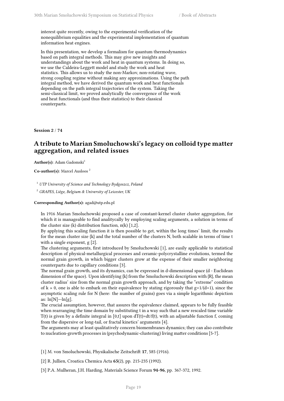interest quite recently, owing to the experimental verification of the nonequilibrium equalities and the experimental implementation of quantum information heat engines.

In this presentation, we develop a formalism for quantum thermodynamics based on path integral methods. This may give new insights and understandings about the work and heat in quantum systems. In doing so, we use the Caldeira-Leggett model and study the work and heat statistics. This allows us to study the non-Markov, non-rotating wave, strong coupling regime without making any approximations. Using the path integral method, we have derived the quantum work and heat functionals depending on the path integral trajectories of the system. Taking the semi-classical limit, we proved analytically the convergence of the work and heat functionals (and thus their statistics) to their classical counterparts.

<span id="page-26-0"></span>**Session 2** / **74**

## **A tribute to Marian Smoluchowski's legacy on colloid type matter aggregation, and related issues**

Author(s): Adam Gadomski<sup>1</sup>

**Co-author(s):** Marcel Ausloos <sup>2</sup>

<sup>1</sup> *UTP University of Science and Technology Bydgoszcz, Poland*

<sup>2</sup> *GRAPES, Liège, Belgium & University of Leicester, UK*

**Corresponding Author(s):** agad@utp.edu.pl

In 1916 Marian Smoluchowski proposed a case of constant-kernel cluster cluster aggregation, for which it is manageable to find analitycally by employing scaling arguments, a solution in terms of the cluster size  $(k)$  distribution function,  $n(k)$  [1,2].

By applying this scaling function it is then possible to get, within the long times' limit, the results for the mean cluster size  $\{k\}$  and the total number of the clusters N, both scalable in terms of time t with a single exponent, g [2].

The clustering arguments, first introduced by Smoluchowski [1], are easily applicable to statistical description of physical-metallurgical processes and ceramic-polycrystalline evolutions, termed the normal grain growth, in which bigger clusters grow at the expense of their smaller neighboring counterparts due to capillary conditions [3].

The normal grain growth, and its dynamics, can be expressed in d-dimensional space (d - Euclidean dimension of the space). Upon identifying  $\{k\}$  from the Smoluchowski description with  $\{R\}$ , the mean cluster radius' size from the normal grain growth approach, and by taking the "extreme" condition of k » 0, one is able to embark on their equivalence by stating rigorously that  $g=1/(d+1)$ , since the asymptotic scaling rule for N (here: the number of grains) goes via a simple logarithmic depiction as:  $\ln[N]$  ~- $\ln[g]$ .

The crucial assumption, however, that assures the equivalence claimed, appears to be fully feasible when rearranging the time domain by substituting t in a way such that a new rescaled time variable T(t) is given by a definite integral in [0,t] upon  $dT(t)=dt/f(t)$ , with an adjustable function f, coming from the dispersive or long-tail, or fractal kinetics' arguments [4].

The arguments may at least qualitatively concern biomembranes dynamics; they can also contribute to nucleation-growth processes in (psychodynamic-clustering) living matter conditions [5-7].

[1] M. von Smoluchowski, Physikalische Zeitschrift **17**, 585 (1916).

[2] R. Jullien, Croatica Chemica Acta **65**(2), pp. 215-235 (1992).

[3] P.A. Mulheran, J.H. Harding, Materials Science Forum **94-96**, pp. 367-372, 1992.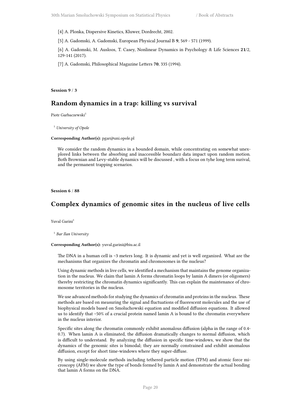[4] A. Plonka, Dispersive Kinetics, Kluwer, Dordrecht, 2002.

[5] A. Gadomski, A. Gadomski, European Physical Journal B **9**, 569 - 571 (1999).

[6] A. Gadomski, M. Ausloos, T. Casey, Nonlinear Dynamics in Psychology & Life Sciences **21**/2, 129-141 (2017).

[7] A. Gadomski, Philosophical Magazine Letters **70**, 335 (1994).

<span id="page-27-0"></span>**Session 9** / **3**

## **Random dynamics in a trap: killing vs survival**

Piotr Garbaczewski<sup>1</sup>

<sup>1</sup> *University of Opole*

#### **Corresponding Author(s):** pgar@uni.opole.pl

We consider the random dynamics in a bounded domain, while concentrating on somewhat unexplored links between the absorbing and inaccessible boundarz data impact upon random motion. Both Brownian and Levy-stable dynamics will be discussed , with a focus on tyhe long term surival, and the permanent trapping scenarios.

<span id="page-27-1"></span>**Session 6** / **88**

## **Complex dynamics of genomic sites in the nucleus of live cells**

Yuval Garini<sup>1</sup>

1 *Bar Ilan University*

#### **Corresponding Author(s):** yuval.garini@biu.ac.il

The DNA in a human cell is ~3 meters long. It is dynamic and yet is well organized. What are the mechanisms that organizes the chromatin and chromosomes in the nucleus?

Using dynamic methods in live cells, we identified a mechanism that maintains the genome organization in the nucleus. We claim that lamin A forms chromatin loops by lamin A dimers (or oligomers) thereby restricting the chromatin dynamics significantly. This can explain the maintenance of chromosome territories in the nucleus.

We use advanced methods for studying the dynamics of chromatin and proteins in the nucleus. These methods are based on measuring the signal and fluctuations of fluorescent molecules and the use of biophysical models based on Smoluchowski equation and modified diffusion equations. It allowed us to identify that ~50% of a crucial protein named lamin A is bound to the chromatin everywhere in the nucleus interior.

Specific sites along the chromatin commonly exhibit anomalous diffusion (alpha in the range of 0.4- 0.7). When lamin A is eliminated, the diffusion dramatically changes to normal diffusion, which is difficult to understand. By analyzing the diffusion in specific time-windows, we show that the dynamics of the genomic sites is bimodal; they are normally constrained and exhibit anomalous diffusion, except for short time-windows where they super-diffuse.

By using single-molecule methods including tethered particle motion (TPM) and atomic force microscopy (AFM) we show the type of bonds formed by lamin A and demonstrate the actual bonding that lamin A forms on the DNA.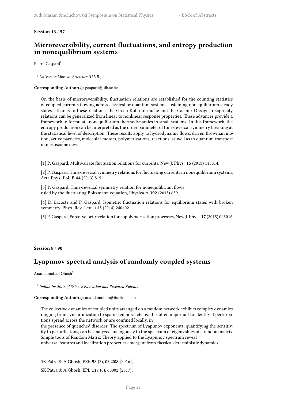#### <span id="page-28-0"></span>**Session 13** / **57**

## **Microreversibility, current fluctuations, and entropy production in nonequilibrium systems**

Pierre Gaspard<sup>1</sup>

<sup>1</sup> *Universite Libre de Bruxelles (U.L.B.)*

#### **Corresponding Author(s):** gaspard@ulb.ac.be

On the basis of microreversibility, fluctuation relations are established for the counting statistics of coupled currents flowing across classical or quantum systems sustaining nonequilibrium steady states. Thanks to these relations, the Green-Kubo formulae and the Casimir-Onsager reciprocity relations can be generalized from linear to nonlinear response properties. These advances provide a framework to formulate nonequilibrium thermodynamics in small systems. In this framework, the entropy production can be interpreted as the order parameter of time-reversal symmetry breaking at the statistical level of description. These results apply to hydrodynamic flows, driven Brownian motion, active particles, molecular motors, polymerizations, reactions, as well as to quantum transport in mesoscopic devices.

[1] P. Gaspard, Multivariate fluctuation relations for currents, New J. Phys. **15** (2013) 115014.

[2] P. Gaspard, Time-reversal symmetry relations for fluctuating currents in nonequilibrium systems, Acta Phys. Pol. B **44** (2013) 815.

[3] P. Gaspard, Time-reversal symmetry relation for nonequilibrium flows ruled by the fluctuating Boltzmann equation, Physica A **392** (2013) 639.

[4] D. Lacoste and P. Gaspard, Isometric fluctuation relations for equilibrium states with broken symmetry, Phys. Rev. Lett. **113** (2014) 240602.

[5] P. Gaspard, Force-velocity relation for copolymerization processes, New J. Phys. **17** (2015) 045016.

#### <span id="page-28-1"></span>**Session 8** / **90**

## **Lyapunov spectral analysis of randomly coupled systems**

Anandamohan Ghosh<sup>1</sup>

1 *Indian Institute of Science Education and Research Kolkata*

#### **Corresponding Author(s):** anandamohan@iiserkol.ac.in

The collective dynamics of coupled units arranged on a random network exhibits complex dynamics ranging from synchronization to spatio-temporal chaos. It is often important to identify if perturbations spread across the network or are confined locally, in

the presence of quenched disorder. The spectrum of Lyapunov exponents, quantifying the sensitivity to perturbations, can be analyzed analogously to the spectrum of eigenvalues of a random matrix. Simple tools of Random Matrix Theory applied to the Lyapunov spectrum reveal

universal features and localization properties emergent from classical deterministic dynamics.

SK Patra & A Ghosh, PRE **93** (3), 032208 [2016],

SK Patra & A Ghosh, EPL **117** (6), 60002 [2017].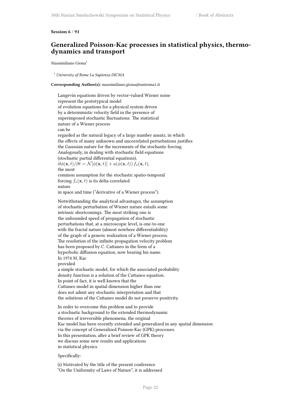#### <span id="page-29-0"></span>**Session 6** / **91**

## **Generalized Poisson-Kac processes in statistical physics, thermodynamics and transport**

Massimiliano Giona<sup>1</sup>

<sup>1</sup> *University of Rome La Sapienza DICMA*

**Corresponding Author(s):** massimiliano.giona@uniroma1.it

```
Langevin equations driven by vector-valued Wiener noise
represent the prototypical model
of evolution equations for a physical system driven
by a deterministic velocity field in the presence of
superimposed stochastic fluctuations. The statistical
nature of a Wiener process
can be
regarded as the natural legacy of a large number ansatz, in which
the effects of many unknown and uncorrelated perturbations justifies
the Gaussian nature for the increments of the stochastic forcing.
Analogously, in dealing with stochastic field equations
(stochastic partial differential equations),
\partial \phi(\mathbf{x}, t)/\partial t = \mathcal{N}[\phi(\mathbf{x}, t)] + a(\phi(\mathbf{x}, t)) f_s(\mathbf{x}, t),the most
common assumption for the stochastic spatio-temporal
forcing f_s(\mathbf{x}, t) is its delta-correlated
nature
in space and time ("derivative of a Wiener process").
Notwithstanding the analytical advantages, the assumption
of stochastic perturbation of Wiener nature entails some
intrinsic shortcomings. The most striking one is
the unbounded speed of propagation of stochastic
perturbations that, at a microscopic level, is one-to-one
with the fractal nature (almost nowhere differentiability)
of the graph of a generic realization of a Wiener process.
The resolution of the infinite propagation velocity problem
has been proposed by C. Cattaneo in the form of a
hyperbolic diffusion equation, now bearing his name.
In 1974 M. Kac
provided
a simple stochastic model, for which the associated probability
density function is a solution of the Cattaneo equation.
In point of fact, it is well known that the
Cattaneo model in spatial dimension higher than one
does not admit any stochastic interpretation and that
the solutions of the Cattaneo model do not preserve positivity.
```
In order to overcome this problem and to provide a stochastic background to the extended thermodynamic theories of irreversible phenomena, the original Kac model has been recently extended and generalized in any spatial dimension via the concept of Generalized Poisson-Kac (GPK) processes. In this presentation, after a brief review of GPK theory we discuss some new results and applications in statistical physics.

#### Specifically:

(i) Motivated by the title of the present conference "On the Uniformity of Laws of Nature", it is addressed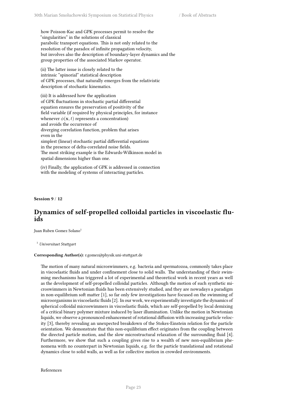how Poisson-Kac and GPK processes permit to resolve the "singularities" in the solutions of classical parabolic transport equations. This is not only related to the resolution of the paradox of infinite propagation velocity, but involves also the description of boundary-layer dynamics and the group properties of the associated Markov operator.

(ii) The latter issue is closely related to the intrinsic "spinorial" statistical description of GPK processes, that naturally emerges from the relativistic description of stochastic kinematics.

(iii) It is addressed how the application of GPK fluctuations in stochastic partial differential equation ensures the preservation of positivity of the field variable (if required by physical principles, for instance whenever  $\phi(\mathbf{x}, t)$  represents a concentration) and avoids the occurrence of diverging correlation function, problem that arises even in the simplest (linear) stochastic partial differential equations in the presence of delta-correlated noise fields. The most striking example is the Edwards-Wilkinson model in spatial dimensions higher than one.

(iv) Finally, the application of GPK is addressed in connection with the modeling of systems of interacting particles.

<span id="page-30-0"></span>**Session 9** / **12**

## **Dynamics of self-propelled colloidal particles in viscoelastic fluids**

Juan Ruben Gomez Solano<sup>1</sup>

<sup>1</sup> *Universitaet Stuttgart*

#### **Corresponding Author(s):** r.gomez@physik.uni-stuttgart.de

The motion of many natural microswimmers, e.g. bacteria and spermatozoa, commonly takes place in viscoelastic fluids and under confinement close to solid walls. The understanding of their swimming mechanisms has triggered a lot of experimental and theoretical work in recent years as well as the development of self-propelled colloidal particles. Although the motion of such synthetic microswimmers in Newtonian fluids has been extensively studied, and they are nowadays a paradigm in non-equilibrium soft matter [1], so far only few investigations have focused on the swimming of microorganisms in viscoelastic fluids [2]. In our work, we experimentally investigate the dynamics of spherical colloidal microswimmers in viscoelastic fluids, which are self-propelled by local demixing of a critical binary polymer mixture induced by laser illumination. Unlike the motion in Newtonian liquids, we observe a pronounced enhancement of rotational diffusion with increasing particle velocity [3], thereby revealing an unexpected breakdown of the Stokes-Einstein relation for the particle orientation. We demonstrate that this non-equilibrium effect originates from the coupling between the directed particle motion, and the slow microstructural relaxation of the surrounding fluid [4]. Furthermore, we show that such a coupling gives rise to a wealth of new non-equilibrium phenomena with no counterpart in Newtonian liquids, e.g. for the particle translational and rotational dynamics close to solid walls, as well as for collective motion in crowded environments.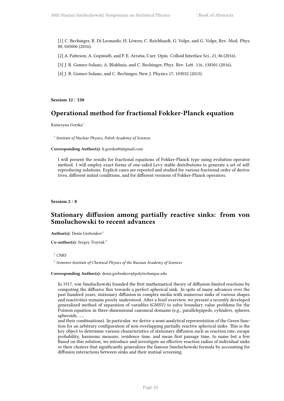- [1] C. Bechinger, R. Di Leonardo, H. Löwen, C. Reichhardt, G. Volpe, and G. Volpe, Rev. Mod. Phys. 88, 045006 (2016).
- [2] A. Patteson, A. Gopinath, and P. E. Arratia, Curr. Opin. Colloid Interface Sci., 21, 86 (2016).
- [3] J. R. Gomez-Solano, A. Blokhuis, and C. Bechinger, Phys. Rev. Lett. 116, 138301 (2016).
- [4] J. R. Gomez-Solano, and C. Bechinger, New J. Physics 17, 103032 (2015).

<span id="page-31-0"></span>**Session 12** / **150**

## **Operational method for fractional Fokker-Planck equation**

Katarzyna Gorska<sup>1</sup>

1 *Institute of Nuclear Physics, Polish Academy of Sciences*

#### **Corresponding Author(s):** k.gorska80@gmail.com

I will present the results for fractional equations of Fokker-Planck type using evolution operator method. I will employ exact forms of one-sided Levy stable distributions to generate a set of selfreproducing solutions. Explicit cases are reported and studied for various fractional order of derivatives, different initial conditions, and for different versions of Fokker-Planck operators.

<span id="page-31-1"></span>**Session 2** / **8**

## **Stationary diffusion among partially reactive sinks: from von Smoluchowski to recent advances**

Author(s): Denis Grebenkov<sup>1</sup>

**Co-author(s):** Sergey Traytak<sup>2</sup>

<sup>1</sup> *CNRS*

2 *Semenov Institute of Chemical Physics of the Russian Academy of Sciences*

#### **Corresponding Author(s):** denis.grebenkov@polytechnique.edu

In 1917, von Smoluchowski founded the first mathematical theory of diffusion-limited reactions by computing the diffusive flux towards a perfect spherical sink. In spite of many advances over the past hundred years, stationary diffusion in complex media with numerous sinks of various shapes and reactivities remains poorly understood. After a brief overview, we present a recently developed generalized method of separation of variables (GMSV) to solve boundary value problems for the Poisson equation in three-dimensional canonical domains (e.g., parallelepipeds, cylinders, spheres, spheroids, …,

<span id="page-31-2"></span>and their combinations). In particular, we derive a semi-analytical representation of the Green function for an arbitrary configuration of non-overlapping partially reactive spherical sinks. This is the key object to determine various characteristics of stationary diffusion such as reaction rate, escape probability, harmonic measure, residence time, and mean first passage time, to name but a few. Based on this solution, we introduce and investigate an effective reaction radius of individual sinks or their clusters that significantly generalizes the famous Smoluchowski formula by accounting for diffusion interactions between sinks and their mutual screening.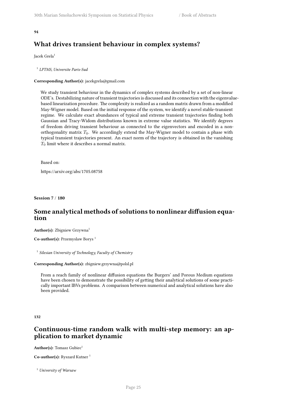#### **94**

## **What drives transient behaviour in complex systems?**

Jacek Grela<sup>1</sup>

1 *LPTMS, Universite Paris-Sud*

#### **Corresponding Author(s):** jacekgrela@gmail.com

We study transient behaviour in the dynamics of complex systems described by a set of non-linear ODE's. Destabilizing nature of transient trajectories is discussed and its connection with the eigenvaluebased linearization procedure. The complexity is realized as a random matrix drawn from a modified May-Wigner model. Based on the initial response of the system, we identify a novel stable-transient regime. We calculate exact abundances of typical and extreme transient trajectories finding both Gaussian and Tracy-Widom distributions known in extreme value statistics. We identify degrees of freedom driving transient behaviour as connected to the eigenvectors and encoded in a nonorthogonality matrix  $T_0$ . We accordingly extend the May-Wigner model to contain a phase with typical transient trajectories present. An exact norm of the trajectory is obtained in the vanishing *T*<sup>0</sup> limit where it describes a normal matrix.

Based on:

https://arxiv.org/abs/1705.08758

**Session 7** / **180**

## **Some analytical methods of solutions to nonlinear diffusion equation**

**Author(s):** Zbigniew Grzywna<sup>1</sup>

**Co-author(s):** Przemyslaw Borys <sup>1</sup>

1 *Silesian University of Technology, Faculty of Chemistry*

#### **Corresponding Author(s):** zbigniew.grzywna@polsl.pl

From a reach family of nonlinear diffusion equations the Burgers' and Porous Medium equations have been chosen to demonstrate the possibility of getting their analytical solutions of some practically important IBVs problems. A comparison between numerical and analytical solutions have also been provided.

<span id="page-32-0"></span>**132**

## **Continuous-time random walk with multi-step memory: an application to market dynamic**

**Author(s):** Tomasz Gubiec<sup>1</sup>

**Co-author(s):** Ryszard Kutner<sup>1</sup>

<sup>1</sup> *University of Warsaw*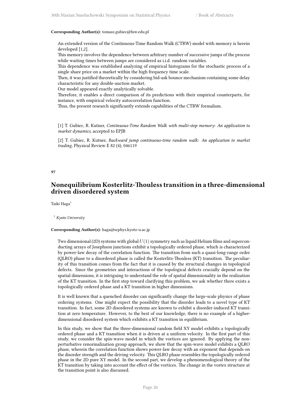#### **Corresponding Author(s):** tomasz.gubiec@fuw.edu.pl

An extended version of the Continuous-Time Random Walk (CTRW) model with memory is herein developed [1,2].

This memory involves the dependence between arbitrary number of successive jumps of the process while waiting times between jumps are considered as i.i.d. random variables.

This dependence was established analyzing of empirical histograms for the stochastic process of a single share price on a market within the high frequency time scale.

Then, it was justified theoretically by considering bid-ask bounce mechanism containing some delay characteristic for any double-auction market.

Our model appeared exactly analytically solvable.

Therefore, it enables a direct comparison of its predictions with their empirical counterparts, for instance, with empirical velocity autocorrelation function.

Thus, the present research significantly extends capabilities of the CTRW formalism.

[1] T. Gubiec, R. Kutner, *Continuous-Time Random Walk with multi-step memory: An application to market dynamics*, accepted to EPJB

[2] T. Gubiec, R. Kutner, *Backward jump continuous-time random walk: An application to market trading*, Physical Review E 82 (4), 046119

#### **97**

## **Nonequilibrium Kosterlitz-Thouless transition in a three-dimensional driven disordered system**

Taiki Haga<sup>1</sup>

<sup>1</sup> *Kyoto University*

#### **Corresponding Author(s):** haga@scphys.kyoto-u.ac.jp

Two dimensional (2D) systems with global  $U(1)$  symmetry such as liquid Helium films and superconducting arrays of Josephson junctions exhibit a topologically ordered phase, which is characterized by power-law decay of the correlation function. The transition from such a quasi-long-range order (QLRO) phase to a disordered phase is called the Kosterlitz-Thouless (KT) transition. The peculiarity of this transition comes from the fact that it is caused by the structural changes in topological defects. Since the geometries and interactions of the topological defects crucially depend on the spatial dimensions, it is intriguing to understand the role of spatial dimensionality in the realization of the KT transition. In the first step toward clarifying this problem, we ask whether there exists a topologically ordered phase and a KT transition in higher dimensions.

It is well known that a quenched disorder can significantly change the large-scale physics of phase ordering systems. One might expect the possibility that the disorder leads to a novel type of KT transition. In fact, some 2D disordered systems are known to exhibit a disorder-induced KT transition at zero temperature. However, to the best of our knowledge, there is no example of a higherdimensional disordered system which exhibits a KT transition in equilibrium.

In this study, we show that the three-dimensional random field XY model exhibits a topologically ordered phase and a KT transition when it is driven at a uniform velocity. In the first part of this study, we consider the spin-wave model in which the vortices are ignored. By applying the nonperturbative renormalization group approach, we show that the spin-wave model exhibits a QLRO phase, wherein the correlation function shows power-law decay with an exponent that depends on the disorder strength and the driving velocity. This QLRO phase resembles the topologically ordered phase in the 2D pure XY model. In the second part, we develop a phenomenological theory of the KT transition by taking into account the effect of the vortices. The change in the vortex structure at the transition point is also discussed.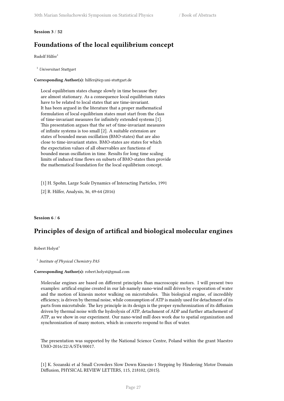#### <span id="page-34-0"></span>**Session 3** / **52**

## **Foundations of the local equilibrium concept**

 $Rudolf Hilfer<sup>1</sup>$ 

<sup>1</sup> *Universitaet Stuttgart*

#### **Corresponding Author(s):** hilfer@icp.uni-stuttgart.de

Local equilibrium states change slowly in time because they are almost stationary. As a consequence local equilibrium states have to be related to local states that are time-invariant. It has been argued in the literature that a proper mathematical formulation of local equilibrium states must start from the class of time-invariant measures for infinitely extended systems [1]. This presentation argues that the set of time-invariant measures of infinite systems is too small [2]. A suitable extension are states of bounded mean oscillation (BMO-states) that are also close to time-invariant states. BMO-states are states for which the expectation values of all observables are functions of bounded mean oscillation in time. Results for long time scaling limits of induced time flows on subsets of BMO-states then provide the mathematical foundation for the local equilibrium concept.

[1] H. Spohn, Large Scale Dynamics of Interacting Particles, 1991

[2] R. Hilfer, Analysis, 36, 49-64 (2016)

#### <span id="page-34-1"></span>**Session 6** / **6**

## **Principles of design of artifical and biological molecular engines**

Robert Holyst<sup>1</sup>

1 *Institute of Physical Chemistry PAS*

#### **Corresponding Author(s):** robert.holyst@gmail.com

Molecular engines are based on different principles than macroscopic motors. I will present two examples: artifical engine created in our lab namely nano-wind mill driven by evaporation of water and the motion of kinesin motor walking on microtubules. This biological engine, of incredibly efficiency, is driven by thermal noise, while consumption of ATP is mainly used for detachment of its parts from microtubule. The key principle in its design is the proper synchronization of its diffusion driven by thermal noise with the hydrolysis of ATP, detachment of ADP and further attachement of ATP, as we show in our experiment. Our nano-wind mill does work due to spatial organization and synchronization of many motors, which in concerto respond to flux of water.

The presentation was supported by the National Science Centre, Poland within the grant Maestro UMO-2016/22/A/ST4/00017.

[1] K. Sozanski et al Small Crowders Slow Down Kinesin-1 Stepping by Hindering Motor Domain Diffusion, PHYSICAL REVIEW LETTERS, 115, 218102, (2015).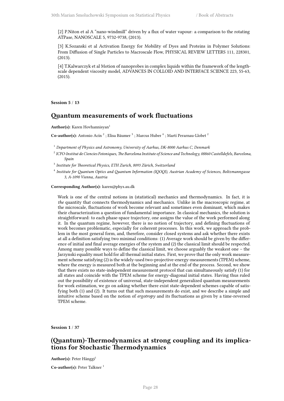[2] P.Niton et al A "nano-windmill" driven by a flux of water vapour: a comparison to the rotating ATPase, NANOSCALE 5, 9732-9738, (2013).

[3] K.Sozanski et al Activation Energy for Mobility of Dyes and Proteins in Polymer Solutions: From Diffusion of Single Particles to Macroscale Flow, PHYSICAL REVIEW LETTERS 111, 228301, (2013).

[4] T.Kalwarczyk et al Motion of nanoprobes in complex liquids within the framework of the lengthscale dependent viscosity model, ADVANCES IN COLLOID AND INTERFACE SCIENCE 223, 55-63, (2015).

<span id="page-35-0"></span>**Session 5** / **13**

## **Quantum measurements of work fluctuations**

Author(s): Karen Hovhannisyan<sup>1</sup>

Co-author(s): Antonio Acín<sup>2</sup>; Elisa Bäumer<sup>3</sup>; Marcus Huber<sup>4</sup>; Martí Perarnau-Llobet<sup>2</sup>

<sup>1</sup> *Department of Physics and Astronomy, University of Aarhus, DK-8000 Aarhus C, Denmark*

- 2 *ICFO-Institut de Ciencies Fotoniques, The Barcelona Institute of Science and Technology, 08860 Castelldefels, Barcelona, Spain*
- 3 *Institute for Theoretical Physics, ETH Zurich, 8093 Zürich, Switzerland*
- 4 *Institute for Quantum Optics and Quantum Information (IQOQI), Austrian Academy of Sciences, Boltzmanngasse 3, A-1090 Vienna, Austria*

**Corresponding Author(s):** karen@phys.au.dk

Work is one of the central notions in (statistical) mechanics and thermodynamics. In fact, it is *the* quantity that connects thermodynamics and mechanics. Unlike in the macroscopic regime, at the microscale, fluctuations of work become relevant and sometimes even dominant, which makes their characterization a question of fundamental importance. In classical mechanics, the solution is straightforward: to each phase-space trajectory, one assigns the value of the work performed along it. In the quantum regime, however, there is no notion of trajectory, and defining fluctuations of work becomes problematic, especially for coherent processes. In this work, we approach the problem in the most general form, and, therefore, consider closed systems and ask whether there exists at all a definition satisfying two minimal conditions: (1) Average work should be given by the difference of initial and final average energies of the system and (2) the classical limit should be respected. Among many possible ways to define the classical limit, we choose arguably the weakest one – the Jarzynski equality must hold for all thermal initial states. First, we prove that the only work measurement scheme satisfying (2) is the widely-used two-projective-energy-measurements (TPEM) scheme, where the energy is measured both at the beginning and at the end of the process. Second, we show that there exists no state-independent measurement protocol that can simultaneously satisfy (1) for all states and coincide with the TPEM scheme for energy-diagonal initial states. Having thus ruled out the possibility of existence of universal, state-independent generalized quantum measurements for work estimation, we go on asking whether there exist state-dependent schemes capable of satisfying both (1) and (2). It turns out that such measurements do exist, and we describe a simple and intuitive scheme based on the notion of *ergotropy* and its fluctuations as given by a time-reversed TPEM scheme.

<span id="page-35-1"></span>**Session 1** / **37**

## **(Quantum)-Thermodynamics at strong coupling and its implications for Stochastic Thermodynamics**

Author(s): Peter Hänggi<sup>1</sup>

**Co-author(s):** Peter Talkner<sup>1</sup>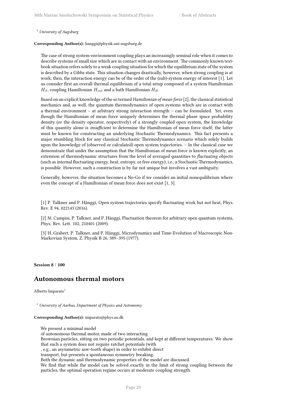<sup>1</sup> *University of Augsburg*

### **Corresponding Author(s):** hanggi@physik.uni-augsburg.de

The case of strong system-environment coupling plays an increasingly seminal role when it comes to describe systems of small size which are in contact with an environment. The commonly known textbook situation refers solely to a weak coupling situation for which the equilibrium state of the system is described by a Gibbs state. This situation changes drastically, however, when strong coupling is at work; then, the interaction energy can be of the order of the (sub)-system energy of interest [1]. Let us consider first an overall thermal equilibrium of a total setup composed of a system Hamiltonian  $H<sub>S</sub>$ , coupling Hamiltonian  $H<sub>int</sub>$  and a bath Hamiltonian  $H<sub>B</sub>$ .

Based on an explicit knowledge of the so termed *Hamiltonian of mean force* [2], the classical statistical mechanics and, as well, the quantum thermodynamics of open systems which are in contact with a thermal environment – at arbitrary strong interaction strength – can be formulated. Yet, even though the Hamiltonian of mean force uniquely determines the thermal phase space probability density (or the density operator, respectively) of a strongly coupled open system, the knowledge of this quantity alone is *insufficient* to determine the Hamiltonian of mean force itself; the latter must be known for constructing an underlying Stochastic Thermodynamics. This fact presents a major stumbling block for any classical Stochastic Thermodynamics scenario which solely builds upon the knowledge of (observed or calculated) open system trajectories. – In the classical case we demonstrate that under the assumption that the Hamiltonian of mean force is known explicitly, an extension of thermodynamic structures from the level of averaged quantities to *fluctuating* objects (such as internal fluctuating energy, heat, entropy, or free energy); i.e., a Stochastic Thermodynamics, is possible. However, such a construction is by far not unique but involves a vast ambiguity.

Generally, however, the situation becomes a No-Go if we consider an initial nonequilibrium where even the concept of a Hamiltonian of mean force does not exist [1, 3].

[1] P. Talkner and P. Hänggi, Open system trajectories specify fluctuating work but not heat, Phys. Rev. E 94, 022143 (2016).

[2] M. Campisi, P. Talkner, and P. Hänggi, Fluctuation theorem for arbitrary open quantum systems, Phys. Rev. Lett. 102, 210401 (2009).

[3] H. Grabert, P. Talkner, and P. Hänggi, Microdynamics and Time-Evolution of Macroscopic Non-Markovian System, Z. Physik B 26, 389–395 (1977).

**Session 8** / **100**

## **Autonomous thermal motors**

Alberto Imparato $1$ 

<sup>1</sup> *University of Aarhus, Department of Physics and Astronomy*

**Corresponding Author(s):** imparato@phys.au.dk

We present a minimal model

of autonomous thermal motor, made of two interacting

Brownian particles, sitting on two periodic potentials, and kept at different temperatures. We show that such a system does not require ratchet potentials (with

, e.g., an asymmetric saw-tooth shape) in order to exhibit direct

transport, but presents a spontaneous symmetry breaking.

Both the dynamic and thermodynamic properties of the model are discussed.

We find that while the model can be solved exactly in the limit of strong coupling between the particles, the optimal operation regime occurs at moderate coupling strength.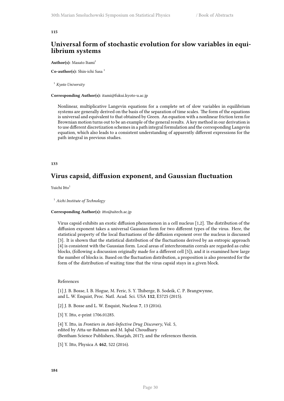#### **115**

## **Universal form of stochastic evolution for slow variables in equilibrium systems**

#### **Author(s):** Masato Itami<sup>1</sup>

Co-author(s): Shin-ichi Sasa<sup>1</sup>

<sup>1</sup> *Kyoto University*

### **Corresponding Author(s):** itami@fukui.kyoto-u.ac.jp

Nonlinear, multiplicative Langevin equations for a complete set of slow variables in equilibrium systems are generally derived on the basis of the separation of time scales. The form of the equations is universal and equivalent to that obtained by Green. An equation with a nonlinear friction term for Brownian motion turns out to be an example of the general results. A key method in our derivation is to use different discretization schemes in a path integral formulation and the corresponding Langevin equation, which also leads to a consistent understanding of apparently different expressions for the path integral in previous studies.

## **133**

## **Virus capsid, diffusion exponent, and Gaussian fluctuation**

Yuichi Itto<sup>1</sup>

<sup>1</sup> *Aichi Institute of Technology*

#### **Corresponding Author(s):** itto@aitech.ac.jp

Virus capsid exhibits an exotic diffusion phenomenon in a cell nucleus [1,2]. The distribution of the diffusion exponent takes a universal Gaussian form for two different types of the virus. Here, the statistical property of the local fluctuations of the diffusion exponent over the nucleus is discussed [3]. It is shown that the statistical distribution of the fluctuations derived by an entropic approach [4] is consistent with the Gaussian form. Local areas of interchromatin corrals are regarded as cubic blocks, (following a discussion originally made for a different cell [5]), and it is examined how large the number of blocks is. Based on the fluctuation distribution, a proposition is also presented for the form of the distribution of waiting time that the virus capsid stays in a given block.

#### References

[1] J. B. Bosse, I. B. Hogue, M. Feric, S. Y. Thiberge, B. Sodeik, C. P. Brangwynne, and L. W. Enquist, Proc. Natl. Acad. Sci. USA **112**, E5725 (2015).

[2] J. B. Bosse and L. W. Enquist, Nucleus **7**, 13 (2016).

[3] Y. Itto, e-print 1706.01285.

[4] Y. Itto, in *Frontiers in Anti-Infective Drug Discovery*, Vol. 5, edited by Atta-ur-Rahman and M. Iqbal Choudhary (Bentham Science Publishers, Sharjah, 2017); and the references therein.

[5] Y. Itto, Physica A **462**, 522 (2016).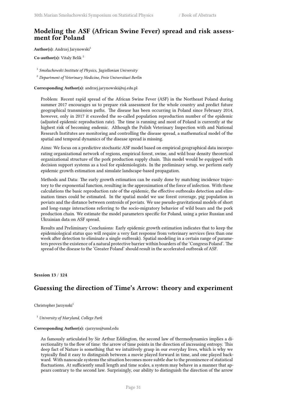# **Modeling the ASF (African Swine Fever) spread and risk assessment for Poland**

Author(s): Andrzej Jarynowski<sup>1</sup>

**Co-author(s):** Vitaly Belik <sup>2</sup>

1 *Smoluchowski Institute of Physics, Jagiellonian University*

<sup>2</sup> *Department of Veterinary Medicine, Freie Universitaet Berlin*

**Corresponding Author(s):** andrzej.jarynowski@uj.edu.pl

Problem: Recent rapid spread of the African Swine Fever (ASF) in the Northeast Poland during summer 2017 encourages us to prepare risk assessment for the whole country and predict future geographical transmission paths. The disease has been occurring in Poland since February 2014, however, only in 2017 it exceeded the so-called population reproduction number of the epidemic (adjusted epidemic reproduction rate). The time is running and most of Poland is currently at the highest risk of becoming endemic. Although the Polish Veterinary Inspection with and National Research Institutes are monitoring and controlling the disease spread, a mathematical model of the spatial and temporal dynamics of the disease spread is missing.

Aims: We focus on a predictive stochastic ASF model based on empirical geographical data incorporating organizational network of regions, empirical forest, swine, and wild boar density theoretical organizational structure of the pork production supply chain. This model would be equipped with decision support systems as a tool for epidemiologists. In the preliminary setup, we perform early epidemic growth estimation and simulate landscape-based propagation.

Methods and Data: The early growth estimation can be easily done by matching incidence trajectory to the exponential function, resulting in the approximation of the force of infection. With these calculations the basic reproduction rate of the epidemic, the effective outbreaks detection and elimination times could be estimated. In the spatial model we use forest coverage, pig population in poviats and the distance between centroids of poviats. We use pseudo-gravitational models of short and long-range interactions referring to the socio-migratory behavior of wild boars and the pork production chain. We estimate the model parameters specific for Poland, using a prior Russian and Ukrainian data on ASF spread.

Results and Preliminary Conclusions: Early epidemic growth estimation indicates that to keep the epidemiological status quo will require a very fast response from veterinary services (less than one week after detection to eliminate a single outbreak). Spatial modeling in a certain range of parameters proves the existence of a natural protective barrier within boarders of the 'Congress Poland'. The spread of the disease to the 'Greater Poland' should result in the accelerated outbreak of ASF.

**Session 13** / **124**

# **Guessing the direction of Time's Arrow: theory and experiment**

Christopher Jarzynski<sup>1</sup>

<sup>1</sup> *University of Maryland, College Park*

### **Corresponding Author(s):** cjarzyns@umd.edu

As famously articulated by Sir Arthur Eddington, the second law of thermodynamics implies a directionality to the flow of time: the arrow of time points in the direction of increasing entropy. This deep fact of Nature is something that we intuitively grasp in our everyday lives, which is why we typically find it easy to distinguish between a movie played forward in time, and one played backward. With nanoscale systems the situation becomes more subtle due to the prominence of statistical fluctuations. At sufficiently small length and time scales, a system may behave in a manner that appears contrary to the second law. Surprisingly, our ability to distinguish the direction of the arrow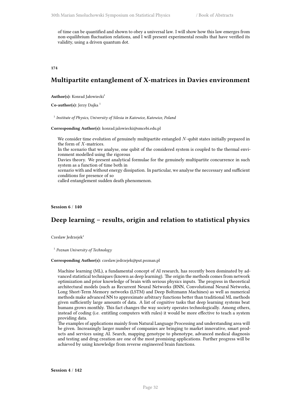of time can be quantified and shown to obey a universal law. I will show how this law emerges from non-equilibrium fluctuation relations, and I will present experimental results that have verified its validity, using a driven quantum dot.

**174**

# **Multipartite entanglement of X-matrices in Davies environment**

Author(s): Konrad Jałowiecki<sup>1</sup>

Co-author(s): Jerzy Dajka<sup>1</sup>

1 *Institute of Physics, University of Silesia in Katowice, Katowice, Poland*

**Corresponding Author(s):** konrad.jalowiecki@smcebi.edu.pl

We consider time evolution of genuinely multipartite entangled *N*-qubit states initially prepared in the form of *X*-matrices.

In the scenario that we analyse, one qubit of the considered system is coupled to the thermal environment modelled using the rigorous

Davies theory. We present analytical formulae for the genuinely multipartite concurrence in such system as a function of time both in

scenario with and without energy dissipation. In particular, we analyse the neccessary and sufficient conditions for presence of so

called entanglement sudden death phenomenon.

## **Session 6** / **140**

# **Deep learning – results, origin and relation to statistical physics**

Czeslaw Jedrzejek<sup>1</sup>

1 *Poznan University of Technology*

#### **Corresponding Author(s):** czeslaw.jedrzejek@put.poznan.pl

Machine learning (ML), a fundamental concept of AI research, has recently been dominated by advanced statistical techniques (known as deep learning). The origin the methods comes from network optimization and prior knowledge of brain with serious physics inputs. The progress in theoretical architectural models (such as Recurrent Neural Networks (RNN, Convolutional Neural Networks, Long Short-Term Memory networks (LSTM) and Deep Boltzmann Machines) as well as numerical methods make advanced NN to approximate arbitrary functions better than traditional ML methods given sufficiently large amounts of data. A list of cognitive tasks that deep learning systems beat humans grows monthly. This fact changes the way society operates technologically. Among others, instead of coding (i.e. entitling computers with rules) it would be more effective to teach a system providing data.

The examples of applications mainly from Natural Language Processing and understanding area will be given. Increasingly larger number of companies are bringing to market innovative, smart products and services using AI. Search, mapping genotype to phenotype, advanced medical diagnosis and testing and drug creation are one of the most promising applications. Further progress will be achieved by using knowledge from reverse engineered brain functions.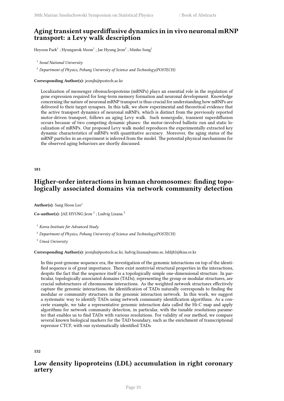# **Aging transient superdiffusive dynamics in in vivo neuronal mRNP transport: a Levy walk description**

Heyoon Park $^1$  ; Hyungseok Moon $^1$  ; Jae Hyung Jeon $^2$  ; Minho Song $^1$ 

1 *Seoul National University*

<sup>2</sup> *Department of Physics, Pohang University of Science and Technology(POSTECH)*

**Corresponding Author(s):** jeonjh@postech.ac.kr

Localization of messenger ribonucleoproteins (mRNPs) plays an essential role in the regulation of gene expression required for long-term memory formation and neuronal development. Knowledge concerning the nature of neuronal mRNP transport is thus crucial for understanding how mRNPs are delivered to their target synapses. In this talk, we show experimental and theoretical evidence that the active transport dynamics of neuronal mRNPs, which is distinct from the previously reported motor-driven transport, follows an aging Levy walk. Such nonergodic, transient superdiffusion occurs because of two competing dynamic phases: the motor-involved ballistic run and static localization of mRNPs. Our proposed Levy walk model reproduces the experimentally extracted key dynamic characteristics of mRNPs with quantitative accuracy. Moreover, the aging status of the mRNP particles in an experiment is inferred from the model. The potential physical mechanisms for the observed aging behaviors are shortly discussed.

**181**

# **Higher-order interactions in human chromosomes: finding topologically associated domains via network community detection**

Author(s): Sang Hoon Lee<sup>1</sup>

 $\mathbf C$ o-a**uthor(s):** JAE HYUNG Jeon  $^2$  ; Ludvig Lizana  $^3$ 

<sup>1</sup> *Korea Institute for Advanced Study*

<sup>2</sup> *Department of Physics, Pohang University of Science and Technology(POSTECH)*

<sup>3</sup> *Umeå University*

### **Corresponding Author(s):** jeonjh@postech.ac.kr, ludvig.lizana@umu.se, lshlj82@kias.re.kr

In this post-genome sequence era, the investigation of the genomic interactions on top of the identified sequence is of great importance. There exist nontrivial structural properties in the interactions, despite the fact that the sequence itself is a topologically simple one-dimensional structure. In particular, topologically associated domains (TADs), representing the group or modular structures, are crucial substructures of chromosome interactions. As the weighted network structures effectively capture the genomic interactions, the identification of TADs naturally corresponds to finding the modular or community structures in the genomic interaction network. In this work, we suggest a systematic way to identify TADs using network community identification algorithms. As a concrete example, we take a representative genomic interaction data called the Hi-C map and apply algorithms for network community detection, in particular, with the tunable resolutions parameter that enables us to find TADs with various resolutions. For validity of our method, we compare several known biological markers for the TAD boundary, such as the enrichment of transcriptional repressor CTCF, with our systematically identified TADs

**152**

# **Low density lipoproteins (LDL) accumulation in right coronary artery**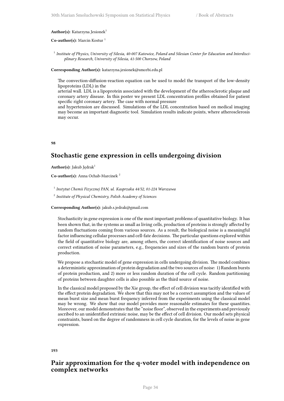### Author(s): Katarzyna Jesionek<sup>1</sup>

#### **Co-author(s):** Marcin Kostur<sup>1</sup>

<sup>1</sup> Institute of Physics, University of Silesia, 40-007 Katowice, Poland and Silesian Center for Education and Interdisci*plinary Research, University of Silesia, 41-500 Chorzow, Poland*

**Corresponding Author(s):** katarzyna.jesionek@smcebi.edu.pl

The convection-diffusion-reaction equation can be used to model the transport of the low-density lipoproteins (LDL) in the

arterial wall. LDL is a lipoprotein associated with the development of the atherosclerotic plaque and coronary artery disease. In this poster we present LDL concentration profiles obtained for patient specific right coronary artery. The case with normal pressure

and hypertension are discussed. Simulations of the LDL concentration based on medical imaging may become an important diagnostic tool. Simulation results indicate points, where atherosclerosis may occur.

**98**

# **Stochastic gene expression in cells undergoing division**

Author(s): Jakub Jędrak<sup>1</sup>

**Co-author(s):** Anna Ochab-Marcinek <sup>2</sup>

1 *Instytut Chemii Fizycznej PAN, ul. Kasprzaka 44/52, 01-224 Warszawa*

2 *Institute of Physical Chemistry, Polish Academy of Sciences*

**Corresponding Author(s):** jakub.s.jedrak@gmail.com

Stochasticity in gene expression is one of the most important problems of quantitative biology. It has been shown that, in the systems as small as living cells, production of proteins is strongly affected by random fluctuations coming from various sources. As a result, the biological noise is a meaningful factor influencing cellular processes and cell-fate decisions. The particular questions explored within the field of quantitative biology are, among others, the correct identification of noise sources and correct estimation of noise parameters, e.g., frequencies and sizes of the random bursts of protein production.

We propose a stochastic model of gene expression in cells undergoing division. The model combines a deterministic approximation of protein degradation and the two sources of noise: 1) Random bursts of protein production, and 2) more or less random duration of the cell cycle. Random partitioning of proteins between daughter cells is also possible as the third source of noise.

In the classical model proposed by the Xie group, the effect of cell division was tacitly identified with the effect protein degradation. We show that this may not be a correct assumption and the values of mean burst size and mean burst frequency inferred from the experiments using the classical model may be wrong. We show that our model provides more reasonable estimates for these quantities. Moreover, our model demonstrates that the "noise floor", observed in the experiments and previously ascribed to an unidentified extrinsic noise, may be the effect of cell division. Our model sets physical constraints, based on the degree of randomness in cell cycle duration, for the levels of noise in gene expression.

**193**

## **Pair approximation for the q-voter model with independence on complex networks**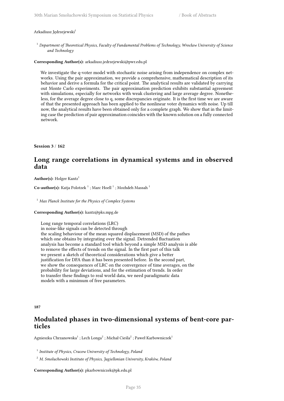#### Arkadiusz Jędrzejewski<sup>1</sup>

<sup>1</sup> *Department of Theoretical Physics, Faculty of Fundamental Problems of Technology, Wrocław University of Science and Technology*

**Corresponding Author(s):** arkadiusz.jedrzejewski@pwr.edu.pl

We investigate the q-voter model with stochastic noise arising from independence on complex networks. Using the pair approximation, we provide a comprehensive, mathematical description of its behavior and derive a formula for the critical point. The analytical results are validated by carrying out Monte Carlo experiments. The pair approximation prediction exhibits substantial agreement with simulations, especially for networks with weak clustering and large average degree. Nonetheless, for the average degree close to q, some discrepancies originate. It is the first time we are aware of that the presented approach has been applied to the nonlinear voter dynamics with noise. Up till now, the analytical results have been obtained only for a complete graph. We show that in the limiting case the prediction of pair approximation coincides with the known solution on a fully connected network.

### **Session 3** / **162**

# **Long range correlations in dynamical systems and in observed data**

Author(s): Holger Kantz<sup>1</sup>

 $Co\text{-}author(s):$  Katja Polotzek $^1$  ; Marc Hoell  $^1$  ; Mozhdeh Massah  $^1$ 

<sup>1</sup> *Max Planck Institute for the Physics of Complex Systems*

## **Corresponding Author(s):** kantz@pks.mpg.de

Long range temporal correlations (LRC) in noise-like signals can be detected through the scaling behaviour of the mean squared displacement (MSD) of the pathes which one obtains by integrating over the signal. Detrended fluctuation analysis has become a standard tool which beyond a simple MSD analysis is able to remove the effects of trends on the signal. In the first part of this talk we present a sketch of theoretical considerations which give a better justification for DFA than it has been presented before. In the second part, we show the consequences of LRC on the convergence of time averages, on the probability for large deviations, and for the estimation of trends. In order to transfer these findings to real world data, we need paradigmatic data models with a minimum of free parameters.

#### **187**

## **Modulated phases in two-dimensional systems of bent-core particles**

Agnieszka Chrzanowska $^1$  ; Lech Longa $^2$  ; Michał Cieśla $^2$  ; Paweł Karbowniczek $^1$ 

<sup>1</sup> Institute of Physics, Cracow University of Technology, Poland

<sup>2</sup> *M. Smoluchowski Institute of Physics, Jagiellonian University, Kraków, Poland*

**Corresponding Author(s):** pkarbowniczek@pk.edu.pl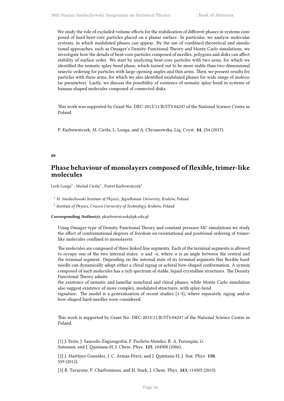We study the role of excluded-volume effects for the stabilization of different phases in systems composed of hard bent-core particles placed on a planar surface. In particular, we analyze molecular systems, in which modulated phases can appear. By the use of combined theoretical and simulational approaches, such as Onsager's Density Functional Theory and Monte Carlo simulations, we investigate how the details of bent-core particles composed of needles, polygons and disks can affect stability of surface order. We start by analyzing bent-core particles with two arms, for which we identified the nematic splay-bend phase, which turned out to be more stable than two-dimensional smectic ordering for particles with large opening angles and thin arms. Then, we present results for particles with three arms, for which we also identified modulated phases for wide range of molecular parameters. Lastly, we discuss the possibility of existence of nematic splay-bend in systems of banana-shaped molecules composed of connected disks.

This work was supported by Grant No. DEC-2013/11/B/ST3/04247 of the National Science Centre in Poland.

P. Karbowniczek, M. Cieśla, L. Longa, and A. Chrzanowska, Liq. Cryst. **44**, 254 (2017).

### **80**

## **Phase behaviour of monolayers composed of flexible, trimer-like molecules**

Lech Longa $^1$  ; Michał Cieśla $^1$  ; Paweł Karbowniczek $^2$ 

<sup>1</sup> *M. Smoluchowski Institute of Physics, Jagiellonian University, Kraków, Poland*

2 *Institute of Physics, Cracow University of Technology, Kraków, Poland*

**Corresponding Author(s):** pkarbowniczek@pk.edu.pl

Using Onsager-type of Density Functional Theory and constant pressure MC simulations we study the effect of conformational degrees of freedom on orientational and positional ordering of trimerlike molecules confined to monolayers.

The molecules are composed of three linked line segments. Each of the terminal segments is allowed to occupy one of the two internal states:  $\alpha$  and  $-\alpha$ , where  $\alpha$  is an angle between the central and the terminal segment. Depending on the internal state of its terminal segments this flexible hardneedle can dynamically adopt either a chiral zigzag or achiral bow-shaped conformation. A system composed of such molecules has a rich spectrum of stable, liquid-crystalline structures. The Density Functional Theory admits

the existence of nematic and lamellar nonchiral and chiral phases, while Monte Carlo simulation also suggest existence of more complex, modulated structures, with splay-bend

signature. The model is a generalization of recent studies [1-3], where separately zigzag and/or bow-shaped hard-needles were considered.

This work is supported by Grant No. DEC-2013/11/B/ST3/04247 of the National Science Centre in Poland.

[1] J. Peón, J. Saucedo-Zugazagoitia, F. Pucheta-Mendez, R. A. Perusquía, G. Sutmann, and J. Quintana-H, J. Chem. Phys. **125**, 104908 (2006).

[2] J. Martínez-González, J. C. Armas-Pérez, and J. Quintana-H, J. Stat. Phys. **150**, 559 (2012).

[3] R. Tavarone, P. Charbonneau, and H. Stark, J. Chem. Phys. **143**, 114505 (2015).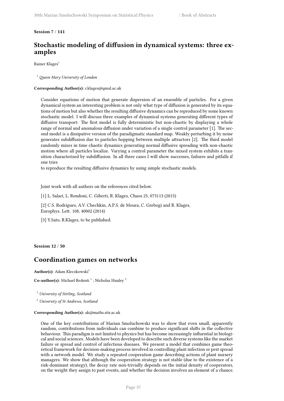## **Session 7** / **141**

# **Stochastic modeling of diffusion in dynamical systems: three examples**

Rainer Klages<sup>1</sup>

<sup>1</sup> *Queen Mary University of London*

### **Corresponding Author(s):** r.klages@qmul.ac.uk

Consider equations of motion that generate dispersion of an ensemble of particles. For a given dynamical system an interesting problem is not only what type of diffusion is generated by its equations of motion but also whether the resulting diffusive dynamics can be reproduced by some known stochastic model. I will discuss three examples of dynamical systems generating different types of diffusive transport: The first model is fully deterministic but non-chaotic by displaying a whole range of normal and anomalous diffusion under variation of a single control parameter [1]. The second model is a dissipative version of the paradigmatic standard map. Weakly perturbing it by noise generates subdiffusion due to particles hopping between multiple attractors [2]. The third model randomly mixes in time chaotic dynamics generating normal diffusive spreading with non-chaotic motion where all particles localize. Varying a control parameter the mixed system exhibits a transition characterised by subdiffusion. In all three cases I will show successes, failures and pitfalls if one tries

to reproduce the resulting diffusive dynamics by using simple stochastic models.

Joint work with all authors on the references cited below.

[1] L. Salari, L. Rondoni, C. Giberti, R. Klages, Chaos 25, 073113 (2015)

[2] C.S. Rodrigues, A.V. Chechkin, A.P.S. de Moura, C. Grebogi and R. Klages, Europhys. Lett. 108, 40002 (2014)

[3] Y.Sato, R.Klages, to be published.

**Session 12** / **50**

## **Coordination games on networks**

Author(s): Adam Kleczkowski<sup>1</sup>

**Co-author(s):** Michael Redenti<sup>1</sup>; Nicholas Hanley<sup>2</sup>

<sup>1</sup> *University of Stirling, Scotland*

<sup>2</sup> *University of St Andrews, Scotland*

### **Corresponding Author(s):** ak@maths.stir.ac.uk

One of the key contributions of Marian Smoluchowski was to show that even small, apparently random, contributions from individuals can combine to produce significant shifts in the collective behaviour. This paradigm is not limited to physics but has become increasingly influential in biological and social sciences. Models have been developed to describe such diverse systems like the market failure or spread and control of infectious diseases. We present a model that combines game theoretical framework for decision-making process involved in controlling plant infection or pest spread with a network model. We study a repeated cooperation game describing actions of plant nursery managers. We show that although the cooperation strategy is not stable (due to the existence of a risk-dominant strategy), the decay rate non-trivially depends on the initial density of cooperators, on the weight they assign to past events, and whether the decision involves an element of a chance.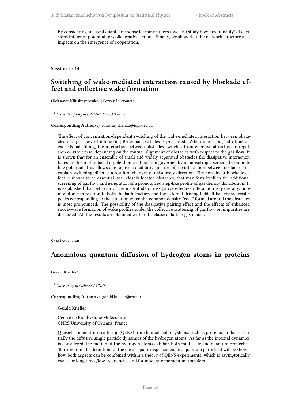By considering an agent quantal response learning process, we also study how 'irrationality' of decisions influence potential for collaborative actions. Finally, we show that the network structure also impacts on the emergence of cooperation.

**Session 9** / **14**

## **Switching of wake-mediated interaction caused by blockade effect and collective wake formation**

Oleksandr Kliushnychenko<sup>1</sup>; Sergey Lukyanets<sup>1</sup>

1 *Institute of Physics, NASU, Kiev, Ukraine*

#### **Corresponding Author(s):** kliushnychenko@iop.kiev.ua

The effect of concentration-dependent switching of the wake-mediated interaction between obstacles in a gas flow of interacting Brownian particles is presented. When increasing bath fraction exceeds half-filling, the interaction between obstacles switches from effective attraction to repulsion or vice-versa, depending on the mutual alignment of obstacles with respect to the gas flow. It is shown that for an ensemble of small and widely separated obstacles the dissipative interaction takes the form of induced dipole-dipole interaction governed by an anisotropic screened Coulomblike potential. This allows one to give a qualitative picture of the interaction between obstacles and explain switching effect as a result of changes of anisotropy direction. The non-linear blockade effect is shown to be essential near closely located obstacles, that manifests itself in the additional screening of gas flow and generation of a pronounced step-like profile of gas density distribution. It is established that behavior of the magnitude of dissipative effective interaction is, generally, nonmonotonic in relation to both the bath fraction and the external driving field. It has characteristic peaks corresponding to the situation when the common density "coat" formed around the obstacles is most pronounced. The possibility of the dissipative pairing effect and the effects of enhanced shock-wave formation of wake profiles under the collective scattering of gas flow on impurities are discussed. All the results are obtained within the classical lattice-gas model.

**Session 8** / **40**

## **Anomalous quantum diffusion of hydrogen atoms in proteins**

Gerald Kneller<sup>1</sup>

<sup>1</sup> *University of Orleans / CNRS*

#### **Corresponding Author(s):** gerald.kneller@cnrs.fr

Gerald Kneller

Centre de Biophysique Moléculaire CNRS/University of Orléans, France

Quasielastic neutron scattering (QENS) from biomolecular systems, such as proteins, probes essentially the diffusive single particle dynamics of the hydrogen atoms. As far as the internal dynamics is considered, the motion of the hydrogen atoms exhibits both multiscale and quantum properties. Starting from the definition for the mean square displacement of a quantum particle, it will be shown how both aspects can be combined within a theory of QENS experiments, which is asymptotically exact for long times/low frequencies and for moderate momentum transfers.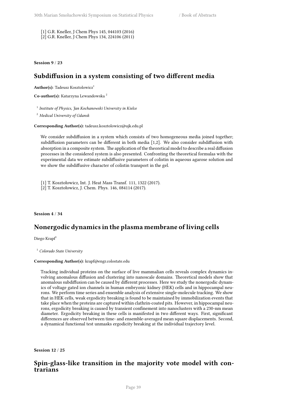[1] G.R. Kneller, J Chem Phys 145, 044103 (2016) [2] G.R. Kneller, J Chem Phys 134, 224106 (2011)

**Session 9** / **23**

# **Subdiffusion in a system consisting of two different media**

Author(s): Tadeusz Kosztolowicz<sup>1</sup>

**Co-author(s):** Katarzyna Lewandowska <sup>2</sup>

1 *Institute of Physics, Jan Kochanowski University in Kielce*

<sup>2</sup> *Medical University of Gdansk*

#### **Corresponding Author(s):** tadeusz.kosztolowicz@ujk.edu.pl

We consider subdiffusion in a system which consists of two homogeneous media joined together; subdiffusion parameters can be different in both media [1,2]. We also consider subdiffusion with absorption in a composite system. The application of the theoretical model to describe a real diffusion processes in the considered system is also presented. Confronting the theoretical formulas with the experimental data we estimate subdiffusive parameters of colistin in aqueous agarose solution and we show the subdiffusive character of colistin transport in the gel.

[1] T. Kosztołowicz, Int. J. Heat Mass Transf. 111, 1322 (2017).

[2] T. Kosztołowicz, J. Chem. Phys. 146, 084114 (2017).

### **Session 4** / **34**

## **Nonergodic dynamics in the plasma membrane of living cells**

Diego Krapf<sup>1</sup>

<sup>1</sup> *Colorado State University*

#### **Corresponding Author(s):** krapf@engr.colostate.edu

Tracking individual proteins on the surface of live mammalian cells reveals complex dynamics involving anomalous diffusion and clustering into nanoscale domains. Theoretical models show that anomalous subdiffusion can be caused by different processes. Here we study the nonergodic dynamics of voltage gated ion channels in human embryonic kidney (HEK) cells and in hippocampal neurons. We perform time series and ensemble analysis of extensive single-molecule tracking. We show that in HEK cells, weak ergodicity breaking is found to be maintained by immobilization events that take place when the proteins are captured within clathrin-coated pits. However, in hippocampal neurons, ergodicity breaking is caused by transient confinement into nanoclusters with a 230-nm mean diameter. Ergodicity breaking in these cells is manifested in two different ways. First, significant differences are observed between time- and ensemble-averaged mean square displacements. Second, a dynamical functional test unmasks ergodicity breaking at the individual trajectory level.

**Session 12** / **25**

## **Spin-glass-like transition in the majority vote model with contrarians**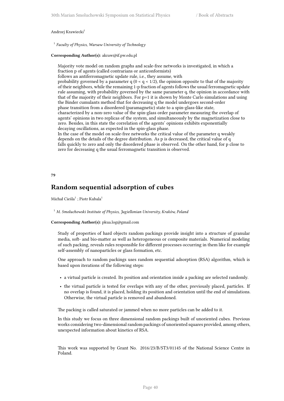#### Andrzej Krawiecki<sup>1</sup>

1 *Faculty of Physics, Warsaw University of Technology*

### **Corresponding Author(s):** akraw@if.pw.edu.pl

Majority vote model on random graphs and scale-free networks is investigated, in which a fraction p of agents (called contrarians or anticonformists)

follows an antiferromagnetic update rule, i.e., they assume, with

probability governed by a parameter  $q$  ( $0 < q < 1/2$ ), the opinion opposite to that of the majority of their neighbors, while the remaining 1-p fraction of agents follows the usual ferromagnetic update rule assuming, with probability governed by the same parameter q, the opinion in accordance with that of the majority of their neighbors. For  $p=1$  it is shown by Monte Carlo simulations and using the Binder cumulants method that for decreasing q the model undergoes second-order phase transition from a disordered (paramagnetic) state to a spin-glass-like state, characterized by a non-zero value of the spin-glass order parameter measuring the overlap of agents' opinions in two replicas of the system, and simultaneously by the magnetization close to zero. Besides, in this state the correlation of the agents' opinions exhibits exponentially decaying oscillations, as expected in the spin-glass phase.

In the case of the model on scale-free networks the critical value of the parameter q weakly depends on the details of the degree distribution. As p is decreased, the critical value of q falls quickly to zero and only the disordered phase is observed. On the other hand, for p close to zero for decreasing q the usual ferromagnetic transition is observed.

### **79**

## **Random sequential adsorption of cubes**

Michał Cieśla $^1$  ; Piotr Kubala $^1$ 

<sup>1</sup> *M. Smoluchowski Institute of Physics, Jagiellonian University, Kraków, Poland*

#### **Corresponding Author(s):** pkua.log@gmail.com

Study of properties of hard objects random packings provide insight into a structure of granular media, soft- and bio-matter as well as heterogeneous or composite materials. Numerical modeling of such packing, reveals rules responsible for different processes occurring in them like for example self-assembly of nanoparticles or glass formation, etc.

One approach to random packings uses random sequential adsorption (RSA) algorithm, which is based upon iterations of the following steps:

- a virtual particle is created. Its position and orientation inside a packing are selected randomly.
- the virtual particle is tested for overlaps with any of the other, previously placed, particles. If no overlap is found, it is placed, holding its position and orientation until the end of simulations. Otherwise, the virtual particle is removed and abandoned.

The packing is called saturated or jammed when no more particles can be added to it.

In this study we focus on three dimensional random packings built of unoriented cubes. Previous works considering two-dimensional random packings of unoriented squares provided, among others, unexpected information about kinetics of RSA.

This work was supported by Grant No. 2016/23/B/ST3/01145 of the National Science Centre in Poland.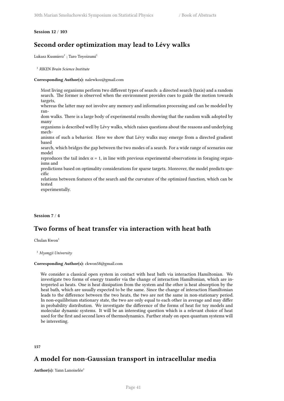### **Session 12** / **103**

# **Second order optimization may lead to Lévy walks**

Lukasz Kusmierz $^1$  ; Taro Toyoizumi $^1$ 

1 *RIKEN Brain Science Institute*

### **Corresponding Author(s):** nalewkoz@gmail.com

Most living organisms perform two different types of search: a directed search (taxis) and a random search. The former is observed when the environment provides cues to guide the motion towards targets, whereas the latter may not involve any memory and information processing and can be modeled by random walks. There is a large body of experimental results showing that the random walk adopted by many organisms is described well by Lévy walks, which raises questions about the reasons and underlying mechanisms of such a behavior. Here we show that Lévy walks may emerge from a directed gradient based search, which bridges the gap between the two modes of a search. For a wide range of scenarios our model reproduces the tail index  $\alpha$  = 1, in line with previous experimental observations in foraging organisms and predictions based on optimality considerations for sparse targets. Moreover, the model predicts specific relations between features of the search and the curvature of the optimized function, which can be tested experimentally.

## **Session 7** / **4**

# **Two forms of heat transfer via interaction with heat bath**

Chulan Kwon<sup>1</sup>

<sup>1</sup> *Myongji University*

## **Corresponding Author(s):** ckwon58@gmail.com

We consider a classical open system in contact with heat bath via interaction Hamiltonian. We investigate two forms of energy transfer via the change of interaction Hamiltonian, which are interpreted as heats. One is heat dissipation from the system and the other is heat absorption by the heat bath, which are usually expected to be the same. Since the change of interaction Hamiltonian leads to the difference between the two heats, the two are not the same in non-stationary period. In non-equilibrium stationary state, the two are only equal to each other in average and may differ in probability distribution. We investigate the difference of the forms of heat for toy models and molecular dynamic systems. It will be an interesting question which is a relevant choice of heat used for the first and second laws of thermodynamics. Further study on open quantum systems will be interesting.

### **157**

# **A model for non-Gaussian transport in intracellular media**

**Author(s):** Yann Lanoiselée<sup>1</sup>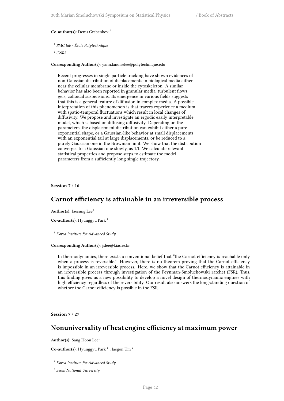**Co-author(s):** Denis Grebenkov <sup>2</sup>

1 *PMC lab - École Polytechnique*

<sup>2</sup> *CNRS*

**Corresponding Author(s):** yann.lanoiselee@polytechnique.edu

Recent progresses in single particle tracking have shown evidences of non-Gaussian distribution of displacements in biological media either near the cellular membrane or inside the cytoskeleton. A similar behavior has also been reported in granular media, turbulent flows, gels, colloidal suspensions. Its emergence in various fields suggests that this is a general feature of diffusion in complex media. A possible interpretation of this phenomenon is that tracers experience a medium with spatio-temporal fluctuations which result in local changes of diffusivity. We propose and investigate an ergodic easily interpretable model, which is based on diffusing diffusivity. Depending on the parameters, the displacement distribution can exhibit either a pure exponential shape, or a Gaussian-like behavior at small displacements with an exponential tail at large displacements, or be reduced to a purely Gaussian one in the Brownian limit. We show that the distribution converges to a Gaussian one slowly, as 1/t. We calculate relevant statistical properties and propose steps to estimate the model parameters from a sufficiently long single trajectory.

**Session 7** / **16**

## **Carnot efficiency is attainable in an irreversible process**

Author(s): Jaesung Lee<sup>1</sup>

**Co-author(s):** Hyunggyu Park <sup>1</sup>

<sup>1</sup> *Korea Institute for Advanced Study*

## **Corresponding Author(s):** jslee@kias.re.kr

In thermodynamics, there exists a conventional belief that "the Carnot efficiency is reachable only when a process is reversible." However, there is no theorem proving that the Carnot efficiency is impossible in an irreversible process. Here, we show that the Carnot efficiency is attainable in an irreversible process through investigation of the Feynman-Smoluchowski ratchet (FSR). Thus, this finding gives us a new possibility to develop a novel design of thermodynamic engines with high efficiency regardless of the reversibility. Our result also answers the long-standing question of whether the Carnot efficiency is possible in the FSR.

**Session 7** / **27**

## **Nonuniversality of heat engine efficiency at maximum power**

**Author(s):** Sang Hoon Lee<sup>1</sup>

**Co-author(s):** Hyunggyu Park<sup>1</sup>; Jaegon Um<sup>2</sup>

<sup>1</sup> *Korea Institute for Advanced Study*

2 *Seoul National University*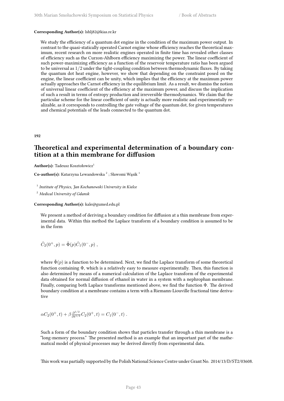### **Corresponding Author(s):** lshlj82@kias.re.kr

We study the efficiency of a quantum dot engine in the condition of the maximum power output. In contrast to the quasi-statically operated Carnot engine whose efficiency reaches the theoretical maximum, recent research on more realistic engines operated in finite time has revealed other classes of efficiency such as the Curzon-Ahlborn efficiency maximizing the power. The linear coefficient of such power-maximizing efficiency as a function of the reservoir temperature ratio has been argued to be universal as 1/2 under the tight-coupling condition between thermodynamic fluxes. By taking the quantum dot heat engine, however, we show that depending on the constraint posed on the engine, the linear coefficient can be unity, which implies that the efficiency at the maximum power actually approaches the Carnot efficiency in the equilibrium limit. As a result, we dismiss the notion of universal linear coefficient of the efficiency at the maximum power, and discuss the implication of such a result in terms of entropy production and irreversible thermodynamics. We claim that the particular scheme for the linear coefficient of unity is actually more realistic and experimentally realizable, as it corresponds to controlling the gate voltage of the quantum dot, for given temperatures and chemical potentials of the leads connected to the quantum dot.

**192**

## **Theoretical and experimental determination of a boundary contition at a thin membrane for diffusion**

Author(s): Tadeusz Kosztołowicz<sup>1</sup>

**Co-author(s):** Katarzyna Lewandowska <sup>2</sup> ; Sławomi Wąsik <sup>1</sup>

1 *Institute of Physics, Jan Kochanowski University in Kielce*

<sup>2</sup> *Medical University of Gdansk*

**Corresponding Author(s):** kale@gumed.edu.pl

We present a method of deriving a boundary condition for diffusion at a thin membrane from experimental data. Within this method the Laplace transform of a boundary condition is assumed to be in the form

$$
\hat{C}_2(0^+,p) = \hat{\Phi}(p)\hat{C}_1(0^-,p) ,
$$

where  $\hat{\Phi}(p)$  is a function to be determined. Next, we find the Laplace transform of some theoretical function containing Φ, which is a relatively easy to measure experimentally. Then, this function is also determined by means of a numerical calculation of the Laplace transform of the experimental data obtained for normal diffusion of ethanol in water in a system with a nephrophan membrane. Finally, comparing both Laplace transforms mentioned above, we find the function Φ. The derived boundary condition at a membrane contains a term with a Riemann-Liouville fractional time derivative

$$
\alpha C_2(0^+,t) + \beta \frac{\partial^{1/2}}{\partial t^{1/2}} C_2(0^+,t) = C_1(0^-,t) .
$$

Such a form of the boundary condition shows that particles transfer through a thin membrane is a "long-memory process." The presented method is an example that an important part of the mathematical model of physical processes may be derived directly from experimental data.

This work was partially supported by the Polish National Science Centre under Grant No. 2014/13/D/ST2/03608.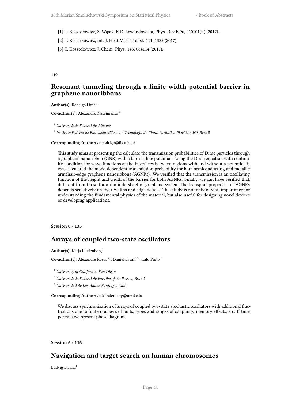[1] T. Kosztołowicz, S. Wąsik, K.D. Lewandowska, Phys. Rev E 96, 010101(R) (2017).

[2] T. Kosztołowicz, Int. J. Heat Mass Transf. 111, 1322 (2017).

[3] T. Kosztołowicz, J. Chem. Phys. 146, 084114 (2017).

### **110**

# **Resonant tunneling through a finite-width potential barrier in graphene nanoribbons**

Author(s): Rodrigo Lima<sup>1</sup>

**Co-author(s):** Alexandro Nascimento <sup>2</sup>

<sup>1</sup> *Universidade Federal de Alagoas*

2 *Instituto Federal de Educação, Ciência e Tecnologia do Piauí, Parnaíba, PI 64210-260, Brazil*

### **Corresponding Author(s):** rodrigo@fis.ufal.br

This study aims at presenting the calculate the transmission probabilities of Dirac particles through a graphene nanoribbon (GNR) with a barrier-like potential. Using the Dirac equation with continuity condition for wave functions at the interfaces between regions with and without a potential, it was calculated the mode-dependent transmission probability for both semiconducting and metallic armchair-edge graphene nanoribbons (AGNRs). We verified that the transmission is an oscillating function of the height and width of the barrier for both AGNRs. Finally, we can have verified that, different from those for an infinite sheet of graphene system, the transport properties of AGNRs depends sensitively on their widths and edge details. This study is not only of vital importance for understanding the fundamental physics of the material, but also useful for designing novel devices or developing applications.

## **Session 0** / **135**

## **Arrays of coupled two-state oscillators**

Author(s): Katja Lindenberg<sup>1</sup>

Co-author(s): Alexandre Rosas<sup>2</sup>; Daniel Escaff<sup>3</sup>; Italo Pinto<sup>2</sup>

<sup>1</sup> *University of California, San Diego*

<sup>2</sup> *Universidade Federal de Paraíba, João Pessoa, Brazil*

<sup>3</sup> *Universidad de Los Andes, Santiago, Chile*

**Corresponding Author(s):** klindenberg@ucsd.edu

We discuss synchronization of arrays of coupled two-state stochastic oscillators with additional fluctuations due to finite numbers of units, types and ranges of couplings, memory effects, etc. If time permits we present phase diagrams

**Session 6** / **116**

## **Navigation and target search on human chromosomes**

Ludvig Lizana<sup>1</sup>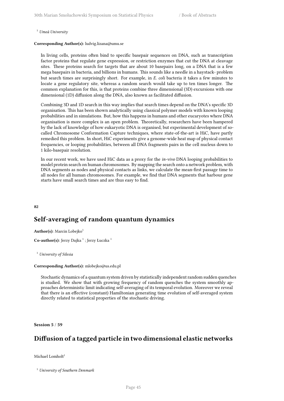<sup>1</sup> *Umeå University*

### **Corresponding Author(s):** ludvig.lizana@umu.se

In living cells, proteins often bind to specific basepair sequences on DNA, such as transcription factor proteins that regulate gene expression, or restriction enzymes that cut the DNA at cleavage sites. These proteins search for targets that are about 10 basepairs long, on a DNA that is a few mega basepairs in bacteria, and billions in humans. This sounds like a needle in a haystack- problem but search times are surprisingly short. For example, in *E. coli* bacteria it takes a few minutes to locate a gene regulatory site, whereas a random search would take up to ten times longer. The common explanation for this, is that proteins combine three dimensional (3D) excursions with one dimensional (1D) diffusion along the DNA, also known as facilitated diffusion.

Combining 3D and 1D search in this way implies that search times depend on the DNA's specific 3D organisation. This has been shown analytically using classical polymer models with known looping probabilities and in simulations. But, how this happens in humans and other eucaryotes where DNA organisation is more complex is an open problem. Theoretically, researchers have been hampered by the lack of knowledge of how eukaryotic DNA is organised, but experimental development of socalled Chromosome Conformation Capture techniques, where state-of-the-art is HiC, have partly remedied this problem. In short, HiC experiments give a genome-wide heat map of physical contact frequencies, or looping probabilities, between all DNA fragments pairs in the cell nucleus down to 1 kilo-basepair resolution.

In our recent work, we have used HiC data as a proxy for the *in-vivo* DNA looping probabilities to model protein search on human chromosomes. By mapping the search onto a network problem, with DNA segments as nodes and physical contacts as links, we calculate the mean-first passage time to all nodes for all human chromosomes. For example, we find that DNA segments that harbour gene starts have small search times and are thus easy to find.

**82**

# **Self-averaging of random quantum dynamics**

**Author(s):** Marcin Lobejko<sup>1</sup>

 $\mathbf C$ o-author(s): Jerzy Dajka  $^1$  ; Jerzy Łuczka  $^1$ 

<sup>1</sup> *University of Silesia*

### **Corresponding Author(s):** mlobejko@us.edu.pl

Stochastic dynamics of a quantum system driven by statistically independent random sudden quenches is studied. We show that with growing frequency of random quenches the system smoothly approaches deterministic limit indicating self-averaging of its temporal evolution. Moreover we reveal that there is an effective (constant) Hamiltonian generating time evolution of self-averaged system directly related to statistical properties of the stochastic driving.

**Session 5** / **59**

# **Diffusion of a tagged particle in two dimensional elastic networks**

Michael Lomholt $1$ 

<sup>1</sup> *University of Southern Denmark*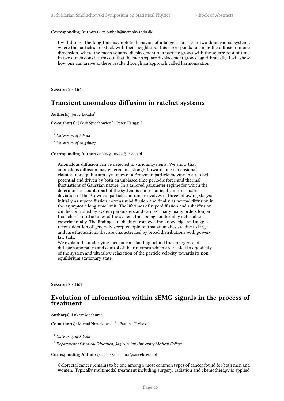#### **Corresponding Author(s):** mlomholt@memphys.sdu.dk

I will discuss the long time asymptotic behavior of a tagged particle in two dimensional systems, where the particles are stuck with their neighbors. This corresponds to single-file diffusion in one dimension, where the mean squared displacement of a particle grows with the square root of time. In two dimensions it turns out that the mean square displacement grows logarithmically. I will show how one can arrive at these results through an approach called harmonization.

**Session 2** / **164**

## **Transient anomalous diffusion in ratchet systems**

Author(s): Jerzy Luczka<sup>1</sup>

**Co-author(s):** Jakub Spiechowicz<sup>1</sup>; Peter Hanggi<sup>2</sup>

<sup>1</sup> *University of Silesia*

<sup>2</sup> *University of Augsburg*

## **Corresponding Author(s):** jerzy.luczka@us.edu.pl

Anomalous diffusion can be detected in various systems. We show that anomalous diffusion may emerge in a straightforward, one dimensional classical nonequilibrium dynamics of a Brownian particle moving in a ratchet potential and driven by both an unbiased time-periodic force and thermal fluctuations of Gaussian nature. In a tailored parameter regime for which the deterministic counterpart of the system is non-chaotic, the mean square deviation of the Brownian particle coordinate evolves in three following stages: initially as superdiffusion, next as subdiffusion and finally as normal diffusion in the asymptotic long time limit. The lifetimes of superdiffusion and subdiffusion can be controlled by system parameters and can last many many orders longer than characteristic times of the system, thus being comfortably detectable experimentally. The findings are distinct from existing knowledge and suggest reconsideration of generally accepted opinion that anomalies are due to large and rare fluctuations that are characterized by broad distributions with powerlaw tails.

We explain the underlying mechanism standing behind the emergence of diffusion anomalies and control of their regimes which are related to ergodicity of the system and ultraslow relaxation of the particle velocity towards its nonequilibrium stationary state.

**Session 7** / **168**

## **Evolution of information within sEMG signals in the process of treatment**

Author(s): Lukasz Machura<sup>1</sup>

Co-author(s): Michał Nowakowski<sup>2</sup>; Paulina Trybek<sup>1</sup>

<sup>1</sup> *University of Silesia*

<sup>2</sup> *Department of Medical Education, Jagiellonian University Medical College*

#### **Corresponding Author(s):** lukasz.machura@smcebi.edu.pl

Colorectal cancer remains to be one among 5 most common types of cancer found for both men and women. Typically multimodal treatment including surgery, radiation and chemotherapy is applied.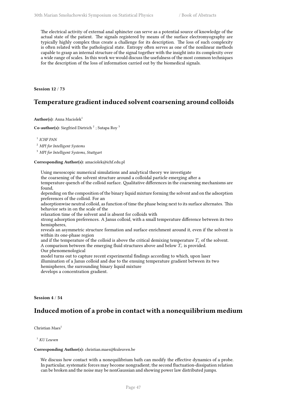The electrical activity of external anal sphincter can serve as a potential source of knowledge of the actual state of the patient. The signals registered by means of the surface electromyography are typically highly complex thus create a challenge for its description. The loss of such complexity is often related with the pathological state. Entropy often serves as one of the nonlinear methods capable to grasp an internal structure of the signal together with the insight into its complexity over a wide range of scales. In this work we would discuss the usefulness of the most common techniques for the description of the loss of information carried out by the biomedical signals.

**Session 12** / **73**

# **Temperature gradient induced solvent coarsening around colloids**

**Author(s):** Anna Maciolek<sup>1</sup>

**Co-author(s):** Siegfried Dietrich<sup>2</sup>; Sutapa Roy<sup>3</sup>

1 *ICHF PAN*

<sup>2</sup> *MPI for Intelligent Systems*

<sup>3</sup> *MPI for Intelligent Systems, Stuttgart*

#### **Corresponding Author(s):** amaciolek@ichf.edu.pl

Using mesoscopic numerical simulations and analytical theory we investigate

the coarsening of the solvent structure around a colloidal particle emerging after a

temperature quench of the colloid surface. Qualitative differences in the coarsening mechanisms are found,

depending on the composition of the binary liquid mixture forming the solvent and on the adsorption preferences of the colloid. For an

adsorptionwise neutral colloid, as function of time the phase being next to its surface alternates. This behavior sets in on the scale of the

relaxation time of the solvent and is absent for colloids with

strong adsorption preferences. A Janus colloid, with a small temperature difference between its two hemispheres,

reveals an asymmetric structure formation and surface enrichment around it, even if the solvent is within its one-phase region

and if the temperature of the colloid is above the critical demixing temperature  $T_c$  of the solvent. A comparison between the emerging fluid structures above and below *T<sup>c</sup>* is provided.

Our phenomenological

model turns out to capture recent experimental findings according to which, upon laser illumination of a Janus colloid and due to the ensuing temperature gradient between its two hemispheres, the surrounding binary liquid mixture

develops a concentration gradient.

## **Session 4** / **54**

# **Induced motion of a probe in contact with a nonequilibrium medium**

Christian Maes<sup>1</sup>

<sup>1</sup> *KU Leuven*

## **Corresponding Author(s):** christian.maes@kuleuven.be

We discuss how contact with a nonequilibrium bath can modify the effective dynamics of a probe. In particular, systematic forces may become nongradient; the second fluctuation-dissipation relation can be broken and the noise may be nonGaussian and showing power law distributed jumps.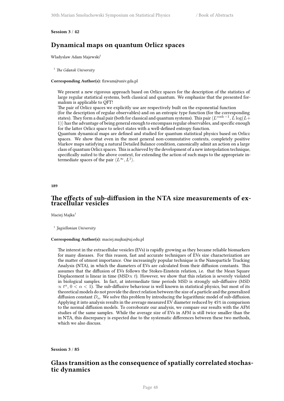## **Session 3** / **42**

## **Dynamical maps on quantum Orlicz spaces**

Wladyslaw Adam Majewski<sup>1</sup>

<sup>1</sup> *The Gdansk University*

#### **Corresponding Author(s):** fizwam@univ.gda.pl

We present a new rigorous approach based on Orlicz spaces for the description of the statistics of large regular statistical systems, both classical and quantum. We emphasize that the presented formalism is applicable to QFT!

The pair of Orlicz spaces we explicitly use are respectively built on the exponential function

(for the description of regular observables) and on an entropic type function (for the corresponding states). They form a dual pair (both for classical and quantum systems). This pair  $\langle L^{\cosh - 1}, L \log(L +$ 1)*⟩* has the advantage of being general enough to encompass regular observables, and specific enough for the latter Orlicz space to select states with a well-defined entropy function.

Quantum dynamical maps are defined and studied for quantum statistical physics based on Orlicz spaces. We show that even in the most general non-commutative contexts, completely positive Markov maps satisfying a natural Detailed Balance condition, canonically admit an action on a large class of quantum Orlicz spaces. This is achieved by the development of a new interpolation technique, specifically suited to the above context, for extending the action of such maps to the appropriate intermediate spaces of the pair  $\langle L^{\infty}, L^1 \rangle$ .

**189**

## **The effects of sub-diffusion in the NTA size measurements of extracellular vesicles**

Maciej Majka<sup>1</sup>

1 *Jagiellonian University*

### **Corresponding Author(s):** maciej.majka@uj.edu.pl

The interest in the extracellular vesicles (EVs) is rapidly growing as they became reliable biomarkers for many diseases. For this reason, fast and accurate techniques of EVs size characterization are the matter of utmost importance. One increasingly popular technique is the Nanoparticle Tracking Analysis (NTA), in which the diameters of EVs are calculated from their diffusion constants. This assumes that the diffusion of EVs follows the Stokes-Einstein relation, i.e. that the Mean Square Displacement is linear in time (MSD*∝ t*). However, we show that this relation is severely violated in biological samples. In fact, at intermediate time periods MSD is strongly sub-diffusive (MSD  $\alpha$  *t*<sup> $\alpha$ </sup>, 0 < *α* < 1). The sub-diffusive behaviour is well known in statistical physics, but most of its theoretical models do not provide the direct relation between the size of a particle and the generalized diffusion constant  $D_{\alpha}$ . We solve this problem by introducing the logarithmic model of sub-diffusion. Applying it into analysis results in the average measured EV diameter reduced by 45% in comparison to the normal diffusion models. To corroborate our analysis, we compare our results with the AFM studies of the same samples. While the average size of EVs in AFM is still twice smaller than the in NTA, this discrepancy is expected due to the systematic differences between these two methods, which we also discuss.

**Session 3** / **85**

## **Glass transition as the consequence of spatially correlated stochastic dynamics**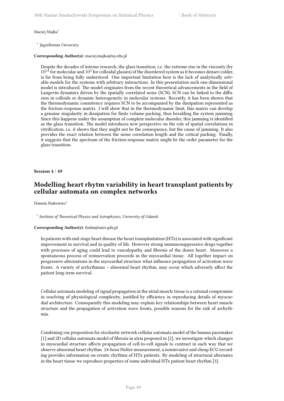### Maciej Majka<sup>1</sup>

1 *Jagiellonian University*

### **Corresponding Author(s):** maciej.majka@uj.edu.pl

Despite the decades of intense research, the glass transition, i.e. the extreme rise in the viscosity (by  $10^{14}$  for molecular and  $10^3$  for colloidal glasses) of the disordered system as it becomes denser/colder, is far from being fully understood. One important limitation here is the lack of analytically solvable models for the systems with arbitrary interactions. In this presentation such one-dimensional model is introduced. The model originates from the recent theoretical advancements in the field of Langevin dynamics driven by the spatially correlated noise (SCN). SCN can be linked to the diffusion in colloids or dynamic heterogeneity in molecular systems. Recently, it has been shown that the thermodynamic consistency requires SCN to be accompanied by the dissipation represented as the friction-response matrix. I will show that in the thermodynamic limit, this matrix can develop a genuine singularity in dissipation for finite volume packing, thus heralding the system jamming. Since this happens under the assumption of complete molecular disorder, this jamming is identified as the glass transition. The model introduces new perspective on the role of spatial correlations in vitrification, i.e. it shows that they might not be the consequence, but the cause of jamming. It also provides the exact relation between the noise correlation length and the critical packing. Finally, it suggests that the spectrum of the friction-response matrix might be the order parameter for the glass transition.

### **Session 4** / **49**

# **Modelling heart rhytm variability in heart transplant patients by cellular automata on complex networks**

Danuta Makowiec<sup>1</sup>

<sup>1</sup> Institute of Theoretical Physics and Astrophysics, University of Gdansk

## **Corresponding Author(s):** fizdm@univ.gda.pl

In patients with end-stage heart disease the heart transplantation (HTx) is associated with significant improvement in survival and in quality of life. However strong immunosuppressive drugs together with processes of aging could lead to vasculopathy and fibrosis of the donor heart. Moreover a spontaneous process of reinnervation proceeds in the myocardial tissue. All together impact on progressive alternations in the myocardial structure what influence propagation of activation wave fronts. A variety of arrhythmias – abnormal heart rhythm, may occur which adversely affect the patient long term survival.

Cellular automata modeling of signal propagation in the atrial muscle tissue is a rational compromise in resolving of physiological complexity, justified by efficiency in reproducing details of myocardial architecture. Consequently this modeling may explain key relationships between heart muscle structure and the propagation of activation wave fronts, possible reasons for the risk of arrhythmia.

Combining our proposition for stochastic network cellular automata model of the human pacemaker [1] and 2D cellular automata model of fibrosis in atria proposed in [2], we investigate which changes in myocardial structure affects propagation of cell-to-cell signals to contract in such way that we observe abnormal heart rhythm. 24-hour Holter measurement, a noninvasive and cheap ECG recording provides information on erratic rhythms of HTx patients. By modeling of structural alternates in the heart tissue we reproduce properties of some individual HTx patient heart rhythm [3].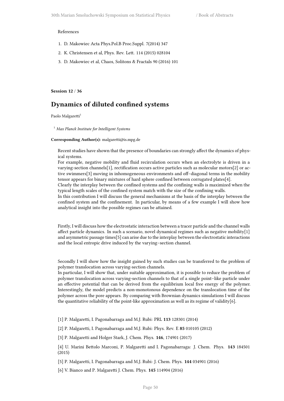#### References

- 1. D. Makowiec Acta Phys.Pol.B Proc.Suppl. 7(2014) 347
- 2. K. Christensen et al, Phys. Rev. Lett. 114 (2015) 028104
- 3. D. Makowiec et al, Chaos, Solitons & Fractals 90 (2016) 101

**Session 12** / **36**

# **Dynamics of diluted confined systems**

Paolo Malgaretti<sup>1</sup>

<sup>1</sup> *Max Planck Institute for Intelligent Systems*

#### **Corresponding Author(s):** malgaretti@is.mpg.de

Recent studies have shown that the presence of boundaries can strongly affect the dynamics of physical systems.

For example, negative mobility and fluid recirculation occurs when an electrolyte is driven in a varying-section channels[1], rectification occurs active particles such as molecular motors[2] or active swimmers[3] moving in inhomogeneous environments and off–diagonal terms in the mobility tensor appears for binary mixtures of hard sphere confined between corrugated plates[4].

Clearly the interplay between the confined systems and the confining walls is maximized when the typical length scales of the confined system match with the size of the confining walls.

In this contribution I will discuss the general mechanisms at the basis of the interplay between the confined system and the confinement. In particular, by means of a few example I will show how analytical insight into the possible regimes can be attained.

Firstly, I will discuss how the electrostatic interaction between a tracer particle and the channel walls affect particle dynamics. In such a scenario, novel dynamical regimes such as negative mobility[1] and asymmetric passage times[5] can arise due to the interplay between the electrostatic interactions and the local entropic drive induced by the varying–section channel.

Secondly I will show how the insight gained by such studies can be transferred to the problem of polymer translocation across varying-section channels.

In particular, I will show that, under suitable approximation, it is possible to reduce the problem of polymer translocation across varying-section channels to that of a single point–like particle under an effective potential that can be derived from the equilibrium local free energy of the polymer. Interestingly, the model predicts a non-monotonous dependence on the translocation time of the polymer across the pore appears. By comparing with Brownian dynamics simulations I will discuss the quantitative reliability of the point-like approximation as well as its regime of validity[6].

[1] P. Malgaretti, I. Pagonabarraga and M.J. Rubi: PRL **113** 128301 (2014)

[2] P. Malgaretti, I. Pagonabarraga and M.J. Rubi: Phys. Rev. E **85** 010105 (2012)

[3] P. Malgaretti and Holger Stark, J. Chem. Phys. **146**, 174901 (2017)

[4] U. Marini Bettolo Marconi, P. Malgaretti and I. Pagonabarraga: J. Chem. Phys. **143** 184501 (2015)

[5] P. Malgaretti, I. Pagonabarraga and M.J. Rubi: J. Chem. Phys. **144** 034901 (2016)

[6] V. Bianco and P. Malgaretti J. Chem. Phys. **145** 114904 (2016)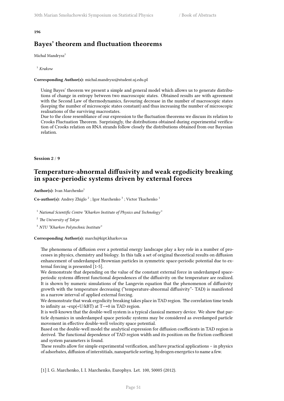#### **196**

# **Bayes' theorem and fluctuation theorems**

Michal Mandrysz<sup>1</sup>

### <sup>1</sup> *Krakow*

### **Corresponding Author(s):** michal.mandrysz@student.uj.edu.pl

Using Bayes' theorem we present a simple and general model which allows us to generate distributions of change in entropy between two macroscopic states. Obtained results are with agreement with the Second Law of thermodynamics, favouring decrease in the number of macroscopic states (keeping the number of microscopic states constant) and thus increasing the number of microscopic realisations of the surviving macrostates.

Due to the close resemblance of our expression to the fluctuation theorems we discuss its relation to Crooks Fluctuation Theorem. Surprisingly, the distributions obtained during experimental verification of Crooks relation on RNA strands follow closely the distributions obtained from our Bayesian relation.

### **Session 2** / **9**

# **Temperature-abnormal diffusivity and weak ergodicity breaking in space-periodic systems driven by external forces**

**Author(s):** Ivan Marchenko<sup>1</sup>

**Co-author(s):** Andrey Zhiglo<sup>2</sup>; Igor Marchenko<sup>3</sup>; Victor Tkachenko<sup>1</sup>

<sup>1</sup> National Scientific Centre "Kharkov Institute of Physics and Technology"

<sup>2</sup> *The University of Tokyo*

<sup>3</sup> *NTU "Kharkov Polytechnic Institute"*

### **Corresponding Author(s):** march@kipt.kharkov.ua

The phenomena of diffusion over a potential energy landscape play a key role in a number of processes in physics, chemistry and biology. In this talk a set of original theoretical results on diffusion enhancement of underdamped Brownian particles in symmetric space-periodic potential due to external forcing is presented [1-5].

We demonstrate that depending on the value of the constant external force in underdamped spaceperiodic systems dfferent functional dependences of the diffusivity on the temperature are realized. It is shown by numeric simulations of the Langevin equation that the phenomenon of diffusivity growth with the temperature decreasing ("temperature-abnormal diffusivity"- TAD) is manifested in a narrow interval of applied external forcing.

We demonstrate that weak ergodicity breaking takes place in TAD region. The correlation time tends to infinity as  $~\text{exp}(+U/kBT)$  at  $T\rightarrow 0$  in TAD region.

It is well-known that the double-well system is a typical classical memory device. We show that particle dynamics in underdamped space periodic systems may be considered as overdamped particle movement in effective double-well velocity space potential.

Based on the double-well model the analytical expression for diffusion coefficients in TAD region is derived. The functional dependence of TAD region width and its position on the friction coefficient and system parameters is found.

These results allow for simple experimental verification, and have practical applications – in physics of adsorbates, diffusion of interstitials, nanoparticle sorting, hydrogen energetics to name a few.

[1] I. G. Marchenko, I. I. Marchenko, Europhys. Let. 100, 50005 (2012).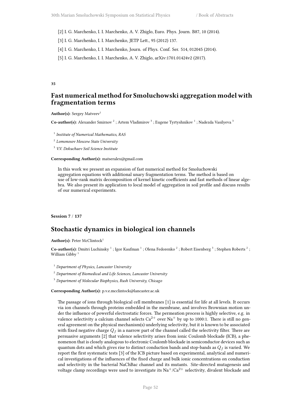- [2] I. G. Marchenko, I. I. Marchenko, A. V. Zhiglo, Euro. Phys. Journ. B87, 10 (2014).
- [3] I. G. Marchenko, I. I. Marchenko, JETP Lett., 95 (2012) 137.
- [4] I. G. Marchenko, I. I. Marchenko, Journ. of Phys. Conf. Ser. 514, 012045 (2014).
- [5] I. G. Marchenko, I. I. Marchenko, A. V. Zhiglo, arXiv:1701.01424v2 (2017).

### **35**

## **Fast numerical method for Smoluchowski aggregation model with fragmentation terms**

Author(s): Sergey Matveev<sup>1</sup>

Co-author(s): Alexander Smirnov<sup>2</sup> ; Artem Vladimirov<sup>3</sup> ; Eugene Tyrtyshnikov<sup>1</sup> ; Nadezda Vasilyeva<sup>3</sup>

- 1 *Institute of Numerical Mathematics, RAS*
- 2 *Lomonosov Moscow State University*
- <sup>3</sup> *V.V. Dokuchaev Soil Science Institute*

## **Corresponding Author(s):** matseralex@gmail.com

In this work we present an expansion of fast numerical method for Smoluchowski aggregation equations with additional unary fragmentation terms. The method is based on use of low-rank matrix decomposition of kernel kinetic coefficients and fast methods of linear algebra. We also present its application to local model of aggregation in soil profile and discuss results of our numerical experiments.

**Session 7** / **137**

## **Stochastic dynamics in biological ion channels**

**Author(s): Peter McClintock**<sup>1</sup>

Co-author(s): Dmitri Luchinsky<sup>1</sup>; Igor Kaufman<sup>1</sup>; Olena Fedorenko<sup>2</sup>; Robert Eisenberg<sup>3</sup>; Stephen Roberts<sup>2</sup>; William Gibby<sup>1</sup>

- <sup>1</sup> *Department of Physics, Lancaster University*
- <sup>2</sup> *Department of Biomedical and Life Sciences, Lancaster University*
- <sup>3</sup> *Department of Molecular Biophysics, Rush University, Chicago*

**Corresponding Author(s):** p.v.e.mcclintock@lancaster.ac.uk

The passage of ions through biological cell membranes [1] is essential for life at all levels. It occurs via ion channels through proteins embedded in the membrane, and involves Brownian motion under the influence of powerful electrostatic forces. The permeation process is highly selective, e.g. in valence selectivity a calcium channel selects  $Ca^{2+}$  over Na<sup>+</sup> by up to 1000:1. There is still no general agreement on the physical mechanism(s) underlying selectivity, but it is known to be associated with fixed negative charge *Q<sup>f</sup>* in a narrow part of the channel called the selectivity filter. There are persuasive arguments [2] that valence selectivity arises from ionic Coulomb blockade (ICB), a phenomenon that is closely analogous to electronic Coulomb blockade in semiconductor devices such as quantum dots and which gives rise to distinct conduction bands and stop-bands as  $Q_f$  is varied. We report the first systematic tests [3] of the ICB picture based on experimental, analytical and numerical investigations of the influences of the fixed charge and bulk ionic concentrations on conduction and selectivity in the bacterial NaChBac channel and its mutants. Site-directed mutagenesis and voltage clamp recordings were used to investigate its  $Na^{+}/Ca^{2+}$  selectivity, divalent blockade and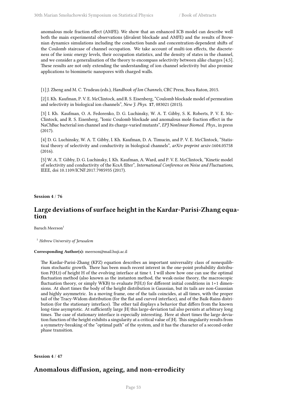anomalous mole fraction effect (AMFE). We show that an enhanced ICB model can describe well both the main experimental observations (divalent blockade and AMFE) and the results of Brownian dynamics simulations including the conduction bands and concentration-dependent shifts of the Coulomb staircase of channel occupation. We take account of multi-ion effects, the discreteness of the ionic energy levels, their occupation statistics, and the density of states in the channel, and we consider a generalisation of the theory to encompass selectivity between alike charges [4,5]. These results are not only extending the understanding of ion channel selectivity but also promise applications to biomimetic nanopores with charged walls.

[1] J. Zheng and M. C. Trudeau (eds.), *Handbook of Ion Channels*, CRC Press, Boca Raton, 2015.

[2] I. Kh. Kaufman, P. V. E. McClintock, and R. S. Eisenberg, "Coulomb blockade model of permeation and selectivity in biological ion channels", *New J. Phys.* **17**, 083021 (2015).

[3] I. Kh. Kaufman, O. A. Fedorenko, D. G. Luchinsky, W. A. T. Gibby, S. K. Roberts, P. V. E. Mc-Clintock, and R. S. Eisenberg, "Ionic Coulomb blockade and anomalous mole fraction effect in the NaChBac bacterial ion channel and its charge-varied mutants", *EPJ Nonlinear Biomed. Phys.*, in press (2017).

[4] D. G. Luchinsky, W. A. T. Gibby, I. Kh. Kaufman, D. A. Timucin, and P. V. E. McClintock, "Statistical theory of selectivity and conductivity in biological channels", *arXiv preprint* arxiv:1604.05758 (2016).

[5] W. A. T. Gibby, D. G. Luchinsky, I. Kh. Kaufman, A. Ward, and P. V. E. McClintock, "Kinetic model of selectivity and conductivity of the KcsA filter", *International Conference on Noise and Fluctuations*, IEEE, doi 10.1109/ICNF.2017.7985935 (2017).

**Session 4** / **76**

# **Large deviations of surface height in the Kardar-Parisi-Zhang equation**

Baruch Meerson<sup>1</sup>

<sup>1</sup> *Hebrew University of Jerusalem*

## **Corresponding Author(s):** meerson@mail.huji.ac.il

The Kardar-Parisi-Zhang (KPZ) equation describes an important universality class of nonequilibrium stochastic growth. There has been much recent interest in the one-point probability distribution P(H,t) of height H of the evolving interface at time t. I will show how one can use the optimal fluctuation method (also known as the instanton method, the weak-noise theory, the macroscopic fluctuation theory, or simply WKB) to evaluate  $P(H,t)$  for different initial conditions in  $1+1$  dimensions. At short times the body of the height distribution is Gaussian, but its tails are non-Gaussian and highly asymmetric. In a moving frame, one of the tails coincides, at all times, with the proper tail of the Tracy-Widom distribution (for the flat and curved interface), and of the Baik-Rains distribution (for the stationary interface). The other tail displays a behavior that differs from the known long-time asymptotic. At sufficiently large  $|H|$  this large-deviation tail also persists at arbitrary long times. The case of stationary interface is especially interesting. Here at short times the large deviation function of the height exhibits a singularity at a critical value of |H|. This singularity results from a symmetry-breaking of the "optimal path" of the system, and it has the character of a second-order phase transition.

**Session 4** / **47**

# **Anomalous diffusion, ageing, and non-errodicity**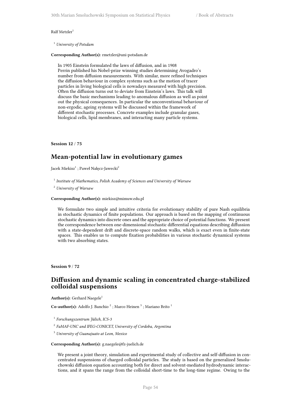#### $Ralf Metzler<sup>1</sup>$

<sup>1</sup> *University of Potsdam*

### **Corresponding Author(s):** rmetzler@uni-potsdam.de

In 1905 Einstein formulated the laws of diffusion, and in 1908 Perrin published his Nobel-prize winning studies determining Avogadro's number from diffusion measurements. With similar, more refined techniques the diffusion behaviour in complex systems such as the motion of tracer particles in living biological cells is nowadays measured with high precision. Often the diffusion turns out to deviate from Einstein's laws. This talk will discuss the basic mechanisms leading to anomalous diffusion as well as point out the physical consequences. In particular the unconventional behaviour of non-ergodic, ageing systems will be discussed within the framework of different stochastic processes. Concrete examples include granular gases, biological cells, lipid membranes, and interacting many particle systems.

### **Session 12** / **75**

## **Mean-potential law in evolutionary games**

Jacek Miekisz $^1$  ; Paweł Nałęcz-Jawecki $^2$ 

<sup>1</sup> Institute of Mathematics, Polish Academy of Sciences and University of Warsaw

<sup>2</sup> *University of Warsaw*

#### **Corresponding Author(s):** miekisz@mimuw.edu.pl

We formulate two simple and intuitive criteria for evolutionary stability of pure Nash equilibria in stochastic dynamics of finite populations. Our approach is based on the mapping of continuous stochastic dynamics into discrete ones and the appropriate choice of potential functions. We present the correspondence between one-dimensional stochastic differential equations describing diffussion with a state-dependent drift and discrete-space random walks, which is exact even in finite-state spaces. This enables us to compute fixation probabilities in various stochastic dynamical systems with two absorbing states.

**Session 9** / **72**

## **Diffusion and dynamic scaling in concentrated charge-stabilized colloidal suspensions**

Author(s): Gerhard Naegele<sup>1</sup>

Co-author(s): Adolfo J. Banchio<sup>2</sup>; Marco Heinen<sup>3</sup>; Mariano Brito<sup>1</sup>

1 *Forschungszentrum Jülich, ICS-3*

2 *FaMAF-UNC and IFEG-CONICET, University of Cordoba, Argentina*

<sup>3</sup> *University of Guanajuato at Leon, Mexico*

#### **Corresponding Author(s):** g.naegele@fz-juelich.de

We present a joint theory, simulation and experimental study of collective and self-diffusion in concentrated suspensions of charged colloidal particles. The study is based on the generalized Smoluchowski diffusion equation accounting both for direct and solvent-mediated hydrodynamic interactions, and it spans the range from the colloidal short-time to the long-time regime. Owing to the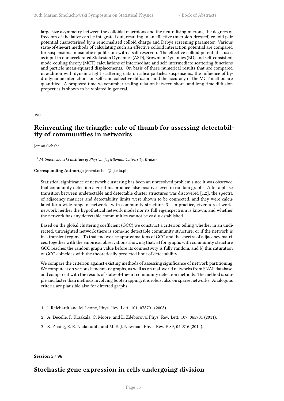large size asymmetry between the colloidal macroions and the neutralising microns, the degrees of freedom of the latter can be integrated out, resulting in an effective (microion-dressed) colloid pair potential characterised by a renormalised colloid charge and Debye screening parameter. Various state-of-the-art methods of calculating such an effective colloid interaction potential are compared for suspensions in osmotic equilibrium with a salt reservoir. The effective colloid potential is used as input in our accelerated Stokesian Dynamics (ASD), Brownian Dynamics (BD) and self-consistent mode-couling theory (MCT) calculations of intermediate and self-intermediate scattering functions and particle mean-squared displacements. On basis of these numerical results that are compared in addition with dynamic light scattering data on silica particles suspensions, the influence of hydrodynamic interactions on self- and collective diffusion, and the accuracy of the MCT method are quantified. A proposed time-wavenumber scaling relation between short- and long time diffusion properties is shown to be violated in general.

**190**

# **Reinventing the triangle: rule of thumb for assessing detectability of communities in networks**

Jeremi Ochab<sup>1</sup>

<sup>1</sup> *M. Smoluchowski Institute of Physics, Jagiellonian University, Kraków*

### **Corresponding Author(s):** jeremi.ochab@uj.edu.pl

Statistical significance of network clustering has been an unresolved problem since it was observed that community detection algorithms produce false positives even in random graphs. After a phase transition between undetectable and detectable cluster structures was discovered [1,2], the spectra of adjacency matrices and detectability limits were shown to be connected, and they were calculated for a wide range of networks with community structure [3]. In practice, given a real-world network neither the hypothetical network model nor its full eigenspectrum is known, and whether the network has any detectable communities cannot be easily established.

Based on the global clustering coefficient (GCC) we construct a criterion telling whether in an undirected, unweighted network there is some/no detectable community structure, or if the network is in a transient regime. To that end we use approximations of GCC and the spectra of adjacency matrices, together with the empirical observations showing that: a) for graphs with community structure GCC reaches the random graph value before its connectivity is fully random, and b) this saturation of GCC coincides with the theoretically predicted limit of detectability.

We compare the criterion against existing methods of assessing significance of network partitioning. We compute it on various benchmark graphs, as well as on real-world networks from SNAP database, and compare it with the results of state-of-the-art community detection methods. The method is simple and faster than methods involving bootstrapping; it is robust also on sparse networks. Analogous criteria are plausible also for directed graphs.

- 1. J. Reichardt and M. Leone, Phys. Rev. Lett. 101, 078701 (2008).
- 2. A. Decelle, F. Krzakala, C. Moore, and L. Zdeborova, Phys. Rev. Lett. 107, 065701 (2011).
- 3. X. Zhang, R. R. Nadakuditi, and M. E. J. Newman, Phys. Rev. E 89, 042816 (2014).

**Session 5** / **96**

## **Stochastic gene expression in cells undergoing division**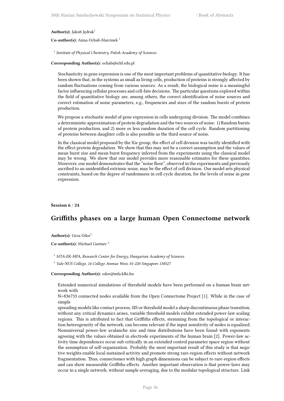#### Author(s): Jakub Jędrak<sup>1</sup>

**Co-author(s):** Anna Ochab-Marcinek <sup>1</sup>

1 *Institute of Physical Chemistry, Polish Academy of Sciences*

## **Corresponding Author(s):** ochab@ichf.edu.pl

Stochasticity in gene expression is one of the most important problems of quantitative biology. It has been shown that, in the systems as small as living cells, production of proteins is strongly affected by random fluctuations coming from various sources. As a result, the biological noise is a meaningful factor influencing cellular processes and cell-fate decisions. The particular questions explored within the field of quantitative biology are, among others, the correct identification of noise sources and correct estimation of noise parameters, e.g., frequencies and sizes of the random bursts of protein production.

We propose a stochastic model of gene expression in cells undergoing division. The model combines a deterministic approximation of protein degradation and the two sources of noise: 1) Random bursts of protein production, and 2) more or less random duration of the cell cycle. Random partitioning of proteins between daughter cells is also possible as the third source of noise.

In the classical model proposed by the Xie group, the effect of cell division was tacitly identified with the effect protein degradation. We show that this may not be a correct assumption and the values of mean burst size and mean burst frequency inferred from the experiments using the classical model may be wrong. We show that our model provides more reasonable estimates for these quantities. Moreover, our model demonstrates that the "noise floor", observed in the experiments and previously ascribed to an unidentified extrinsic noise, may be the effect of cell division. Our model sets physical constraints, based on the degree of randomness in cell cycle duration, for the levels of noise in gene expression.

## **Session 6** / **24**

## **Griffiths phases on a large human Open Connectome network**

**Author(s):** Geza Odor<sup>1</sup>

**Co-author(s):** Michael Gastner <sup>2</sup>

<sup>1</sup> *MTA-EK-MFA, Research Center for Energy, Hungarian Academy of Sciences*

2 *Yale-NUS College, 16 College Avenue West, 01-220 Singapore 138527*

#### **Corresponding Author(s):** odor@mfa.kfki.hu

Extended numerical simulations of threshold models have been performed on a human brain network with

N=836733 connected nodes available from the Open Connectome Project [1]. While in the case of simple

spreading models like contact process, SIS or threshold model a sharp discontinuous phase transition, without any critical dynamics arises, variable threshold models exhibit extended power-law scaling regions. This is attributed to fact that Griffiths effects, stemming from the topological or interaction heterogeneity of the network, can become relevant if the input sensitivity of nodes is equalized. Nonuniversal power-law avalanche size and time distributions have been found with exponents agreeing with the values obtained in electrode experiments of the human brain [2]. Power-law activity time dependences occur sub-critically in an extended control parameter space region without the assumption of self-organization. Probably the most important result of this study is that negative weights enable local sustained activity and promote strong rare-region effects without network fragmentation. Thus, connectomes with high graph dimensions can be subject to rare-region effects and can show measurable Griffiths effects. Another important observation is that power-laws may occur in a single network, without sample averaging, due to the modular topological structure. Link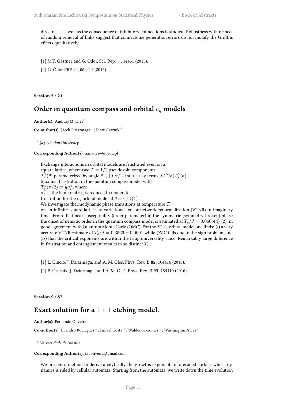directness, as well as the consequence of inhibitory connections is studied. Robustness with respect of random removal of links suggest that connectome generation errors do not modify the Griffths effects qualitatively.

[1] M.T. Gastner and G. Ódor, Sci. Rep. 5 , 14451 (2015).

[2] G. Ódor PRE 94, 062411 (2016).

**Session 5** / **21**

# **Order in quantum compass and orbital** *e<sup>g</sup>* **models**

**Author(s):** Andrzej M. Oles<sup>1</sup>

 $\mathbf C$ o-author(s): Jacek Dziarmaga  $^1$  ; Piotr Czarnik  $^1$ 

1 *Jagiellonian University*

**Corresponding Author(s):** a.m.oles@uj.edu.pl

Exchange interactions in orbital models are frustrated even on a square lattice, where two  $T = 1/2$  pseudospin components *T*<sub>*i*</sub><sup> $\gamma$ </sup>(*θ*) parameterized by angle *θ ∈* (0*, π*/2] interact by terms *JT*<sup> $\gamma$ </sup>(*θ*)*T*<sub>*j*</sub><sup> $\gamma$ </sup>(*θ*). Maximal frustration in the quantum compass model with  $T_i^{\gamma}(\pi/2) \equiv \frac{1}{2}\sigma_i^{\gamma}$ , where  $\sigma_i^{\gamma}$  is the Pauli matrix, is reduced to moderate frustration for the  $e_q$  orbital model at  $\theta = \pi/3$  [1]. We investigate thermodynamic phase transitions at temperature *T<sup>c</sup>* on an infinite square lattice by variational tensor network renormalization (VTNR) in imaginary time. From the linear susceptibility (order parameter) in the symmetric (symmetry-broken) phase the onset of nematic order in the quantum compass model is estimated at  $T_c/J = 0.0606(4)$  [2], in good agreement withQuantum Monte Carlo (QMC). For the 2D *e<sup>g</sup>* orbital model one finds: (*i*) a very accurate VTNR estimate of  $T_c/J = 0.3566 \pm 0.0001$  while QMC fails due to the sign problem, and (*ii*) that the critical exponents are within the Ising universality class. Remarkably large difference in frustration and entanglement results in so distinct *Tc*.

- [1] L. Cincio, J. Dziarmaga, and A. M. Oleś, Phys. Rev. B **82**, 104416 (2010).
- [2] P. Czarnik, J. Dziarmaga, and A. M. Oleś, Phys. Rev. B **93**, 184410 (2016).

**Session 9** / **87**

# **Exact solution for a** 1 + 1 **etching model.**

Author(s): Fernando Oliveira<sup>1</sup>

Co-author(s): Evandro Rodrigues<sup>1</sup>; Ismael Costa<sup>1</sup>; Waldenor Gomes<sup>1</sup>; Washington Alves<sup>1</sup>

<sup>1</sup> *Universidade de Brasília*

### **Corresponding Author(s):** faooliveira@gmail.com

We present a method to derive analytically the growths exponents of a eroded surface whose dynamics is ruled by cellular automata. Starting from the automata, we write down the time evolution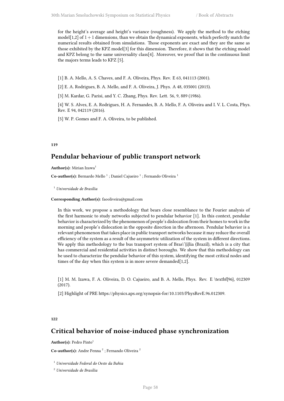for the height's average and height's variance (roughness). We apply the method to the etching model[1,2] of  $1+1$  dimensions, than we obtain the dynamical exponents, which perfectly match the numerical results obtained from simulations. Those exponents are exact and they are the same as those exhibited by the KPZ model[3] for this dimension. Therefore, it shows that the etching model and KPZ belong to the same universality class[4]. Moreover, we proof that in the continuous limit the majors terms leads to KPZ [5].

[1] B. A. Mello, A. S. Chaves, and F. A. Oliveira, Phys. Rev. E 63, 041113 (2001).

[2] E. A. Rodrigues, B. A. Mello, and F. A. Oliveira, J. Phys. A 48, 035001 (2015).

[3] M. Kardar, G. Parisi, and Y. C. Zhang, Phys. Rev. Lett. 56, 9, 889 (1986).

[4] W. S. Alves, E. A. Rodrigues, H. A. Fernandes, B. A. Mello, F. A. Oliveira and I. V. L. Costa, Phys. Rev. E 94, 042119 (2016).

[5] W. P. Gomes and F. A. Oliveira, to be published.

## **119**

# **Pendular behaviour of public transport network**

**Author(s):** Mirian Izawa<sup>1</sup>

Co-author(s): Bernardo Mello<sup>1</sup>; Daniel Cajueiro<sup>1</sup>; Fernando Oliveira<sup>1</sup>

<sup>1</sup> *Universidade de Brasília*

**Corresponding Author(s):** faooliveira@gmail.com

In this work, we propose a methodology that bears close resemblance to the Fourier analysis of the first harmonic to study networks subjected to pendular behavior [1]. In this context, pendular behavior is characterized by the phenomenon of people's dislocation from their homes to work in the morning and people's dislocation in the opposite direction in the afternoon. Pendular behavior is a relevant phenomenon that takes place in public transport networks because it may reduce the overall efficiency of the system as a result of the asymmetric utilization of the system in different directions. We apply this methodology to the bus transport system of Bras\'{i}lia (Brazil), which is a city that has commercial and residential activities in distinct boroughs. We show that this methodology can be used to characterize the pendular behavior of this system, identifying the most critical nodes and times of the day when this system is in more severe demanded[1,2].

[1] M. M. Izawa, F. A. Oliveira, D. O. Cajueiro, and B. A. Mello, Phys. Rev. E \textbf{96}, 012309 (2017).

[2] Highlight of PRE https://physics.aps.org/synopsis-for/10.1103/PhysRevE.96.012309.

### **122**

# **Critical behavior of noise-induced phase synchronization**

Author(s): Pedro Pinto<sup>1</sup>

Co-author(s): Andre Penna<sup>2</sup>; Fernando Oliveira<sup>2</sup>

<sup>1</sup> *Universidade Federal do Oeste da Bahia*

<sup>2</sup> *Universidade de Brasília*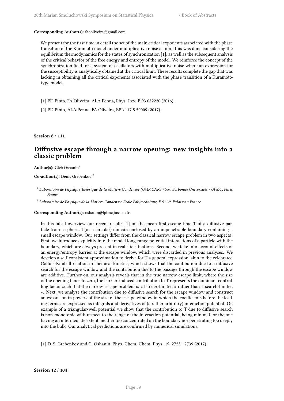### **Corresponding Author(s):** faooliveira@gmail.com

We present for the first time in detail the set of the main critical exponents associated with the phase transition of the Kuramoto model under multiplicative noise action. This was done considering the equilibrium thermodynamics for the states of synchronization [1], as well as the subsequent analysis of the critical behavior of the free energy and entropy of the model. We reinforce the concept of the synchronization field for a system of oscillators with multiplicative noise where an expression for the susceptibility is analytically obtained at the critical limit. These results complete the gap that was lacking in obtaining all the critical exponents associated with the phase transition of a Kuramototype model.

[1] PD Pinto, FA Oliveira, ALA Penna, Phys. Rev. E 93 052220 (2016).

[2] PD Pinto, ALA Penna, FA Oliveira, EPL 117 5 50009 (2017).

**Session 8** / **111**

## **Diffusive escape through a narrow opening: new insights into a classic problem**

Author(s): Gleb Oshanin<sup>1</sup>

**Co-author(s):** Denis Grebenkov <sup>2</sup>

1 *Laboratoire de Physique Théorique de la Matière Condensée (UMR CNRS 7600) Sorbonne Universités - UPMC, Paris, France*

2 *Laboratoire de Physique de la Matiere Condensee Ecole Polytechnique, F-91128 Palaiseau France*

### **Corresponding Author(s):** oshanin@lptmc.jussieu.fr

In this talk I overview our recent results [1] on the mean first escape time T of a diffusive particle from a spherical (or a circular) domain enclosed by an impenetrable boundary containing a small escape window. Our settings differ from the classical narrow escape problem in two aspects : First, we introduce explicitly into the model long-range potential interactions of a particle with the boundary, which are always present in realistic situations. Second, we take into account effects of an energy/entropy barrier at the escape window, which were discarded in previous analyses. We develop a self-consistent approximation to derive for T a general expression, akin to the celebrated Collins-Kimball relation in chemical kinetics, which shows that the contibution due to a diffusive search for the escape window and the contribution due to the passage through the escape window are additive. Further on, our analysis reveals that in the true narrow escape limit, where the size of the opening tends to zero, the barrier-induced contribution to T represents the dominant controlling factor such that the narrow escape problem is « barrier-limited » rather than « search-limited ». Next, we analyse the contribution due to diffusive search for the escape window and construct an expansion in powers of the size of the escape window in which the coefficients before the leading terms are expressed as integrals and derivatives of (a rather arbitrary) interaction potential. On example of a triangular-well potential we show that the contribution to T due to diffusive search is non-monotonic with respect to the range of the interaction potential, being minimal for the one having an intermediate extent, neither too concentrated on the boundary nor penetrating too deeply into the bulk. Our analytical predictions are confirmed by numerical simulations.

[1] D. S. Grebenkov and G. Oshanin, Phys. Chem. Chem. Phys. 19, 2723 - 2739 (2017)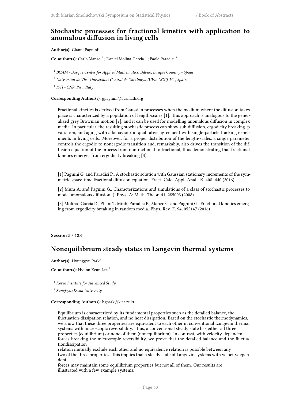# **Stochastic processes for fractional kinetics with application to anomalous diffusion in living cells**

Author(s): Gianni Pagnini<sup>1</sup>

Co-author(s): Carlo Manzo<sup>2</sup>; Daniel Molina-García<sup>1</sup>; Paolo Paradisi<sup>3</sup>

1 *BCAM - Basque Center for Applied Mathematics, Bilbao, Basque Country - Spain*

<sup>2</sup> *Universitat de Vic - Universitat Central de Catalunya (UVic-UCC), Vic, Spain*

3 *ISTI - CNR, Pisa, Italy*

**Corresponding Author(s):** gpagnini@bcamath.org

Fractional kinetics is derived from Gaussian processes when the medium where the diffusion takes place is characterized by a population of length-scales [1]. This approach is analogous to the generalized grey Brownian motion [2], and it can be used for modelling anomalous diffusion in complex media. In particular, the resulting stochastic process can show sub-diffusion, ergodicity breaking, p variation, and aging with a behaviour in qualitative agreement with single-particle tracking experiments in living cells. Moreover, for a proper distribution of the length-scales, a single parameter controls the ergodic-to-nonergodic transition and, remarkably, also drives the transition of the diffusion equation of the process from nonfractional to fractional, thus demonstrating that fractional kinetics emerges from ergodicity breaking [3].

[1] Pagnini G. and Paradisi P., A stochastic solution with Gaussian stationary increments of the symmetric space-time fractional diffusion equation. Fract. Calc. Appl. Anal. 19, 408–440 (2016)

[2] Mura A. and Pagnini G., Characterizations and simulations of a class of stochastic processes to model anomalous diffusion. J. Phys. A: Math. Theor. 41, 285003 (2008)

[3] Molina–García D., Pham T. Minh, Paradisi P., Manzo C. and Pagnini G., Fractional kinetics emerging from ergodicity breaking in random media. Phys. Rev. E. 94, 052147 (2016)

**Session 5** / **128**

# **Nonequilibrium steady states in Langevin thermal systems**

**Author(s):** Hyunggyu Park<sup>1</sup>

**Co-author(s):** Hyunn Keun Lee <sup>2</sup>

<sup>1</sup> *Korea Institute for Advanced Study*

2 *SungkyunKwan University*

**Corresponding Author(s):** hgpark@kias.re.kr

Equilibrium is characterized by its fundamental properties such as the detailed balance, the fluctuation-dissipation relation, and no heat dissipation. Based on the stochastic thermodynamics, we show that these three properties are equivalent to each other in conventional Langevin thermal systems with microscopic reversibility. Thus, a conventional steady state has either all three properties (equilibrium) or none of them (nonequilibrium). In contrast, with velocity-dependent forces breaking the microscopic reversibility, we prove that the detailed balance and the fluctuationdissipation

relation mutually exclude each other and no equivalence relation is possible between any two of the three properties. This implies that a steady state of Langevin systems with velocitydependent

forces may maintain some equilibrium properties but not all of them. Our results are illustrated with a few example systems.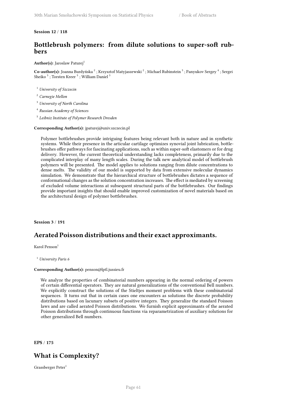## **Session 12** / **118**

# **Bottlebrush polymers: from dilute solutions to super-soft rubbers**

## Author(s): Jaroslaw Paturej<sup>1</sup>

Co-author(s): Joanna Burdyńska <sup>2</sup> ; Krzysztof Matyjaszewski <sup>2</sup> ; Michael Rubinstein <sup>3</sup> ; Panyukov Sergey <sup>4</sup> ; Sergei Sheiko $^3$ ; Torsten Kreer $^5$ ; William Daniel $^3$ 

- <sup>1</sup> *University of Szczecin*
- <sup>2</sup> *Carnegie Mellon*
- <sup>3</sup> *University of North Carolina*
- 4 *Russian Academy of Sciences*
- 5 *Leibniz Institute of Polymer Research Dresden*

### **Corresponding Author(s):** jpaturej@univ.szczecin.pl

Polymer bottlebrushes provide intriguing features being relevant both in nature and in synthetic systems. While their presence in the articular cartilage optimizes synovial joint lubrication, bottlebrushes offer pathways for fascinating applications, such as within super-soft elastomers or for drug delivery. However, the current theoretical understanding lacks completeness, primarily due to the complicated interplay of many length scales. During the talk new analytical model of bottlebrush polymers will be presented. The model applies to solutions ranging from dilute concentrations to dense melts. The validity of our model is supported by data from extensive molecular dynamics simulation. We demonstrate that the hierarchical structure of bottlebrushes dictates a sequence of conformational changes as the solution concentration increases. The effect is mediated by screening of excluded volume interactions at subsequent structural parts of the bottlebrushes. Our findings provide important insights that should enable improved customization of novel materials based on the architectural design of polymer bottlebrushes.

## **Session 3** / **191**

## **Aerated Poisson distributions and their exact approximants.**

Karol Penson $<sup>1</sup>$ </sup>

<sup>1</sup> *University Paris 6*

#### **Corresponding Author(s):** penson@lptl.jussieu.fr

We analyze the properties of combinatorial numbers appearing in the normal ordering of powers of certain differential operators. They are natural generalizations of the conventional Bell numbers. We explicitly construct the solutions of the Stieltjes moment problems with these combinatorial sequences. It turns out that in certain cases one encounters as solutions the discrete probability distributions based on lacunary subsets of positive integers. They generalize the standard Poisson laws and are called aerated Poisson distributions. We furnish explicit approximants of the aerated Poisson distributions through continuous functions via reparametrization of auxiliary solutions for other generalized Bell numbers.

**EPS** / **175**

# **What is Complexity?**

Grassberger Peter<sup>1</sup>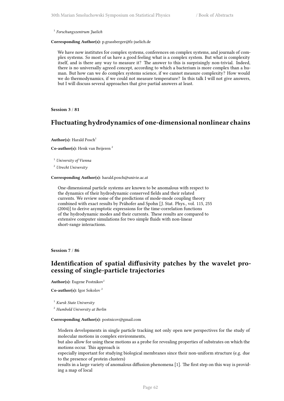1 *Forschungszentrum Juelich*

**Corresponding Author(s):** p.grassberger@fz-juelich.de

We have now institutes for complex systems, conferences on complex systems, and journals of complex systems. So most of us have a good feeling what is a complex system. But what is complexity itself, and is there any way to measure it? The answer to this is surprisingly non-trivial. Indeed, there is no universally agreed concept, according to which a bacterium is more complex than a human. But how can we do complex systems science, if we cannot measure complexity? How would we do thermodynamics, if we could not measure temperature? In this talk I will not give answers, but I will discuss several approaches that give partial answers at least.

**Session 3** / **81**

## **Fluctuating hydrodynamics of one-dimensional nonlinear chains**

**Author(s):** Harald Posch<sup>1</sup>

**Co-author(s):** Henk van Beijeren <sup>2</sup>

<sup>1</sup> *University of Vienna*

<sup>2</sup> *Utrecht University*

**Corresponding Author(s):** harald.posch@univie.ac.at

One-dimensional particle systems are known to be anomalous with respect to the dynamics of their hydrodynamic conserved fields and their related currents. We review some of the predictions of mode-mode coupling theory combined with exact results by Prähofer and Spohn [J. Stat. Phys., vol. 115, 255 (2004)] to derive asymptotic expressions for the time-correlation functions of the hydrodynamic modes and their currents. These results are compared to extensive computer simulations for two simple fluids with non-linear short-range interactions.

**Session 7** / **86**

## **Identification of spatial diffusivity patches by the wavelet processing of single-particle trajectories**

Author(s): Eugene Postnikov<sup>1</sup>

**Co-author(s):** Igor Sokolov <sup>2</sup>

<sup>1</sup> *Kursk State University*

<sup>2</sup> *Humbold University at Berlin*

### **Corresponding Author(s):** postnicov@gmail.com

Modern developments in single particle tracking not only open new perspectives for the study of molecular motions in complex environments,

but also allow for using these motions as a probe for revealing properties of substrates on which the motions occur. This approach is

especially important for studying biological membranes since their non-uniform structure (e.g. due to the presence of protein clusters)

results in a large variety of anomalous diffusion phenomena [1]. The first step on this way is providing a map of local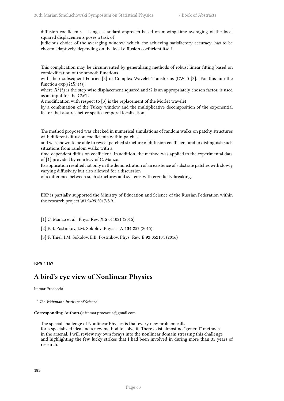diffusion coefficients. Using a standard approach based on moving time averaging of the local squared displacements poses a task of

judicious choice of the averaging window, which, for achieving satisfactory accuracy, has to be chosen adaptively, depending on the local diffusion coefficient itself.

This complication may be circumvented by generalizing methods of robust linear fitting based on comlexification of the smooth functions

with their subsequent Fourier [2] or Complex Wavelet Transforms (CWT) [3]. For this aim the function  $\exp[i\Omega R^2(t)]$ ,

where  $R^2(t)$  is the step-wise displacement squared and  $\Omega$  is an appropriately chosen factor, is used as an input for the CWT.

A modification with respect to [3] is the replacement of the Morlet wavelet

by a combination of the Tukey window and the multiplicative decomposition of the exponential factor that assures better spatio-temporal localization.

The method proposed was checked in numerical simulations of random walks on patchy structures with different diffusion coefficients within patches,

and was shown to be able to reveal patched structure of diffusion coefficient and to distinguish such situations from random walks with a

time-dependent diffusion coefficient. In addition, the method was applied to the experimental data of [1] provided by courtesy of C. Manzo.

Its application resulted not only in the demonstration of an existence of substrate patches with slowly varying diffusivity but also allowed for a discussion

of a difference between such structures and systems with ergodicity breaking.

EBP is partially supported the Ministry of Education and Science of the Russian Federation within the research project \#3.9499.2017/8.9.

[1] C. Manzo et al., Phys. Rev. X **5** 011021 (2015)

[2] E.B. Postnikov, I.M. Sokolov, Physica A **434** 257 (2015)

[3] F. Thiel, I.M. Sokolov, E.B. Postnikov, Phys. Rev. E **93** 052104 (2016)

**EPS** / **167**

## **A bird's eye view of Nonlinear Physics**

Itamar Procaccia<sup>1</sup>

<sup>1</sup> *The Weizmann Institute of Science*

### **Corresponding Author(s):** itamar.procaccia@gmail.com

The special challenge of Nonlinear Physics is that every new problem calls for a specialized idea and a new method to solve it. There exist almost no "general" methods in the arsenal. I will review my own forays into the nonlinear domain stressing this challenge and highlighting the few lucky strikes that I had been involved in during more than 35 years of research.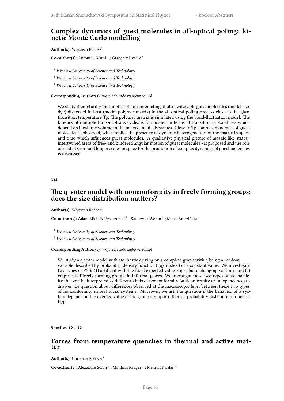# **Complex dynamics of guest molecules in all-optical poling: kinetic Monte Carlo modelling**

Author(s): Wojciech Radosz<sup>1</sup>

Co-author(s): Antoni C. Mituś<sup>2</sup>; Grzegorz Pawlik<sup>3</sup>

- <sup>1</sup> *Wrocław University of Science and Technology*
- <sup>2</sup> *Wroclaw University of Science and Technology*
- <sup>3</sup> *Wroclaw University of Science and Technology,*

**Corresponding Author(s):** wojciech.radosz@pwr.edu.pl

We study theoretically the kinetics of non-interacting photo-switchable guest molecules (model azodye) dispersed in host (model polymer matrix) in the all-optical poling process close to the glass transition temperature Tg. The polymer matrix is simulated using the bond-fluctuation model. The kinetics of multiple trans-cis-trans cycles is formulated in terms of transition probabilities which depend on local free volume in the matrix and its dynamics. Close to Tg complex dynamics of guest molecules is observed, what implies the presence of dynamic heterogeneities of the matrix in space and time which influences guest molecules. A qualitative physical picture of mosaic-like states intertwined areas of free- and hindered angular motion of guest molecules - is proposed and the role of related short and longer scales in space for the promotion of complex dynamics of guest molecules is discussed.

**182**

## **The q-voter model with nonconformity in freely forming groups: does the size distribution matters?**

Author(s): Wojciech Radosz<sup>1</sup>

**Co-author(s):** Adam Mielnik-Pyszczorski <sup>2</sup>; Katarzyna Weron <sup>2</sup>; Marta Brzezińska <sup>2</sup>

<sup>1</sup> *Wrocław University of Science and Technology*

<sup>2</sup> *Wroclaw University of Science and Technology*

#### **Corresponding Author(s):** wojciech.radosz@pwr.edu.pl

We study a q-voter model with stochastic driving on a complete graph with q being a random variable described by probability density function  $P(q)$ , instead of a constant value. We investigate two types of P(q): (1) artificial with the fixed expected value  $\langle q \rangle$ , but a changing variance and (2) empirical of freely forming groups in informal places. We investigate also two types of stochasticity that can be interpreted as different kinds of nonconformity (anticonformity or independence) to answer the question about differences observed at the macroscopic level between these two types of nonconformity in real social systems. Moreover, we ask the question if the behavior of a system depends on the average value of the group size q or rather on probability distribution function  $P(q)$ .

**Session 12** / **32**

## **Forces from temperature quenches in thermal and active matter**

**Author(s):** Christian Rohwer<sup>1</sup>

Co-author(s): Alexandre Solon<sup>2</sup>; Matthias Krüger<sup>1</sup>; Mehran Kardar<sup>2</sup>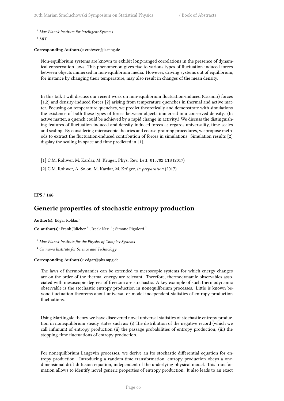<sup>1</sup> *Max Planck Institute for Intelligent Systems*

<sup>2</sup> *MIT*

## **Corresponding Author(s):** crohwer@is.mpg.de

Non-equilibrium systems are known to exhibit long-ranged correlations in the presence of dynamical conservation laws. This phenomenon gives rise to various types of fluctuation-induced forces between objects immersed in non-equilibrium media. However, driving systems out of equilibrium, for instance by changing their temperature, may also result in changes of the mean density.

In this talk I will discuss our recent work on non-equilibrium fluctuation-induced (Casimir) forces [1,2] and density-induced forces [2] arising from temperature quenches in thermal and active matter. Focusing on temperature quenches, we predict theoretically and demonstrate with simulations the existence of both these types of forces between objects immersed in a conserved density. (In active matter, a quench could be achieved by a rapid change in activity.) We discuss the distinguishing features of fluctuation-induced and density-induced forces as regards universality, time-scales and scaling. By considering microscopic theories and coarse-graining procedures, we propose methods to extract the fluctuation-induced contribution of forces in simulations. Simulation results [2] display the scaling in space and time predicted in [1].

[1] C.M. Rohwer, M. Kardar, M. Krüger, Phys. Rev. Lett. 015702 **118** (2017)

[2] C.M. Rohwer, A. Solon, M. Kardar, M. Krüger, *in preparation* (2017)

**EPS** / **146**

# **Generic properties of stochastic entropy production**

Author(s): Edgar Roldan<sup>1</sup>

**Co-author(s):** Frank Jülicher <sup>1</sup> ; Izaak Neri <sup>1</sup> ; Simone Pigolotti <sup>2</sup>

<sup>1</sup> *Max Planck Institute for the Physics of Complex Systems*

<sup>2</sup> *Okinawa Institute for Science and Technology*

## **Corresponding Author(s):** edgar@pks.mpg.de

The laws of thermodynamics can be extended to mesoscopic systems for which energy changes are on the order of the thermal energy are relevant. Therefore, thermodynamic observables associated with mesoscopic degrees of freedom are stochastic. A key example of such thermodynamic observable is the stochastic entropy production in nonequilibrium processes. Little is known beyond fluctuation theorems about universal or model-independent statistics of entropy-production fluctuations.

Using Martingale theory we have discovered novel universal statistics of stochastic entropy production in nonequilibrium steady states such as: (i) The distribution of the negative record (which we call infimum) of entropy production (ii) the passage probabilities of entropy production; (iii) the stopping-time fluctuations of entropy production.

For nonequilibrium Langevin processes, we derive an Ito stochastic differential equation for entropy production. Introducing a random-time transformation, entropy production obeys a onedimensional drift-diffusion equation, independent of the underlying physical model. This transformation allows to identify novel generic properties of entropy production. It also leads to an exact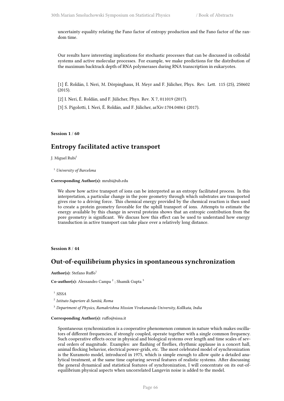uncertainty equality relating the Fano factor of entropy production and the Fano factor of the random time.

Our results have interesting implications for stochastic processes that can be discussed in colloidal systems and active molecular processes. For example, we make predictions for the distribution of the maximum backtrack depth of RNA polymerases during RNA transcription in eukaryotes.

[1] É. Roldán, I. Neri, M. Dörpinghaus, H. Meyr and F. Jülicher, Phys. Rev. Lett. 115 (25), 250602 (2015).

[2] I. Neri, É. Roldán, and F. Jülicher, Phys. Rev. X 7, 011019 (2017).

[3] S. Pigolotti, I. Neri, É. Roldán, and F. Jülicher, arXiv:1704.04061 (2017).

**Session 1** / **60**

## **Entropy facilitated active transport**

J. Miguel Rubi<sup>1</sup>

<sup>1</sup> *University of Barcelona*

**Corresponding Author(s):** mrubi@ub.edu

We show how active transport of ions can be interpreted as an entropy facilitated process. In this interpretation, a particular change in the pore geometry through which substrates are transported gives rise to a driving force. This chemical energy provided by the chemical reaction is then used to create a protein geometry favorable for the uphill transport of ions. Attempts to estimate the energy available by this change in several proteins shows that an entropic contribution from the pore geometry is significant. We discuss how this effect can be used to understand how energy transduction in active transport can take place over a relatively long distance.

**Session 8** / **44**

# **Out-of-equilibrium physics in spontaneous synchronization**

Author(s): Stefano Ruffo<sup>1</sup>

**Co-author(s):** Alessandro Campa<sup>2</sup>; Shamik Gupta<sup>3</sup>

1 *SISSA*

2 *Istituto Superiore di Sanità, Roma*

<sup>3</sup> *Department of Physics, Ramakrishna Mission Vivekananda University, Kollkata, India*

### **Corresponding Author(s):** ruffo@sissa.it

Spontaneous synchronization is a cooperative phenomenon common in nature which makes oscillators of different frequencies, if strongly coupled, operate together with a single common frequency. Such cooperative effects occur in physical and biological systems over length and time scales of several orders of magnitude. Examples: are flashing of fireflies, rhythmic applause in a concert hall, animal flocking behavior, electrical power-grids, etc. The most celebrated model of synchronization is the Kuramoto model, introduced in 1975, which is simple enough to allow quite a detailed analytical treatment, at the same time capturing several features of realistic systems. After discussing the general dynamical and statistical features of synchronization, I will concentrate on its out-ofequilibrium physical aspects when uncorrelated Langevin noise is added to the model.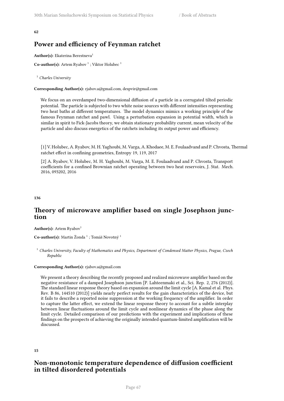**62**

# **Power and efficiency of Feynman ratchet**

Author(s): Ekaterina Berestneva<sup>1</sup>

**Co-author(s):** Artem Ryabov<sup>1</sup>; Viktor Holubec<sup>1</sup>

<sup>1</sup> *Charles University*

**Corresponding Author(s):** rjabov.a@gmail.com, despvir@gmail.com

We focus on an overdamped two-dimensional diffusion of a particle in a corrugated tilted periodic potential. The particle is subjected to two white noise sources with different intensities representing two heat baths at different temperatures. The model dynamics mimics a working principle of the famous Feynman ratchet and pawl. Using a perturbation expansion in potential width, which is similar in spirit to Fick-Jacobs theory, we obtain stationary probability current, mean velocity of the particle and also discuss energetics of the ratchets including its output power and efficiency.

[1] V. Holubec, A. Ryabov, M. H. Yaghoubi, M. Varga, A. Khodaee, M. E. Foulaadvand and P. Chvosta, Thermal ratchet effect in confining geometries, Entropy 19, 119, 2017

[2] A. Ryabov, V. Holubec, M. H. Yaghoubi, M. Varga, M. E. Foulaadvand and P. Chvosta, Transport coefficients for a confined Brownian ratchet operating between two heat reservoirs, J. Stat. Mech. 2016, 093202, 2016

**136**

# **Theory of microwave amplifier based on single Josephson junction**

**Author(s):** Artem Ryabov<sup>1</sup>

 $\mathbf C$ o-author(s): Martin Žonda <sup>1</sup> ; Tomáš Novotný <sup>1</sup>

<sup>1</sup> *Charles University, Faculty of Mathematics and Physics, Department of Condensed Matter Physics, Prague, Czech Republic*

## **Corresponding Author(s):** rjabov.a@gmail.com

We present a theory describing the recently proposed and realized microwave amplifier based on the negative resistance of a damped Josephson junction [P. Lahteenmaki et al., Sci. Rep. 2, 276 (2012)]. The standard linear response theory based on expansion around the limit cycle [A. Kamal et al. Phys. Rev. B 86, 144510 (2012)] yields nearly perfect results for the gain characteristics of the device, but it fails to describe a reported noise suppression at the working frequency of the amplifier. In order to capture the latter effect, we extend the linear response theory to account for a subtle interplay between linear fluctuations around the limit cycle and nonlinear dynamics of the phase along the limit cycle. Detailed comparison of our predictions with the experiment and implications of these findings on the prospects of achieving the originally intended quantum-limited amplification will be discussed.

**15**

# **Non-monotonic temperature dependence of diffusion coefficient in tilted disordered potentials**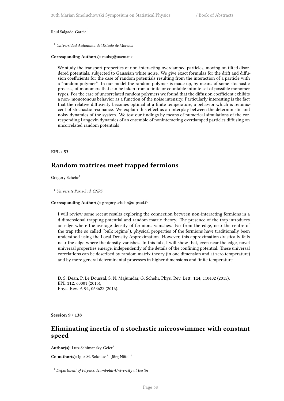Raul Salgado-Garcia<sup>1</sup>

<sup>1</sup> *Universidad Autonoma del Estado de Morelos*

**Corresponding Author(s):** raulsg@uaem.mx

We study the transport properties of non-interacting overdamped particles, moving on tilted disordered potentials, subjected to Gaussian white noise. We give exact formulas for the drift and diffusion coefficients for the case of random potentials resulting from the interaction of a particle with a "random polymer". In our model the random polymer is made up, by means of some stochastic process, of monomers that can be taken from a finite or countable infinite set of possible monomer types. For the case of uncorrelated random polymers we found that the diffusion coefficient exhibits a non- monotonous behavior as a function of the noise intensity. Particularly interesting is the fact that the relative diffusivity becomes optimal at a finite temperature, a behavior which is reminiscent of stochastic resonance. We explain this effect as an interplay between the deterministic and noisy dynamics of the system. We test our findings by means of numerical simulations of the corresponding Langevin dynamics of an ensemble of noninteracting overdamped particles diffusing on uncorrelated random potentials

**EPL** / **53**

# **Random matrices meet trapped fermions**

Gregory Schehr $1$ 

<sup>1</sup> *Universite Paris-Sud, CNRS*

**Corresponding Author(s):** gregory.schehr@u-psud.fr

I will review some recent results exploring the connection between non-interacting fermions in a d-dimensional trapping potential and random matrix theory. The presence of the trap introduces an edge where the average density of fermions vanishes. Far from the edge, near the centre of the trap (the so called "bulk regime"), physical properties of the fermions have traditionally been understood using the Local Density Approximation. However, this approximation drastically fails near the edge where the density vanishes. In this talk, I will show that, even near the edge, novel universal properties emerge, independently of the details of the confining potential. These universal correlations can be described by random matrix theory (in one dimension and at zero temperature) and by more general determinantal processes in higher dimensions and finite temperature.

D. S. Dean, P. Le Doussal, S. N. Majumdar, G. Schehr, Phys. Rev. Lett. **114**, 110402 (2015), EPL **112**, 60001 (2015), Phys. Rev. A **94**, 063622 (2016).

**Session 9** / **138**

## **Eliminating inertia of a stochastic microswimmer with constant speed**

Author(s): Lutz Schimansky-Geier<sup>1</sup>

**Co-author(s):** Igor M. Sokolov<sup>1</sup>; Jörg Nötel<sup>1</sup>

<sup>1</sup> *Department of Physics, Humboldt-University at Berlin*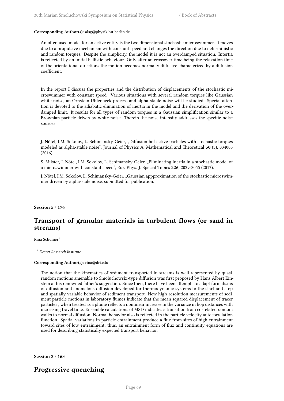### **Corresponding Author(s):** alsg@physik.hu-berlin.de

An often used model for an active entity is the two dimensional stochastic microswimmer. It moves due to a propulsive mechanism with constant speed and changes the direction due to deterministic and random torques. Despite the simplicity, the model it is not an overdamped situation. Intertia is reflected by an initial ballistic behaviour. Only after an crossover time being the relaxation time of the orientational directions the motion becomes normally diffusive characterized by a diffusion coefficient.

In the report I discuss the properties and the distribution of displacements of the stochastic microswimmer with constant speed. Various situations with several random torques like Gaussian white noise, an Ornstein-Uhlenbeck process and alpha-stable noise will be studied. Special attention is devoted to the adiabatic elimination of inertia in the model and the derivation of the overdamped limit. It results for all types of random torques in a Gaussian simplification similar to a Brownian particle driven by white noise. Therein the noise intensity addresses the specific noise sources.

J. Nötel, I.M. Sokolov, L. Schimansky-Geier, "Diffusion bof active particles with stochastic torques modeled as alpha-stable noise", Journal of Physics A: Mathematical and Theoretical **50** (3), 034003 (2016).

S. Milster, J. Nötel, I.M. Sokolov, L. Schimansky-Geier, "Eliminating inertia in a stochastic model of a microswimmer with constant speed", Eur. Phys. J. Special Topics **226**, 2039-2055 (2017).

J. Nötel, I.M. Sokolov, L. Schimansky-Geier, "Gaussian appproximation of the stochastic microswimmer driven by alpha-stale noise, submitted for publication.

**Session 5** / **176**

# **Transport of granular materials in turbulent flows (or sand in streams)**

Rina Schumer<sup>1</sup>

<sup>1</sup> *Desert Research Institute*

### **Corresponding Author(s):** rina@dri.edu

The notion that the kinematics of sediment transported in streams is well-represented by quasirandom motions amenable to Smoluchowski-type diffusion was first proposed by Hans Albert Einstein at his renowned father's suggestion. Since then, there have been attempts to adapt formalisms of diffusion and anomalous diffusion developed for thermodynamic systems to the start-and-stop and spatially variable behavior of sediment transport. New high-resolution measurements of sediment particle motions in laboratory flumes indicate that the mean squared displacement of tracer particles , when treated as a plume reflects a nonlinear increase in the variance in hop distances with increasing travel time. Ensemble calculations of MSD indicates a transition from correlated random walks to normal diffusion. Normal behavior also is reflected in the particle velocity autocorrelation function. Spatial variations in particle entrainment produce a flux from sites of high entrainment toward sites of low entrainment; thus, an entrainment form of flux and continuity equations are used for describing statistically expected transport behavior.

**Session 3** / **163**

# **Progressive quenching**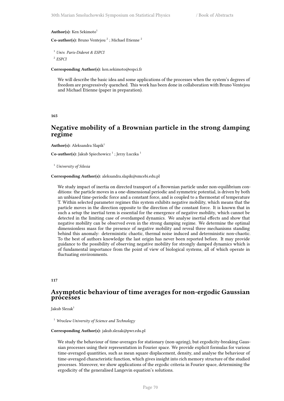#### Author(s): Ken Sekimoto<sup>1</sup>

**Co-author(s):** Bruno Ventejou<sup>2</sup>; Michael Etienne<sup>2</sup>

```
1 Univ. Paris-Diderot & ESPCI
```
2 *ESPCI*

**Corresponding Author(s):** ken.sekimoto@espci.fr

We will describe the basic idea and some applications of the processes when the system's degrees of freedom are progressively quenched. This work has been done in collaboration with Bruno Ventejou and Michael Etienne (paper in preparation).

#### **165**

## **Negative mobility of a Brownian particle in the strong damping regime**

**Author(s):** Aleksandra Slapik<sup>1</sup>

Co-author(s): Jakub Spiechowicz<sup>1</sup>; Jerzy Łuczka<sup>1</sup>

<sup>1</sup> *University of Silesia*

#### **Corresponding Author(s):** aleksandra.slapik@smcebi.edu.pl

We study impact of inertia on directed transport of a Brownian particle under non-equilibrium conditions: the particle moves in a one-dimensional periodic and symmetric potential, is driven by both an unbiased time-periodic force and a constant force, and is coupled to a thermostat of temperature T. Within selected parameter regimes this system exhibits negative mobility, which means that the particle moves in the direction opposite to the direction of the constant force. It is known that in such a setup the inertial term is essential for the emergence of negative mobility, which cannot be detected in the limiting case of overdamped dynamics. We analyse inertial effects and show that negative mobility can be observed even in the strong damping regime. We determine the optimal dimensionless mass for the presence of negative mobility and reveal three mechanisms standing behind this anomaly: deterministic chaotic, thermal noise induced and deterministic non-chaotic. To the best of authors knowledge the last origin has never been reported before. It may provide guidance to the possibility of observing negative mobility for strongly damped dynamics which is of fundamental importance from the point of view of biological systems, all of which operate in fluctuating environments.

#### **117**

## **Asymptotic behaviour of time averages for non-ergodic Gaussian processes**

Jakub Slezak<sup>1</sup>

<sup>1</sup> *Wroclaw University of Science and Technology*

#### **Corresponding Author(s):** jakub.slezak@pwr.edu.pl

We study the behaviour of time-averages for stationary (non-ageing), but ergodicity-breaking Gaussian processes using their representation in Fourier space. We provide explicit formulas for various time-averaged quantities, such as mean square displacement, density, and analyse the behaviour of time-averaged characteristic function, which gives insight into rich memory structure of the studied processes. Moreover, we show applications of the ergodic criteria in Fourier space, determining the ergodicity of the generalised Langevin equation's solutions.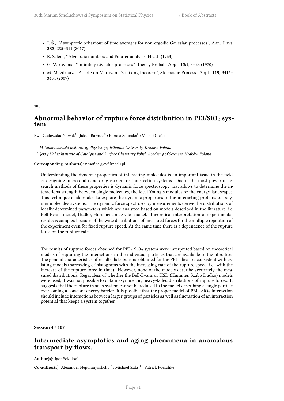- **J. Ś.**, ''Asymptotic behaviour of time averages for non-ergodic Gaussian processes", Ann. Phys. **383**, 285–311 (2017)
- R. Salem, ''Algebraic numbers and Fourier analysis, Heath (1963)
- G. Maruyama, ''Infinitely divisible processes", Theory Probab. Appl. **15**:1, 3–23 (1970)
- M. Magdziarz, ''A note on Maruyama's mixing theorem", Stochastic Process. Appl. **119**, 3416– 3434 (2009)

**188**

## Abnormal behavior of rupture force distribution in PEI/SiO<sub>2</sub> sys**tem**

Ewa Gudowska-Nowak $^1$  ; Jakub Barbasz $^2$  ; Kamila Sofinska $^2$  ; Michał Cieśla $^1$ 

<sup>1</sup> *M. Smoluchowski Institute of Physics, Jagiellonian University, Kraków, Poland*

2 *Jerzy Haber Institute of Catalysis and Surface Chemistry Polish Academy of Sciences, Kraków, Poland*

### **Corresponding Author(s):** ncsofins@cyf-kr.edu.pl

Understanding the dynamic properties of interacting molecules is an important issue in the field of designing micro and nano drug carriers or transfection systems. One of the most powerful research methods of these properties is dynamic force spectroscopy that allows to determine the interactions strength between single molecules, the local Young's modules or the energy landscapes. This technique enables also to explore the dynamic properties in the interacting proteins or polymer molecules systems. The dynamic force spectroscopy measurements derive the distributions of locally determined parameters which are analyzed based on models described in the literature, i.e. Bell-Evans model, Dudko, Hummer and Szabo model. Theoretical interpretation of experimental results is complex because of the wide distributions of measured forces for the multiple repetition of the experiment even for fixed rupture speed. At the same time there is a dependence of the rupture force on the rupture rate.

The results of rupture forces obtained for  $PEI / SiO<sub>2</sub>$  system were interpreted based on theoretical models of rupturing the interactions in the individual particles that are available in the literature. The general characteristics of results distributions obtained for the PEI-silica are consistent with existing models (narrowing of histograms with the increasing rate of the rupture speed, i.e. with the increase of the rupture force in time). However, none of the models describe accurately the measured distributions. Regardless of whether the Bell-Evans or HSD (Hummer, Szabo Dudko) models were used, it was not possible to obtain asymmetric, heavy-tailed distributions of rupture forces. It suggests that the rupture in such system cannot be reduced to the model describing a single particle overcoming a constant energy barrier. It is possible that the proper model of PEI -  $SiO<sub>2</sub>$  interaction should include interactions between larger groups of particles as well as fluctuation of an interaction potential that keeps a system together.

**Session 4** / **107**

## **Intermediate asymptotics and aging phenomena in anomalous transport by flows.**

Author(s): Igor Sokolov<sup>1</sup>

Co-author(s): Alexander Nepomnyashchy<sup>2</sup>; Michael Zaks<sup>1</sup>; Patrick Poeschke<sup>1</sup>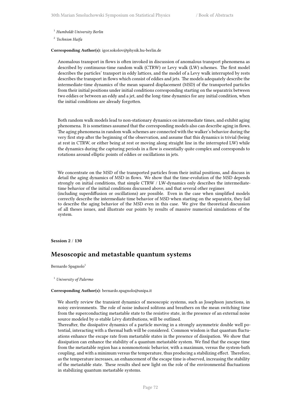<sup>1</sup> *Humboldt University Berlin*

2 *Technion Haifa*

**Corresponding Author(s):** igor.sokolov@physik.hu-berlin.de

Anomalous transport in flows is often invoked in discussion of anomalous transport phenomena as described by continuous-time random walk (CTRW) or Levy walk (LW) schemes. The first model describes the particles' transport in eddy lattices, and the model of a Levy walk interrupted by rests describes the transport in flows which consist of eddies and jets. The models adequately describe the intermediate-time dynamics of the mean squared displacement (MSD) of the transported particles from their initial positions under initial conditions corresponding starting on the separatrix between two eddies or between an eddy and a jet, and the long-time dynamics for any initial condition, when the initial conditions are already forgotten.

Both random walk models lead to non-stationary dynamics on intermediate times, and exhibit aging phenomena. It is sometimes assumed that the corresponding models also can describe aging in flows. The aging phenomena in random walk schemes are connected with the walker's behavior during the very first step after the beginning of the observation, and assume that this dynamics is trivial (being at rest in CTRW, or either being at rest or moving along straight line in the interrupted LW) while the dynamics during the capturing periods in a flow is essentially quite complex and corresponds to rotations around elliptic points of eddies or oscillations in jets.

We concentrate on the MSD of the transported particles from their initial positions, and discuss in detail the aging dynamics of MSD in flows. We show that the time-evolution of the MSD depends strongly on initial conditions, that simple CTRW / LW-dynamics only describes the intermediatetime behavior of the initial conditions discussed above, and that several other regimes

(including superdiffusion or oscillations) are possible. Even in the case when simplified models correctly describe the intermediate time behavior of MSD when starting on the separatrix, they fail to describe the aging behavior of the MSD even in this case. We give the theoretical discussion of all theses issues, and illustrate our points by results of massive numerical simulations of the system.

**Session 2** / **130**

## **Mesoscopic and metastable quantum systems**

Bernardo Spagnolo<sup>1</sup>

<sup>1</sup> *University of Palermo*

### **Corresponding Author(s):** bernardo.spagnolo@unipa.it

We shortly review the transient dynamics of mesoscopic systems, such as Josephson junctions, in noisy environments. The role of noise induced solitons and breathers on the mean switching time from the superconducting metastable state to the resistive state, in the presence of an external noise source modeled by  $\alpha$ -stable Lévy distributions, will be outlined.

Thereafter, the dissipative dynamics of a particle moving in a strongly asymmetric double well potential, interacting with a thermal bath will be considered. Common wisdom is that quantum fluctuations enhance the escape rate from metastable states in the presence of dissipation. We show that dissipation can enhance the stability of a quantum metastable system. We find that the escape time from the metastable region has a nonmonotonic behavior, with a maximum, versus the system-bath coupling, and with a minimum versus the temperature, thus producing a stabilizing effect. Therefore, as the temperature increases, an enhancement of the escape time is observed, increasing the stability of the metastable state. These results shed new light on the role of the environmental fluctuations in stabilizing quantum metastable systems.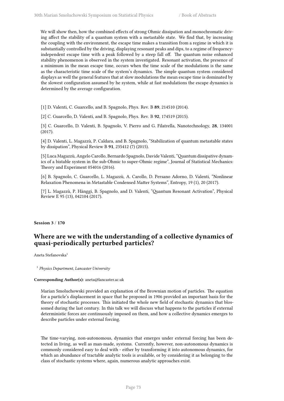We will show then, how the combined effects of strong Ohmic dissipation and monochromatic driving affect the stability of a quantum system with a metastable state. We find that, by increasing the coupling with the environment, the escape time makes a transition from a regime in which it is substantially controlled by the driving, displaying resonant peaks and dips, to a regime of frequencyindependent escape time with a peak followed by a steep fall off. The quantum noise enhanced stability phenomenon is observed in the system investigated. Resonant activation, the presence of a minimum in the mean escape time, occurs when the time scale of the modulations is the same as the characteristic time scale of the system's dynamics. The simple quantum system considered displays as well the general features that at slow modulations the mean escape time is dominated by the slowest configuration assumed by he system, while at fast modulations the escape dynamics is determined by the average configuration.

[1] D. Valenti, C. Guarcello, and B. Spagnolo, Phys. Rev. B **89**, 214510 (2014).

[2] C. Guarcello, D. Valenti, and B. Spagnolo, Phys. Rev. B **92**, 174519 (2015).

[3] C. Guarcello, D. Valenti, B. Spagnolo, V. Pierro and G. Filatrella, Nanotechnology, **28**, 134001 (2017).

[4] D. Valenti, L. Magazzù, P. Caldara, and B. Spagnolo, "Stabilization of quantum metastable states by dissipation", Physical Review B **91**, 235412 (7) (2015).

[5] Luca Magazzù, Angelo Carollo, Bernardo Spagnolo, Davide Valenti, "Quantum dissipative dynamics of a bistable system in the sub-Ohmic to super-Ohmic regime", Journal of Statistical Mechanics: Theory and Experiment 054016 (2016).

[6] B. Spagnolo, C. Guarcello, L. Magazzù, A. Carollo, D. Persano Adorno, D. Valenti, "Nonlinear Relaxation Phenomena in Metastable Condensed Matter Systems", Entropy, 19 (1), 20 (2017).

[7] L. Magazzù, P. Hänggi, B. Spagnolo, and D. Valenti, "Quantum Resonant Activation", Physical Review E 95 (13), 042104 (2017).

### **Session 3** / **170**

# **Where are we with the understanding of a collective dynamics of quasi-periodically perturbed particles?**

Aneta Stefanovska<sup>1</sup>

1 *Physics Department, Lancaster University*

### **Corresponding Author(s):** aneta@lancaster.ac.uk

Marian Smoluchowski provided an explanation of the Brownian motion of particles. The equation for a particle's displacement in space that he proposed in 1906 provided an important basis for the theory of stochastic processes. This initiated the whole new field of stochastic dynamics that blossomed during the last century. In this talk we will discuss what happens to the particles if external deterministic forces are continuously imposed on them, and how a collective dynamics emerges to describe particles under external forcing.

The time-varying, non-autonomous, dynamics that emerges under external forcing has been detected in living, as well as man-made, systems. Currently, however, non-autonomous dynamics is commonly considered easy to deal with - either by transforming it into autonomous dynamics, for which an abundance of tractable analytic tools is available, or by considering it as belonging to the class of stochastic systems where, again, numerous analytic approaches exist.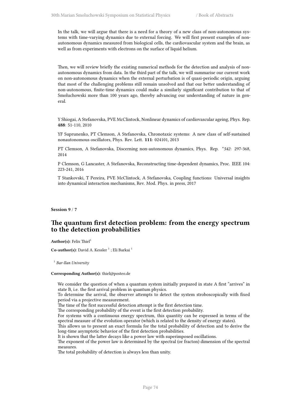In the talk, we will argue that there is a need for a theory of a new class of non-autonomous systems with time-varying dynamics due to external forcing. We will first present examples of nonautonomous dynamics measured from biological cells, the cardiovascular system and the brain, as well as from experiments with electrons on the surface of liquid helium.

Then, we will review briefly the existing numerical methods for the detection and analysis of nonautonomous dynamics from data. In the third part of the talk, we will summarise our current work on non-autonomous dynamics when the external perturbation is of quasi-periodic origin, arguing that most of the challenging problems still remain unsolved and that our better understanding of non-autonomous, finite-time dynamics could make a similarly significant contribution to that of Smoluchowski more than 100 years ago, thereby advancing our understanding of nature in general.

Y Shiogai, A Stefanovska, PVE McClintock, Nonlinear dynamics of cardiovascular ageing, Phys. Rep. **488**: 51-110, 2010

YF Suprunenko, PT Clemson, A Stefanovska, Chronotaxic systems: A new class of self-sustained nonautonomous oscillators, Phys. Rev. Lett. **111**: 024101, 2013

PT Clemson, A Stefanovska, Discerning non-autonomous dynamics, Phys. Rep. \**542*: 297-368, 2014

P Clemson, G Lancaster, A Stefanovska, Reconstructing time-dependent dynamics, Proc. IEEE 104: 223-241, 2016

T Stankovski, T Pereira, PVE McClintock, A Stefanovska, Coupling functions: Universal insights into dynamical interaction mechanisms, Rev. Mod. Phys. in press, 2017

**Session 9** / **7**

# **The quantum first detection problem: from the energy spectrum to the detection probabilities**

Author(s): Felix Thiel<sup>1</sup>

Co-author(s): David A. Kessler<sup>1</sup>; Eli Barkai<sup>1</sup>

1 *Bar-Ilan University*

### **Corresponding Author(s):** thiel@posteo.de

We consider the question of when a quantum system initially prepared in state A first "arrives" in state B, i.e. the first arrival problem in quantum physics.

To determine the arrival, the observer attempts to detect the system stroboscopically with fixed period via a projective measurement.

The time of the first successful detection attempt is the first detection time.

The corresponding probability of the event is the first detection probability.

For systems with a continuous energy spectrum, this quantity can be expressed in terms of the spectral measure of the evolution operator (which is related to the density of energy states).

This allows us to present an exact formula for the total probability of detection and to derive the long-time asymptotic behavior of the first detection probabilities.

It is shown that the latter decays like a power law with superimposed oscillations.

The exponent of the power law is determined by the spectral (or fracton) dimension of the spectral measures.

The total probability of detection is always less than unity.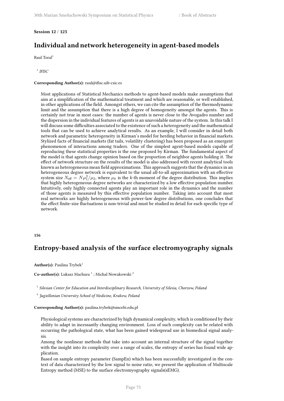## **Session 12** / **125**

# **Individual and network heterogeneity in agent-based models**

Raul Toral<sup>1</sup>

1 *IFISC*

### **Corresponding Author(s):** raul@ifisc.uib-csic.es

Most applications of Statistical Mechanics methods to agent-based models make assumptions that aim at a simplification of the mathematical treatment and which are reasonable, or well established, in other applications of the field. Amongst others, we can cite the assumption of the thermodynamic limit and the assumption that there is a high degree of homogeneity amongst the agents. This is certainly not true in most cases: the number of agents is never close to the Avogadro number and the dispersion in the individual features of agents is an unavoidable nature of the system. In this talk I will discuss some difficulties associated to the existence of such a heterogeneity and the mathematical tools that can be used to achieve analytical results. As an example, I will consider in detail both network and parametric heterogeneity in Kirman's model for herding behavior in financial markets. Stylized facts of financial markets (fat tails, volatility clustering) has been proposed as an emergent phenomenon of interactions among traders. One of the simplest agent-based models capable of reproducing these statistical properties is the one proposed by Kirman. The fundamental aspect of the model is that agents change opinion based on the proportion of neighbor agents holding it. The effect of network structure on the results of the model is also addressed with recent analytical tools known as heterogeneous mean field approximations. This approach suggests that the dynamics in an heterogeneous degree network is equivalent to the usual all-to-all approximation with an effective system size  $N_{\text{eff}} = N \mu_1^2 / \mu_2$ , where  $\mu_k$  is the *k*-th moment of the degree distribution. This implies that highly heterogeneous degree networks are characterized by a low effective population number. Intuitively, only highly connected agents play an important role in the dynamics and the number of those agents is measured by this effective population number. Taking into account that most real networks are highly heterogeneous with power-law degree distributions, one concludes that the effect finite-size fluctuations is non-trivial and must be studied in detail for each specific type of network.

### **156**

# **Entropy-based analysis of the surface electromyography signals**

## **Author(s):** Paulina Trybek<sup>1</sup>

## **Co-author(s):** Lukasz Machura <sup>1</sup> ; Michal Nowakowski <sup>2</sup>

<sup>1</sup> Silesian Center for Education and Interdisciplinary Research, University of Silesia, Chorzow, Poland

2 *Jagiellonian University School of Medicine, Krakow, Poland*

### **Corresponding Author(s):** paulina.trybek@smcebi.edu.pl

Physiological systems are characterized by high dynamical complexity, which is conditioned by their ability to adapt in incessantly changing environment. Loss of such complexity can be related with occurring the pathological state, what has been gained widespread use in biomedical signal analysis.

Among the nonlinear methods that take into account an internal structure of the signal together with the insight into its complexity over a range of scales, the entropy of series has found wide application.

Based on sample entropy parameter (SampEn) which has been successfully investigated in the context of data characterized by the low signal to noise ratio, we present the application of Multiscale Entropy method (MSE) to the surface electromyography signals(sEMG).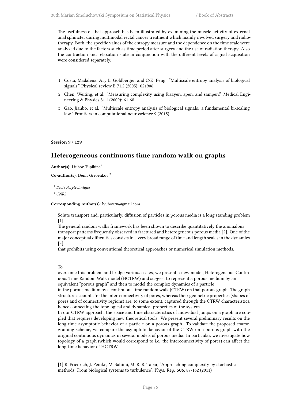The usefulness of that approach has been illustrated by examining the muscle activity of external anal sphincter during multimodal rectal cancer treatment which mainly involved surgery and radiotherapy. Both, the specific values of the entropy measure and the dependence on the time scale were analyzed due to the factors such as time period after surgery and the use of radiation therapy. Also the contraction and relaxation state in conjunction with the different levels of signal acquisition were considered separately.

- 1. Costa, Madalena, Ary L. Goldberger, and C-K. Peng. "Multiscale entropy analysis of biological signals." Physical review E 71.2 (2005): 021906.
- 2. Chen, Weiting, et al. "Measuring complexity using fuzzyen, apen, and sampen." Medical Engineering & Physics 31.1 (2009): 61-68.
- 3. Gao, Jianbo, et al. "Multiscale entropy analysis of biological signals: a fundamental bi-scaling law." Frontiers in computational neuroscience 9 (2015).

**Session 9** / **129**

# **Heterogeneous continuous time random walk on graphs**

Author(s): Liubov Tupikina<sup>1</sup>

**Co-author(s):** Denis Grebenkov <sup>2</sup>

1 *Ecole Polytechnique*

<sup>2</sup> *CNRS*

### **Corresponding Author(s):** lyubov78@gmail.com

Solute transport and, particularly, diffusion of particles in porous media is a long standing problem  $[1]$ .

The general random walks framework has been shown to describe quantitatively the anomalous transport patterns frequently observed in fractured and heterogeneous porous media [2]. One of the major conceptual difficulties consists in a very broad range of time and length scales in the dynamics [3]

that prohibits using conventional theoretical approaches or numerical simulation methods.

### To

overcome this problem and bridge various scales, we present a new model, Heterogeneous Continuous Time Random Walk model (HCTRW) and suggest to represent a porous medium by an equivalent "porous graph" and then to model the complex dynamics of a particle

in the porous medium by a continuous time random walk (CTRW) on that porous graph. The graph structure accounts for the inter-connectivity of pores, whereas their geometric properties (shapes of pores and of connectivity regions) are, to some extent, captured through the CTRW characteristics, hence connecting the topological and dynamical properties of the system.

In our CTRW approach, the space and time characteristics of individual jumps on a graph are coupled that requires developing new theoretical tools. We present several preliminary results on the long-time asymptotic behavior of a particle on a porous graph. To validate the proposed coarsegraining scheme, we compare the asymptotic behavior of the CTRW on a porous graph with the original continuous dynamics in several models of porous media. In particular, we investigate how topology of a graph (which would correspond to i.e. the interconnectivity of pores) can affect the long-time behavior of HCTRW.

[1] R. Friedrich, J. Peinke, M. Sahimi, M. R. R. Tabar, "Approaching complexity by stochastic methods: From biological systems to turbulence", Phys. Rep. **506**, 87-162 (2011)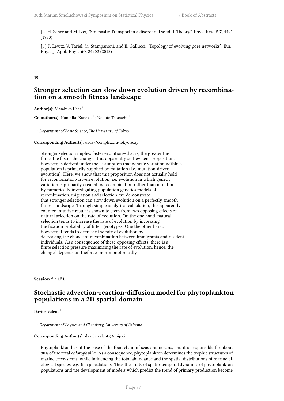[2] H. Scher and M. Lax, "Stochastic Transport in a disordered solid. I. Theory", Phys. Rev. B **7**, 4491 (1973)

[3] P. Levitz, V. Tariel, M. Stampanoni, and E. Gallucci, "Topology of evolving pore networks", Eur. Phys. J. Appl. Phys. **60**, 24202 (2012)

### **19**

# **Stronger selection can slow down evolution driven by recombination on a smooth fitness landscape**

Author(s): Masahiko Ueda<sup>1</sup>

**Co-author(s):** Kunihiko Kaneko <sup>1</sup>; Nobuto Takeuchi <sup>1</sup>

<sup>1</sup> *Department of Basic Science, The University of Tokyo*

## **Corresponding Author(s):** ueda@complex.c.u-tokyo.ac.jp

Stronger selection implies faster evolution—that is, the greater the force, the faster the change. This apparently self-evident proposition, however, is derived under the assumption that genetic variation within a population is primarily supplied by mutation (i.e. mutation-driven evolution). Here, we show that this proposition does not actually hold for recombination-driven evolution, i.e. evolution in which genetic variation is primarily created by recombination rather than mutation. By numerically investigating population genetics models of recombination, migration and selection, we demonstrate that stronger selection can slow down evolution on a perfectly smooth fitness landscape. Through simple analytical calculation, this apparently counter-intuitive result is shown to stem from two opposing effects of natural selection on the rate of evolution. On the one hand, natural selection tends to increase the rate of evolution by increasing the fixation probability of fitter genotypes. One the other hand, however, it tends to decrease the rate of evolution by decreasing the chance of recombination between immigrants and resident individuals. As a consequence of these opposing effects, there is a finite selection pressure maximizing the rate of evolution; hence, the change" depends on theforce" non-monotonically.

**Session 2** / **121**

# **Stochastic advection-reaction-diffusion model for phytoplankton populations in a 2D spatial domain**

Davide Valenti<sup>1</sup>

<sup>1</sup> *Department of Physics and Chemistry, University of Palermo*

### **Corresponding Author(s):** davide.valenti@unipa.it

Phytoplankton lies at the base of the food chain of seas and oceans, and it is responsible for about 80% of the total *chlorophyll a*. As a consequence, phytoplankton determines the trophic structures of marine ecosystems, while influencing the total abundance and the spatial distributions of marine biological species, e.g. fish populations. Thus the study of spatio-temporal dynamics of phytoplankton populations and the development of models which predict the trend of primary production become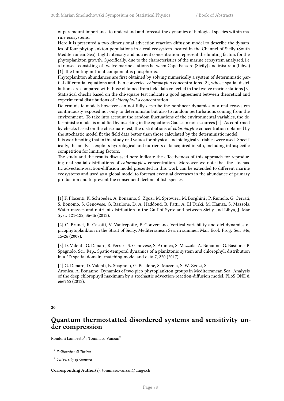of paramount importance to understand and forecast the dynamics of biological species within marine ecosystems.

Here it is presented a two-dimensional advection-reaction-diffusion model to describe the dynamics of four phytoplankton populations in a real ecosystem located in the Channel of Sicily (South Mediterranean Sea). Light intensity and nutrient concentration represent the limiting factors for the phytoplankton growth. Specifically, due to the characteristics of the marine ecosystem analyzed, i.e. a transect consisting of twelve marine stations between Cape Passero (Sicily) and Misurata (Libya) [1], the limiting nutrient component is phosphorus.

Phytoplankton abundances are first obtained by solving numerically a system of deterministic partial differential equations and then converted *chlorophyll a* concentrations [2], whose spatial distributions are compared with those obtained from field data collected in the twelve marine stations [3]. Statistical checks based on the chi-square test indicate a good agreement between theoretical and experimental distributions of *chlorophyll a* concentration.

Deterministic models however can not fully describe the nonlinear dynamics of a real ecosystem continuously exposed not only to deterministic but also to random perturbations coming from the environment. To take into account the random fluctuations of the environmental variables, the deterministic model is modified by inserting in the equations Gaussian noise sources [4]. As confirmed by checks based on the chi-square test, the distributions of *chlorophyll a* concentration obtained by the stochastic model fit the field data better than those calculated by the deterministic model.

It is worth noting that in this study real values for physical and biological variables were used. Specifically, the analysis exploits hydrological and nutrients data acquired in situ, including intraspecific competition for limiting factors.

The study and the results discussed here indicate the effectiveness of this approach for reproducing real spatial distributions of *chlorophyll a* concentration. Moreover we note that the stochastic advection-reaction-diffusion model presented in this work can be extended to different marine ecosystems and used as a global model to forecast eventual decreases in the abundance of primary production and to prevent the consequent decline of fish species.

[1] F. Placenti, K. Schroeder, A. Bonanno, S. Zgozi, M. Sprovieri, M. Borghini , P. Rumolo, G. Cerrati, S. Bonomo, S. Genovese, G. Basilone, D. A. Haddoud, B. Patti, A. El Turki, M. Hamza, S. Mazzola, Water masses and nutrient distribution in the Gulf of Syrte and between Sicily and Libya, J. Mar. Syst. 121-122, 36-46 (2013).

[2] C. Brunet, R. Casotti, V. Vantrepotte, F. Conversano, Vertical variability and diel dynamics of picophytoplankton in the Strait of Sicily, Mediterranean Sea, in summer, Mar. Ecol. Prog. Ser. 346, 15-26 (2007).

[3] D. Valenti, G. Denaro, R. Ferreri, S. Genovese, S. Aronica, S. Mazzola, A. Bonanno, G. Basilone, B. Spagnolo, Sci. Rep., Spatio-temporal dynamics of a planktonic system and chlorophyll distribution in a 2D spatial domain: matching model and data 7, 220 (2017).

[4] G. Denaro, D. Valenti, B. Spagnolo, G. Basilone, S. Mazzola, S. W. Zgozi, S. Aronica, A. Bonanno, Dynamics of two pico-phytoplankton groups in Mediterranean Sea: Analysis of the deep chlorophyll maximum by a stochastic advection-reaction-diffusion model, PLoS ONE 8, e66765 (2013).

#### **20**

# **Quantum thermostatted disordered systems and sensitivity under compression**

Rondoni Lamberto $^1$  ; Tommaso Vanzan $^2$ 

1 *Politecnico di Torino*

<sup>2</sup> *University of Geneva*

**Corresponding Author(s):** tommaso.vanzan@unige.ch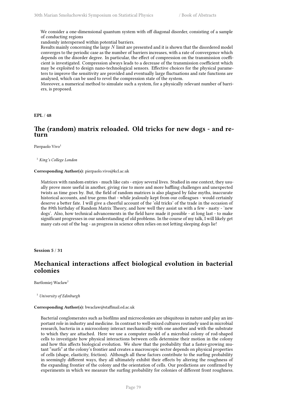We consider a one-dimensional quantum system with off diagonal disorder, consisting of a sample of conducting regions

randomly interspersed within potential barriers.

Results mainly concerning the large *N* limit are presented and it is shown that the disordered model converges to the periodic case as the number of barriers increases, with a rate of convergence which depends on the disorder degree. In particular, the effect of compression on the transmission coefficient is investigated. Compression always leads to a decrease of the transmission coefficient which may be exploited to design nano-technological sensors. Effective choices for the physical parameters to improve the sensitivity are provided and eventually large fluctuations and rate functions are analysed, which can be used to revel the compression state of the system.

Moreover, a numerical method to simulate such a system, for a physically relevant number of barriers, is proposed.

**EPL** / **48**

# **The (random) matrix reloaded. Old tricks for new dogs - and return**

Pierpaolo Vivo<sup>1</sup>

<sup>1</sup> *King's College London*

## **Corresponding Author(s):** pierpaolo.vivo@kcl.ac.uk

Matrices with random entries - much like cats - enjoy several lives. Studied in one context, they usually prove more useful in another, giving rise to more and more baffling challenges and unexpected twists as time goes by. But, the field of random matrices is also plagued by false myths, inaccurate historical accounts, and true gems that - while jealously kept from our colleagues - would certainly deserve a better fate. I will give a cheerful account of the 'old tricks' of the trade in the occasion of the 89th birthday of Random Matrix Theory, and how well they assist us with a few - nasty - 'new dogs'. Also, how technical advancements in the field have made it possible - at long last - to make significant progresses in our understanding of old problems. In the course of my talk, I will likely get many cats out of the bag - as progress in science often relies on not letting sleeping dogs lie!

**Session 5** / **31**

# **Mechanical interactions affect biological evolution in bacterial colonies**

Bartlomiej Waclaw<sup>1</sup>

<sup>1</sup> *University of Edinburgh*

### **Corresponding Author(s):** bwaclaw@staffmail.ed.ac.uk

Bacterial conglomerates such as biofilms and microcolonies are ubiquitous in nature and play an important role in industry and medicine. In contrast to well-mixed cultures routinely used in microbial research, bacteria in a microcolony interact mechanically with one another and with the substrate to which they are attached. Here we use a computer model of a microbial colony of rod-shaped cells to investigate how physical interactions between cells determine their motion in the colony and how this affects biological evolution. We show that the probability that a faster-growing mutant "surfs" at the colony's frontier and creates a macroscopic sector depends on physical properties of cells (shape, elasticity, friction). Although all these factors contribute to the surfing probability in seemingly different ways, they all ultimately exhibit their effects by altering the roughness of the expanding frontier of the colony and the orientation of cells. Our predictions are confirmed by experiments in which we measure the surfing probability for colonies of different front roughness.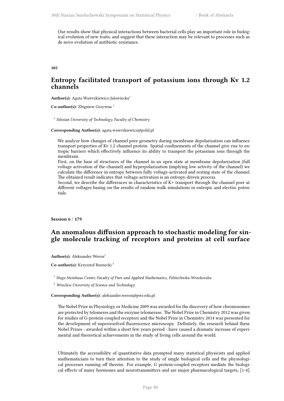Our results show that physical interactions between bacterial cells play an important role in biological evolution of new traits, and suggest that these interaction may be relevant to processes such as de novo evolution of antibiotic resistance.

**105**

# **Entropy facilitated transport of potassium ions through Kv 1.2 channels**

Author(s): Agata Wawrzkiewicz-Jalowiecka<sup>1</sup>

**Co-author(s):** Zbigniew Grzywna <sup>1</sup>

1 *Silesian University of Technology, Faculty of Chemistry*

**Corresponding Author(s):** agata.wawrzkiewicz@polsl.pl

We analyze how changes of channel pore geometry during membrane depolarization can influence transport properties of Kv 1.2 channel protein. Spatial confinements of the channel give rise to entropic barriers which effectively influence its ability to transport the potassium ions through the membrane.

First, on the base of structures of the channel in an open state at membrane depolarization (full voltage activation of the channel) and hyperpolarization (implying low activity of the channel) we calculate the difference in entropy between fully voltage-activated and resting state of the channel. The obtained result indicates that voltage-activation is an entropy-driven process.

Second, we describe the differences in characteristics of K+ transport through the channel pore at different voltages basing on the results of random walk simulations in entropic and electric potentials.

**Session 6** / **179**

# **An anomalous diffusion approach to stochastic modeling for single molecule tracking of receptors and proteins at cell surface**

Author(s): Aleksander Weron<sup>1</sup>

**Co-author(s):** Krzysztof Burnecki <sup>2</sup>

<sup>1</sup> *Hugo Steinhaus Center, Faculty of Pure and Applied Mathematics, Politechnika Wrocławska*

<sup>2</sup> *Wroclaw University of Science and Technology*

**Corresponding Author(s):** aleksander.weron@pwr.edu.pl

The Nobel Prize in Physiology or Medicine 2009 was awarded for the discovery of how chromosomes are protected by telomeres and the enzyme telomerase. The Nobel Prize in Chemistry 2012 was given for studies of G-protein-coupled receptors and the Nobel Prize in Chemistry 2014 was presented for the development of superresolved fluorescence microscopy. Definitely, the research behind these Nobel Prizes - awarded within a short few years period - have caused a dramatic increase of experimental and theoretical achievements in the study of living cells around the world.

Ultimately the accessibility of quantitative data prompted many statistical physicists and applied mathematicians to turn their attention to the study of single biological cells and the physiological processes running off therein. For example, G protein-coupled receptors mediate the biological effects of many hormones and neurotransmitters and are major pharmacological targets, [1-4].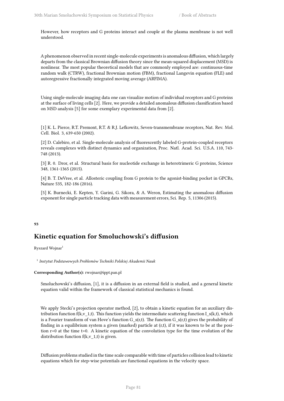However, how receptors and G proteins interact and couple at the plasma membrane is not well understood.

A phenomenon observed in recent single-molecule experiments is anomalous diffusion, which largely departs from the classical Brownian diffusion theory since the mean-squared displacement (MSD) is nonlinear. The most popular theoretical models that are commonly employed are: continuous-time random walk (CTRW), fractional Brownian motion (FBM), fractional Langevin equation (FLE) and autoregressive fractionally integrated moving average (ARFIMA).

Using single-molecule imaging data one can visualize motion of individual receptors and G proteins at the surface of living cells [2]. Here, we provide a detailed anomalous diffusion classification based on MSD analysis [5] for some exemplary experimental data from [2].

[1] K. L. Pierce, R.T. Premont, R.T. & R.J. Lefkowitz, Seven-transmembrane receptors, Nat. Rev. Mol. Cell. Biol. 3, 639-650 (2002).

[2] D. Calebiro, et al. Single-molecule analysis of fluorescently labeled G-protein-coupled receptors reveals complexes with distinct dynamics and organization, Proc. Natl. Acad. Sci. U.S.A. 110, 743- 748 (2013).

[3] R. 0. Dror, et al. Structural basis for nucleotide exchange in heterotrimeric G proteins, Science 348, 1361-1365 (2015).

[4] B. T. DeVree, et al. Allosteric coupling from G protein to the agonist-binding pocket in GPCRs, Nature 535, 182-186 (2016).

[5] K. Burnecki, E. Kepten, Y. Garini, G. Sikora, & A. Weron, Estimating the anomalous diffusion exponent for single particle tracking data with measurement errors, Sci. Rep. 5, 11306 (2015).

## **93**

# **Kinetic equation for Smoluchowski's diffusion**

Ryszard Wojnar<sup>1</sup>

1 *Instytut Podstawowych Problemów Techniki Polskiej Akademii Nauk*

## **Corresponding Author(s):** rwojnar@ippt.pan.pl

Smoluchowski's diffusion, [1], it is a diffusion in an external field is studied, and a general kinetic equation valid within the framework of classical statistical mechanics is found.

We apply Stecki's projection operator method, [2], to obtain a kinetic equation for an auxiliary distribution function f(k,v\_1,t). This function yields the intermediate scattering function I\_s(k,t), which is a Fourier transform of van Hove's function  $G_s(r,t)$ . The function  $G_s(r,t)$  gives the probability of finding in a equilibrium system a given (marked) particle at (r,t), if it was known to be at the position r=0 at the time t=0. A kinetic equation of the convolution type for the time evolution of the distribution function  $f(k, v_1, t)$  is given.

Diffusion problems studied in the time scale comparable with time of particles collision lead to kinetic equations which for step-wise potentials are functional equations in the velocity space.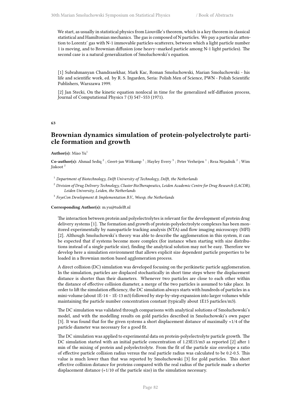We start, as usually in statistical physics from Liouville's theorem, which is a key theorem in classical statistical and Hamiltonian mechanics. The gas is composed of N particles. We pay a particular attention to Lorentz' gas with N-1 immovable particles-scatterers, between which a light particle number 1 is moving, and to Brownian diffusion (one heavy–marked particle among N-1 light particles). The second case is a natural generalization of Smoluchowski's equation.

[1] Subrahmanyan Chandrasekhar, Mark Kac, Roman Smoluchowski, Marian Smoluchowski - his life and scientific work, ed. by R. S. Ingarden, Seria: Polish Men of Science, PWN - Polish Scientific Publishers, Warszawa 1999.

[2] Jan Stecki, On the kinetic equation nonlocal in time for the generalized self-diffusion process, Journal of Computational Physics 7 (3) 547–553 (1971).

### **63**

# **Brownian dynamics simulation of protein-polyelectrolyte particle formation and growth**

### Author(s): Miao Yu<sup>1</sup>

Co-author(s): Ahmad Sediq <sup>2</sup>; Geert-jan Witkamp <sup>1</sup>; Hayley Every <sup>3</sup>; Peter Verheijen <sup>1</sup>; Reza Nejadnik <sup>2</sup>; Wim Jiskoot <sup>2</sup>

- <sup>1</sup> *Department of Biotechnology, Delft University of Technology, Delft, the Netherlands*
- <sup>2</sup> *Division of Drug Delivery Technology, Cluster BioTherapeutics, Leiden Academic Centre for Drug Research (LACDR), Leiden University, Leiden, the Netherlands*
- 3 *FeyeCon Development & Implementation B.V., Weesp, the Netherlands*

### **Corresponding Author(s):** m.yu@tudelft.nl

The interaction between protein and polyelectrolytes is relevant for the development of protein drug delivery systems [1]. The formation and growth of protein-polyelectrolyte complexes has been monitored experimentally by nanoparticle tracking analysis (NTA) and flow imaging microscopy (MFI) [2]. Although Smoluchowski's theory was able to describe the agglomeration in this system, it can be expected that if systems become more complex (for instance when starting with size distributions instead of a single particle size), finding the analytical solution may not be easy. Therefore we develop here a simulation environment that allows explicit size dependent particle properties to be loaded in a Brownian motion based agglomeration process.

A direct collision (DC) simulation was developed focusing on the perikinetic particle agglomeration. In the simulation, particles are displaced stochastically in short time steps where the displacement distance is shorter than their diameters. Whenever two particles are close to each other within the distance of effective collision diameter, a merge of the two particles is assumed to take place. In order to lift the simulation efficiency, the DC simulation always starts with hundreds of particles in a mini-volume (about 1E-14 – 1E-13 m3) followed by step-by-step expansion into larger volumes while maintaining the particle number concentration constant (typically about 1E15 particles/m3).

The DC simulation was validated through comparisons with analytical solutions of Smoluchowski's model, and with the modelling results on gold particles described in Smoluchowski's own paper [3]. It was found that for the given systems a short displacement distance of maximally ≈1/4 of the particle diameter was necessary for a good fit.

The DC simulation was applied to experimental data on protein-polyelectrolyte particle growth. The DC simulation started with an initial particle concentration of 1.23E15/m3 as reported [2] after 1 min of the mixing of protein and polyelectrolyte. From the fit of the particle size envelope a ratio of effective particle collision radius versus the real particle radius was calculated to be 0.2-0.5. This value is much lower than that was reported by Smoluchowski [3] for gold particles. This short effective collision distance for proteins compared with the real radius of the particle made a shorter displacement distance ( $\approx$ 1/10 of the particle size) in the simulation necessary.